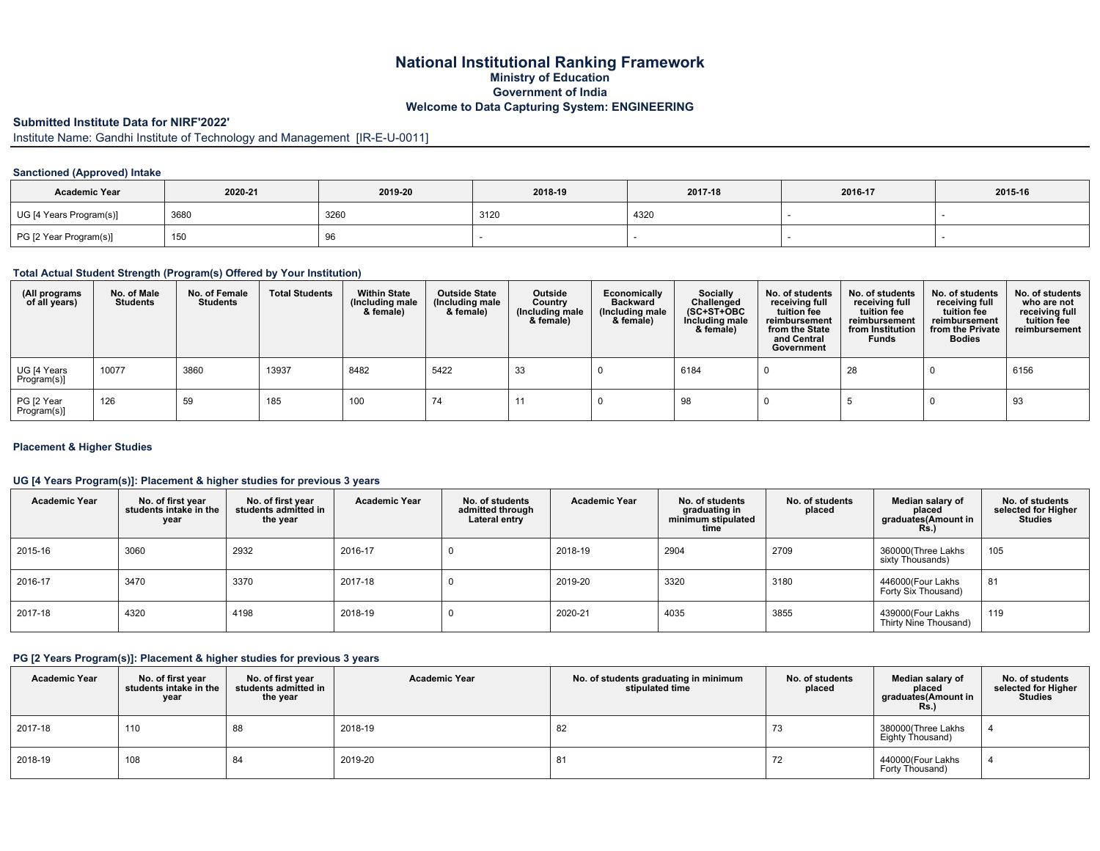### **National Institutional Ranking Framework Ministry of Education Government of India Welcome to Data Capturing System: ENGINEERING**

## **Submitted Institute Data for NIRF'2022'**

Institute Name: Gandhi Institute of Technology and Management [IR-E-U-0011]

#### **Sanctioned (Approved) Intake**

| <b>Academic Year</b>    | 2020-21 | 2019-20 | 2018-19 | 2017-18 | 2016-17 | 2015-16 |
|-------------------------|---------|---------|---------|---------|---------|---------|
| UG [4 Years Program(s)] | 3680    | 3260    | 3120    | 4320    |         |         |
| PG [2 Year Program(s)]  | 150     |         |         |         |         |         |

#### **Total Actual Student Strength (Program(s) Offered by Your Institution)**

| (All programs<br>of all years) | No. of Male<br><b>Students</b> | No. of Female<br><b>Students</b> | <b>Total Students</b> | <b>Within State</b><br>(Including male<br>& female) | <b>Outside State</b><br>Including male)<br>& female) | Outside<br>Country<br>Including male)<br>& female) | Economically<br><b>Backward</b><br>(Including male<br>& female) | Socially<br>Challenged<br>$(SC+ST+OBC$<br>Including male<br>& female) | No. of students<br>receiving full<br>tuition fee<br>reimbursement<br>from the State<br>and Central<br>Government | No. of students<br>receiving full<br>tuition fee<br>reimbursement<br>from Institution<br><b>Funds</b> | No. of students<br>receiving full<br>tuition fee<br>reimbursement<br>from the Private<br><b>Bodies</b> | No. of students<br>who are not<br>receiving full<br>tuition fee<br>reimbursement |
|--------------------------------|--------------------------------|----------------------------------|-----------------------|-----------------------------------------------------|------------------------------------------------------|----------------------------------------------------|-----------------------------------------------------------------|-----------------------------------------------------------------------|------------------------------------------------------------------------------------------------------------------|-------------------------------------------------------------------------------------------------------|--------------------------------------------------------------------------------------------------------|----------------------------------------------------------------------------------|
| UG [4 Years<br>Program(s)]     | 10077                          | 3860                             | 13937                 | 8482                                                | 5422                                                 | 33                                                 |                                                                 | 6184                                                                  |                                                                                                                  | 28                                                                                                    |                                                                                                        | 6156                                                                             |
| PG [2 Year<br>Program(s)]      | 126                            | 59                               | 185                   | 100                                                 | 74                                                   | -11                                                |                                                                 | 98                                                                    |                                                                                                                  |                                                                                                       |                                                                                                        | 93                                                                               |

#### **Placement & Higher Studies**

#### **UG [4 Years Program(s)]: Placement & higher studies for previous 3 years**

| <b>Academic Year</b> | No. of first year<br>students intake in the<br>year | No. of first year<br>students admitted in<br>the year | <b>Academic Year</b> | No. of students<br>admitted through<br>Lateral entry | <b>Academic Year</b> | No. of students<br>graduating in<br>minimum stipulated<br>time | No. of students<br>placed | Median salary of<br>placed<br>graduates(Amount in<br><b>Rs.)</b> | No. of students<br>selected for Higher<br><b>Studies</b> |
|----------------------|-----------------------------------------------------|-------------------------------------------------------|----------------------|------------------------------------------------------|----------------------|----------------------------------------------------------------|---------------------------|------------------------------------------------------------------|----------------------------------------------------------|
| 2015-16              | 3060                                                | 2932                                                  | 2016-17              |                                                      | 2018-19              | 2904                                                           | 2709                      | 360000(Three Lakhs<br>sixty Thousands)                           | 105                                                      |
| 2016-17              | 3470                                                | 3370                                                  | 2017-18              |                                                      | 2019-20              | 3320                                                           | 3180                      | 446000(Four Lakhs<br>Forty Six Thousand)                         | 81                                                       |
| 2017-18              | 4320                                                | 4198                                                  | 2018-19              |                                                      | 2020-21              | 4035                                                           | 3855                      | 439000(Four Lakhs<br>Thirty Nine Thousand)                       | 119                                                      |

### **PG [2 Years Program(s)]: Placement & higher studies for previous 3 years**

| <b>Academic Year</b> | No. of first year<br>students intake in the<br>year | No. of first year<br>students admitted in<br>the year | <b>Academic Year</b> | No. of students graduating in minimum<br>stipulated time | No. of students<br>placed | Median salary of<br>placed<br>graduates(Amount in<br>Rs. | No. of students<br>selected for Higher<br>Studies |
|----------------------|-----------------------------------------------------|-------------------------------------------------------|----------------------|----------------------------------------------------------|---------------------------|----------------------------------------------------------|---------------------------------------------------|
| 2017-18              | 110                                                 | 88                                                    | 2018-19              | 82                                                       | 73                        | 380000(Three Lakhs<br>Eighty Thousand)                   |                                                   |
| 2018-19              | 108                                                 | 84                                                    | 2019-20              | o                                                        |                           | 440000(Four Lakhs<br>Forty Thousand)                     |                                                   |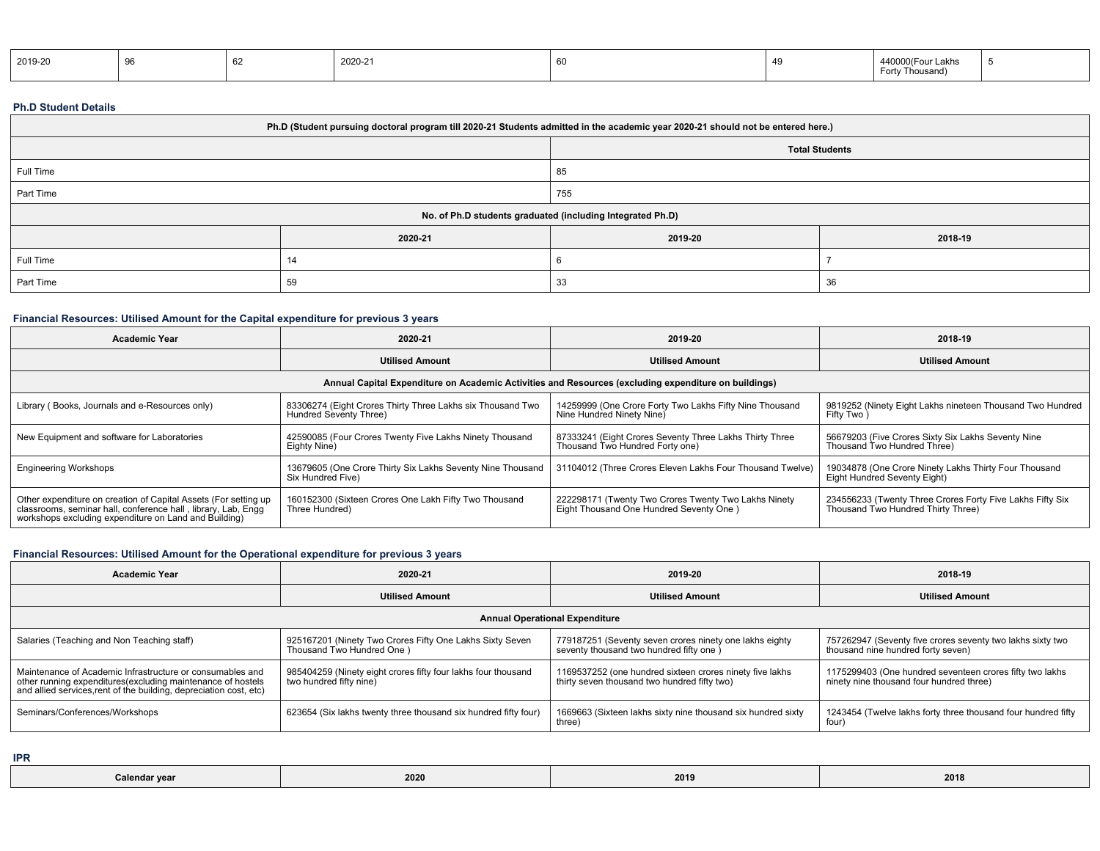| 2019-20 |  | 2020-21 | 60 | $440000$ (Fourl<br>∟akhs<br>Thousand<br>$-$ ort $-$ |  |
|---------|--|---------|----|-----------------------------------------------------|--|
|         |  |         |    |                                                     |  |

#### **Ph.D Student Details**

| Ph.D (Student pursuing doctoral program till 2020-21 Students admitted in the academic year 2020-21 should not be entered here.) |                                                            |         |         |  |  |  |  |
|----------------------------------------------------------------------------------------------------------------------------------|------------------------------------------------------------|---------|---------|--|--|--|--|
| <b>Total Students</b>                                                                                                            |                                                            |         |         |  |  |  |  |
| Full Time                                                                                                                        |                                                            | 85      |         |  |  |  |  |
| Part Time                                                                                                                        |                                                            | 755     |         |  |  |  |  |
|                                                                                                                                  | No. of Ph.D students graduated (including Integrated Ph.D) |         |         |  |  |  |  |
|                                                                                                                                  | 2020-21                                                    | 2019-20 | 2018-19 |  |  |  |  |
| Full Time                                                                                                                        |                                                            |         |         |  |  |  |  |
| Part Time                                                                                                                        | -59                                                        | 33      | 36      |  |  |  |  |

# **Financial Resources: Utilised Amount for the Capital expenditure for previous 3 years**

| <b>Academic Year</b>                                                                                                                                                                      | 2020-21                                                                                              | 2019-20                                                                                         | 2018-19                                                                                         |  |  |  |  |  |  |
|-------------------------------------------------------------------------------------------------------------------------------------------------------------------------------------------|------------------------------------------------------------------------------------------------------|-------------------------------------------------------------------------------------------------|-------------------------------------------------------------------------------------------------|--|--|--|--|--|--|
|                                                                                                                                                                                           | <b>Utilised Amount</b>                                                                               | <b>Utilised Amount</b>                                                                          | <b>Utilised Amount</b>                                                                          |  |  |  |  |  |  |
|                                                                                                                                                                                           | Annual Capital Expenditure on Academic Activities and Resources (excluding expenditure on buildings) |                                                                                                 |                                                                                                 |  |  |  |  |  |  |
| Library (Books, Journals and e-Resources only)                                                                                                                                            | 83306274 (Eight Crores Thirty Three Lakhs six Thousand Two<br>Hundred Seventy Three)                 | 14259999 (One Crore Forty Two Lakhs Fifty Nine Thousand<br>Nine Hundred Ninety Nine)            | 9819252 (Ninety Eight Lakhs nineteen Thousand Two Hundred<br>Fifty Two)                         |  |  |  |  |  |  |
| New Equipment and software for Laboratories                                                                                                                                               | 42590085 (Four Crores Twenty Five Lakhs Ninety Thousand<br>Eighty Nine)                              | 87333241 (Eight Crores Seventy Three Lakhs Thirty Three<br>Thousand Two Hundred Forty one)      | 56679203 (Five Crores Sixty Six Lakhs Seventy Nine<br>Thousand Two Hundred Three)               |  |  |  |  |  |  |
| <b>Engineering Workshops</b>                                                                                                                                                              | 13679605 (One Crore Thirty Six Lakhs Seventy Nine Thousand<br>Six Hundred Five)                      | 31104012 (Three Crores Eleven Lakhs Four Thousand Twelve)                                       | 19034878 (One Crore Ninety Lakhs Thirty Four Thousand<br>Eight Hundred Seventy Eight)           |  |  |  |  |  |  |
| Other expenditure on creation of Capital Assets (For setting up<br>classrooms, seminar hall, conference hall, library, Lab, Engg<br>workshops excluding expenditure on Land and Building) | 160152300 (Sixteen Crores One Lakh Fifty Two Thousand<br>Three Hundred)                              | 222298171 (Twenty Two Crores Twenty Two Lakhs Ninety<br>Eight Thousand One Hundred Seventy One) | 234556233 (Twenty Three Crores Forty Five Lakhs Fifty Six<br>Thousand Two Hundred Thirty Three) |  |  |  |  |  |  |

## **Financial Resources: Utilised Amount for the Operational expenditure for previous 3 years**

| <b>Academic Year</b>                                                                                                                                                                           | 2020-21                                                                                  | 2019-20                                                                                                  | 2018-19                                                                                              |  |  |  |  |
|------------------------------------------------------------------------------------------------------------------------------------------------------------------------------------------------|------------------------------------------------------------------------------------------|----------------------------------------------------------------------------------------------------------|------------------------------------------------------------------------------------------------------|--|--|--|--|
|                                                                                                                                                                                                | <b>Utilised Amount</b>                                                                   | <b>Utilised Amount</b>                                                                                   | <b>Utilised Amount</b>                                                                               |  |  |  |  |
| <b>Annual Operational Expenditure</b>                                                                                                                                                          |                                                                                          |                                                                                                          |                                                                                                      |  |  |  |  |
| Salaries (Teaching and Non Teaching staff)                                                                                                                                                     | 925167201 (Ninety Two Crores Fifty One Lakhs Sixty Seven<br>Thousand Two Hundred One)    | 779187251 (Seventy seven crores ninety one lakhs eighty<br>seventy thousand two hundred fifty one        | 757262947 (Seventy five crores seventy two lakhs sixty two<br>thousand nine hundred forty seven)     |  |  |  |  |
| Maintenance of Academic Infrastructure or consumables and<br>other running expenditures(excluding maintenance of hostels<br>and allied services, rent of the building, depreciation cost, etc) | 985404259 (Ninety eight crores fifty four lakhs four thousand<br>two hundred fifty nine) | 1169537252 (one hundred sixteen crores ninety five lakhs<br>thirty seven thousand two hundred fifty two) | 1175299403 (One hundred seventeen crores fifty two lakhs<br>ninety nine thousand four hundred three) |  |  |  |  |
| Seminars/Conferences/Workshops                                                                                                                                                                 | 623654 (Six lakhs twenty three thousand six hundred fifty four)                          | 1669663 (Sixteen lakhs sixty nine thousand six hundred sixty<br>three)                                   | 1243454 (Twelve lakhs forty three thousand four hundred fifty<br>four)                               |  |  |  |  |

**IPR**

| 2020<br>2018<br>2019<br>Calenda<br>21102 |  |
|------------------------------------------|--|
|------------------------------------------|--|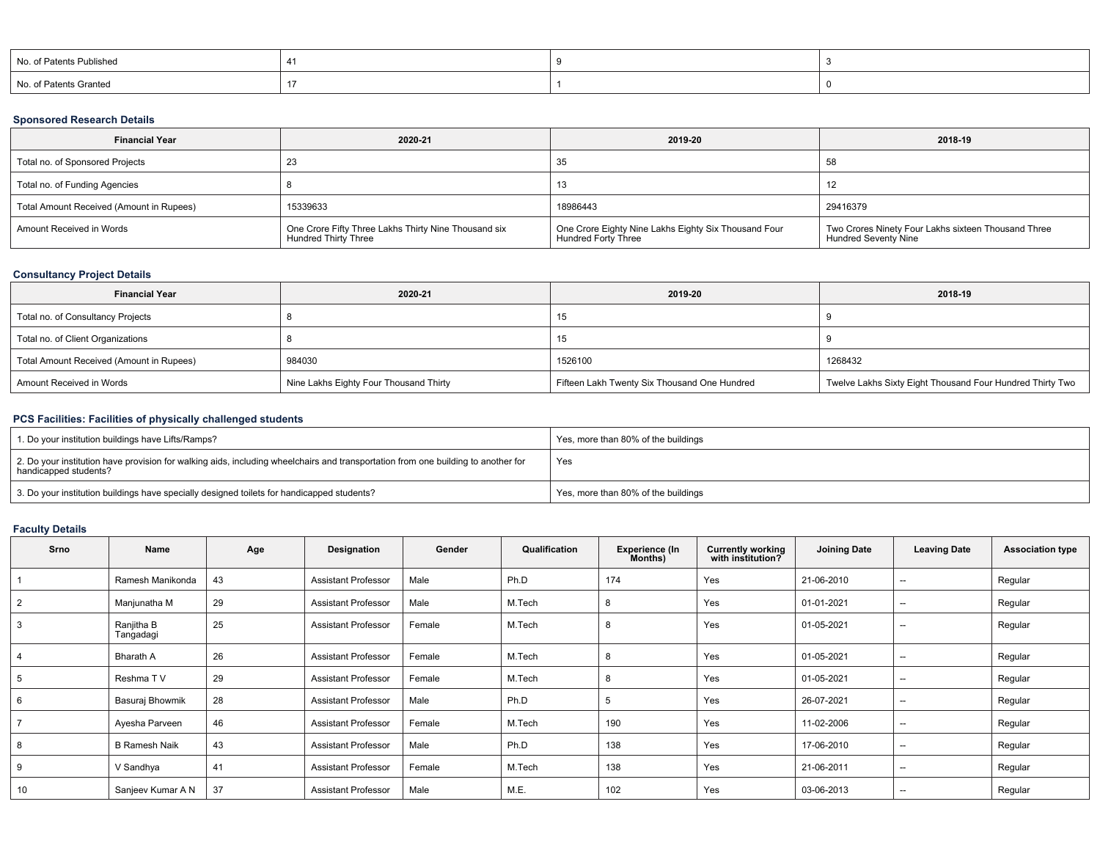| No. of Patents Published |  |  |
|--------------------------|--|--|
| No. of Patents Granted   |  |  |

### **Sponsored Research Details**

| <b>Financial Year</b>                    | 2020-21                                                                      | 2019-20                                                                     | 2018-19                                                                            |
|------------------------------------------|------------------------------------------------------------------------------|-----------------------------------------------------------------------------|------------------------------------------------------------------------------------|
| Total no. of Sponsored Projects          | 23                                                                           | 35                                                                          | 58                                                                                 |
| Total no. of Funding Agencies            |                                                                              |                                                                             |                                                                                    |
| Total Amount Received (Amount in Rupees) | 15339633                                                                     | 18986443                                                                    | 29416379                                                                           |
| Amount Received in Words                 | One Crore Fifty Three Lakhs Thirty Nine Thousand six<br>Hundred Thirty Three | One Crore Eighty Nine Lakhs Eighty Six Thousand Four<br>Hundred Forty Three | Two Crores Ninety Four Lakhs sixteen Thousand Three<br><b>Hundred Seventy Nine</b> |

#### **Consultancy Project Details**

| <b>Financial Year</b>                    | 2020-21                                | 2019-20                                      | 2018-19                                                   |
|------------------------------------------|----------------------------------------|----------------------------------------------|-----------------------------------------------------------|
| Total no. of Consultancy Projects        |                                        | 15                                           |                                                           |
| Total no. of Client Organizations        |                                        | 15                                           |                                                           |
| Total Amount Received (Amount in Rupees) | 984030                                 | 1526100                                      | 1268432                                                   |
| Amount Received in Words                 | Nine Lakhs Eighty Four Thousand Thirty | Fifteen Lakh Twenty Six Thousand One Hundred | Twelve Lakhs Sixty Eight Thousand Four Hundred Thirty Two |

# **PCS Facilities: Facilities of physically challenged students**

| 1. Do your institution buildings have Lifts/Ramps?                                                                                                         | Yes, more than 80% of the buildings |
|------------------------------------------------------------------------------------------------------------------------------------------------------------|-------------------------------------|
| 2. Do your institution have provision for walking aids, including wheelchairs and transportation from one building to another for<br>handicapped students? | Yes                                 |
| 3. Do your institution buildings have specially designed toilets for handicapped students?                                                                 | Yes, more than 80% of the buildings |

### **Faculty Details**

| Srno | Name                    | Age | Designation                | Gender | Qualification | <b>Experience (In</b><br>Months) | <b>Currently working</b><br>with institution? | <b>Joining Date</b> | <b>Leaving Date</b>                                 | <b>Association type</b> |
|------|-------------------------|-----|----------------------------|--------|---------------|----------------------------------|-----------------------------------------------|---------------------|-----------------------------------------------------|-------------------------|
|      | Ramesh Manikonda        | 43  | <b>Assistant Professor</b> | Male   | Ph.D          | 174                              | Yes                                           | 21-06-2010          | $-$                                                 | Regular                 |
|      | Manjunatha M            | 29  | <b>Assistant Professor</b> | Male   | M.Tech        | 8                                | Yes                                           | 01-01-2021          | $- -$                                               | Regular                 |
|      | Ranjitha B<br>Tangadagi | 25  | <b>Assistant Professor</b> | Female | M.Tech        | 8                                | Yes                                           | 01-05-2021          | --                                                  | Regular                 |
|      | <b>Bharath A</b>        | 26  | <b>Assistant Professor</b> | Female | M.Tech        | 8                                | Yes                                           | 01-05-2021          | $\hspace{0.05cm}$                                   | Regular                 |
|      | Reshma TV               | 29  | <b>Assistant Professor</b> | Female | M.Tech        | 8                                | Yes                                           | 01-05-2021          | $- -$                                               | Regular                 |
|      | Basuraj Bhowmik         | 28  | <b>Assistant Professor</b> | Male   | Ph.D          | 5                                | Yes                                           | 26-07-2021          | $- -$                                               | Regular                 |
|      | Ayesha Parveen          | 46  | <b>Assistant Professor</b> | Female | M.Tech        | 190                              | Yes                                           | 11-02-2006          | $- -$                                               | Regular                 |
|      | <b>B Ramesh Naik</b>    | 43  | <b>Assistant Professor</b> | Male   | Ph.D          | 138                              | Yes                                           | 17-06-2010          | $\overline{\phantom{a}}$                            | Regular                 |
|      | V Sandhya               | 41  | <b>Assistant Professor</b> | Female | M.Tech        | 138                              | Yes                                           | 21-06-2011          | $\hspace{0.05cm} -\hspace{0.05cm} -\hspace{0.05cm}$ | Regular                 |
| 10   | Sanjeev Kumar A N       | 37  | <b>Assistant Professor</b> | Male   | M.E.          | 102                              | Yes                                           | 03-06-2013          | $ -$                                                | Regular                 |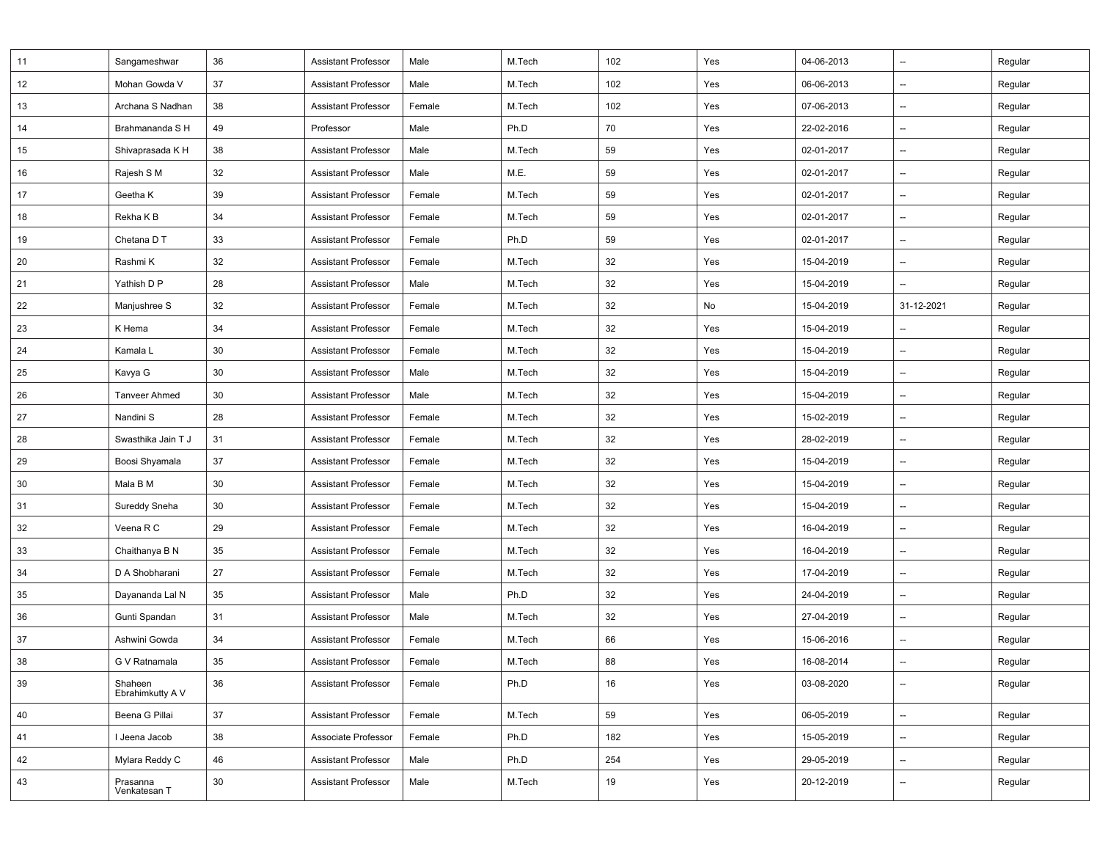| 11 | Sangameshwar                | 36 | <b>Assistant Professor</b> | Male   | M.Tech | 102 | Yes | 04-06-2013 | --                       | Regular |
|----|-----------------------------|----|----------------------------|--------|--------|-----|-----|------------|--------------------------|---------|
| 12 | Mohan Gowda V               | 37 | <b>Assistant Professor</b> | Male   | M.Tech | 102 | Yes | 06-06-2013 | --                       | Regular |
| 13 | Archana S Nadhan            | 38 | <b>Assistant Professor</b> | Female | M.Tech | 102 | Yes | 07-06-2013 | $\overline{\phantom{a}}$ | Regular |
| 14 | Brahmananda S H             | 49 | Professor                  | Male   | Ph.D   | 70  | Yes | 22-02-2016 | $\overline{\phantom{a}}$ | Regular |
| 15 | Shivaprasada K H            | 38 | <b>Assistant Professor</b> | Male   | M.Tech | 59  | Yes | 02-01-2017 | --                       | Regular |
| 16 | Rajesh S M                  | 32 | <b>Assistant Professor</b> | Male   | M.E.   | 59  | Yes | 02-01-2017 | $\overline{\phantom{a}}$ | Regular |
| 17 | Geetha K                    | 39 | <b>Assistant Professor</b> | Female | M.Tech | 59  | Yes | 02-01-2017 | --                       | Regular |
| 18 | Rekha K B                   | 34 | <b>Assistant Professor</b> | Female | M.Tech | 59  | Yes | 02-01-2017 | $\overline{\phantom{a}}$ | Regular |
| 19 | Chetana D T                 | 33 | <b>Assistant Professor</b> | Female | Ph.D   | 59  | Yes | 02-01-2017 | $\overline{\phantom{a}}$ | Regular |
| 20 | Rashmi K                    | 32 | <b>Assistant Professor</b> | Female | M.Tech | 32  | Yes | 15-04-2019 | $\overline{\phantom{a}}$ | Regular |
| 21 | Yathish D P                 | 28 | <b>Assistant Professor</b> | Male   | M.Tech | 32  | Yes | 15-04-2019 | --                       | Regular |
| 22 | Manjushree S                | 32 | <b>Assistant Professor</b> | Female | M.Tech | 32  | No  | 15-04-2019 | 31-12-2021               | Regular |
| 23 | K Hema                      | 34 | <b>Assistant Professor</b> | Female | M.Tech | 32  | Yes | 15-04-2019 | $\overline{\phantom{a}}$ | Regular |
| 24 | Kamala L                    | 30 | <b>Assistant Professor</b> | Female | M.Tech | 32  | Yes | 15-04-2019 | $\overline{\phantom{a}}$ | Regular |
| 25 | Kavya G                     | 30 | <b>Assistant Professor</b> | Male   | M.Tech | 32  | Yes | 15-04-2019 | $\overline{\phantom{a}}$ | Regular |
| 26 | <b>Tanveer Ahmed</b>        | 30 | <b>Assistant Professor</b> | Male   | M.Tech | 32  | Yes | 15-04-2019 | --                       | Regular |
| 27 | Nandini S                   | 28 | <b>Assistant Professor</b> | Female | M.Tech | 32  | Yes | 15-02-2019 | $\overline{\phantom{a}}$ | Regular |
| 28 | Swasthika Jain T J          | 31 | <b>Assistant Professor</b> | Female | M.Tech | 32  | Yes | 28-02-2019 | $\overline{\phantom{a}}$ | Regular |
| 29 | Boosi Shyamala              | 37 | <b>Assistant Professor</b> | Female | M.Tech | 32  | Yes | 15-04-2019 | $\overline{\phantom{a}}$ | Regular |
| 30 | Mala B M                    | 30 | <b>Assistant Professor</b> | Female | M.Tech | 32  | Yes | 15-04-2019 | $\overline{\phantom{a}}$ | Regular |
| 31 | Sureddy Sneha               | 30 | <b>Assistant Professor</b> | Female | M.Tech | 32  | Yes | 15-04-2019 | --                       | Regular |
| 32 | Veena R C                   | 29 | <b>Assistant Professor</b> | Female | M.Tech | 32  | Yes | 16-04-2019 | --                       | Regular |
| 33 | Chaithanya B N              | 35 | <b>Assistant Professor</b> | Female | M.Tech | 32  | Yes | 16-04-2019 | $\overline{\phantom{a}}$ | Regular |
| 34 | D A Shobharani              | 27 | <b>Assistant Professor</b> | Female | M.Tech | 32  | Yes | 17-04-2019 | $\overline{\phantom{a}}$ | Regular |
| 35 | Dayananda Lal N             | 35 | <b>Assistant Professor</b> | Male   | Ph.D   | 32  | Yes | 24-04-2019 | --                       | Regular |
| 36 | Gunti Spandan               | 31 | <b>Assistant Professor</b> | Male   | M.Tech | 32  | Yes | 27-04-2019 | $\overline{\phantom{a}}$ | Regular |
| 37 | Ashwini Gowda               | 34 | <b>Assistant Professor</b> | Female | M.Tech | 66  | Yes | 15-06-2016 | --                       | Regular |
| 38 | G V Ratnamala               | 35 | <b>Assistant Professor</b> | Female | M.Tech | 88  | Yes | 16-08-2014 |                          | Regular |
| 39 | Shaheen<br>Ebrahimkutty A V | 36 | <b>Assistant Professor</b> | Female | Ph.D   | 16  | Yes | 03-08-2020 | $\overline{\phantom{a}}$ | Regular |
| 40 | Beena G Pillai              | 37 | <b>Assistant Professor</b> | Female | M.Tech | 59  | Yes | 06-05-2019 | $\overline{\phantom{a}}$ | Regular |
| 41 | I Jeena Jacob               | 38 | Associate Professor        | Female | Ph.D   | 182 | Yes | 15-05-2019 | $\overline{\phantom{a}}$ | Regular |
| 42 | Mylara Reddy C              | 46 | <b>Assistant Professor</b> | Male   | Ph.D   | 254 | Yes | 29-05-2019 | --                       | Regular |
| 43 | Prasanna<br>Venkatesan T    | 30 | <b>Assistant Professor</b> | Male   | M.Tech | 19  | Yes | 20-12-2019 | $\overline{\phantom{a}}$ | Regular |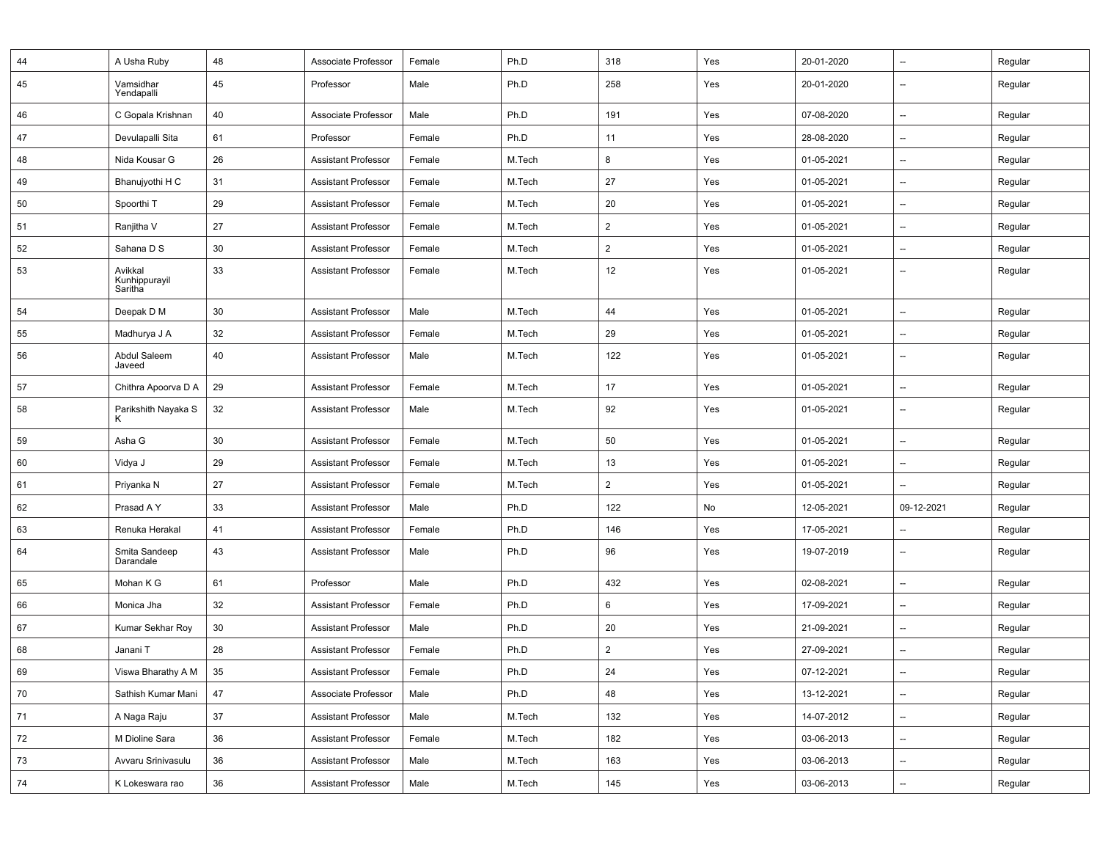| 44 | A Usha Ruby                         | 48 | Associate Professor        | Female | Ph.D   | 318            | Yes | 20-01-2020 | --                       | Regular |
|----|-------------------------------------|----|----------------------------|--------|--------|----------------|-----|------------|--------------------------|---------|
| 45 | Vamsidhar<br>Yendapalli             | 45 | Professor                  | Male   | Ph.D   | 258            | Yes | 20-01-2020 | $\overline{\phantom{a}}$ | Regular |
| 46 | C Gopala Krishnan                   | 40 | Associate Professor        | Male   | Ph.D   | 191            | Yes | 07-08-2020 | $\overline{\phantom{a}}$ | Regular |
| 47 | Devulapalli Sita                    | 61 | Professor                  | Female | Ph.D   | 11             | Yes | 28-08-2020 | $\overline{\phantom{a}}$ | Regular |
| 48 | Nida Kousar G                       | 26 | <b>Assistant Professor</b> | Female | M.Tech | 8              | Yes | 01-05-2021 | --                       | Regular |
| 49 | Bhanujyothi H C                     | 31 | <b>Assistant Professor</b> | Female | M.Tech | 27             | Yes | 01-05-2021 | $\qquad \qquad \cdots$   | Regular |
| 50 | Spoorthi T                          | 29 | <b>Assistant Professor</b> | Female | M.Tech | 20             | Yes | 01-05-2021 | $\overline{\phantom{a}}$ | Regular |
| 51 | Ranjitha V                          | 27 | <b>Assistant Professor</b> | Female | M.Tech | $\overline{2}$ | Yes | 01-05-2021 | $\qquad \qquad \cdots$   | Regular |
| 52 | Sahana D S                          | 30 | <b>Assistant Professor</b> | Female | M.Tech | $\overline{2}$ | Yes | 01-05-2021 | $\overline{\phantom{a}}$ | Regular |
| 53 | Avikkal<br>Kunhippurayil<br>Saritha | 33 | <b>Assistant Professor</b> | Female | M.Tech | 12             | Yes | 01-05-2021 | $\overline{\phantom{a}}$ | Regular |
| 54 | Deepak D M                          | 30 | <b>Assistant Professor</b> | Male   | M.Tech | 44             | Yes | 01-05-2021 | --                       | Regular |
| 55 | Madhurya J A                        | 32 | <b>Assistant Professor</b> | Female | M.Tech | 29             | Yes | 01-05-2021 | $\overline{\phantom{a}}$ | Regular |
| 56 | Abdul Saleem<br>Javeed              | 40 | <b>Assistant Professor</b> | Male   | M.Tech | 122            | Yes | 01-05-2021 | $\overline{\phantom{a}}$ | Regular |
| 57 | Chithra Apoorva D A                 | 29 | <b>Assistant Professor</b> | Female | M.Tech | 17             | Yes | 01-05-2021 | $\overline{\phantom{a}}$ | Regular |
| 58 | Parikshith Nayaka S<br>K            | 32 | <b>Assistant Professor</b> | Male   | M.Tech | 92             | Yes | 01-05-2021 | $\overline{\phantom{a}}$ | Regular |
| 59 | Asha G                              | 30 | <b>Assistant Professor</b> | Female | M.Tech | 50             | Yes | 01-05-2021 | $\overline{\phantom{a}}$ | Regular |
| 60 | Vidya J                             | 29 | <b>Assistant Professor</b> | Female | M.Tech | 13             | Yes | 01-05-2021 | $\overline{\phantom{a}}$ | Regular |
| 61 | Priyanka N                          | 27 | <b>Assistant Professor</b> | Female | M.Tech | $\overline{2}$ | Yes | 01-05-2021 | $\overline{\phantom{a}}$ | Regular |
| 62 | Prasad A Y                          | 33 | <b>Assistant Professor</b> | Male   | Ph.D   | 122            | No  | 12-05-2021 | 09-12-2021               | Regular |
| 63 | Renuka Herakal                      | 41 | <b>Assistant Professor</b> | Female | Ph.D   | 146            | Yes | 17-05-2021 | $\overline{\phantom{a}}$ | Regular |
| 64 | Smita Sandeep<br>Darandale          | 43 | <b>Assistant Professor</b> | Male   | Ph.D   | 96             | Yes | 19-07-2019 | $\qquad \qquad \cdots$   | Regular |
| 65 | Mohan K G                           | 61 | Professor                  | Male   | Ph.D   | 432            | Yes | 02-08-2021 | $\overline{\phantom{a}}$ | Regular |
| 66 | Monica Jha                          | 32 | <b>Assistant Professor</b> | Female | Ph.D   | 6              | Yes | 17-09-2021 | $\overline{\phantom{a}}$ | Regular |
| 67 | Kumar Sekhar Roy                    | 30 | <b>Assistant Professor</b> | Male   | Ph.D   | 20             | Yes | 21-09-2021 | $\overline{\phantom{a}}$ | Regular |
| 68 | Janani T                            | 28 | <b>Assistant Professor</b> | Female | Ph.D   | $\overline{2}$ | Yes | 27-09-2021 | --                       | Regular |
| 69 | Viswa Bharathy A M                  | 35 | Assistant Professor        | Female | Ph.D   | 24             | Yes | 07-12-2021 |                          | Regular |
| 70 | Sathish Kumar Mani                  | 47 | Associate Professor        | Male   | Ph.D   | 48             | Yes | 13-12-2021 | $\overline{\phantom{a}}$ | Regular |
| 71 | A Naga Raju                         | 37 | <b>Assistant Professor</b> | Male   | M.Tech | 132            | Yes | 14-07-2012 | --                       | Regular |
| 72 | M Dioline Sara                      | 36 | <b>Assistant Professor</b> | Female | M.Tech | 182            | Yes | 03-06-2013 | $\overline{\phantom{a}}$ | Regular |
| 73 | Avvaru Srinivasulu                  | 36 | <b>Assistant Professor</b> | Male   | M.Tech | 163            | Yes | 03-06-2013 | --                       | Regular |
| 74 | K Lokeswara rao                     | 36 | <b>Assistant Professor</b> | Male   | M.Tech | 145            | Yes | 03-06-2013 | --                       | Regular |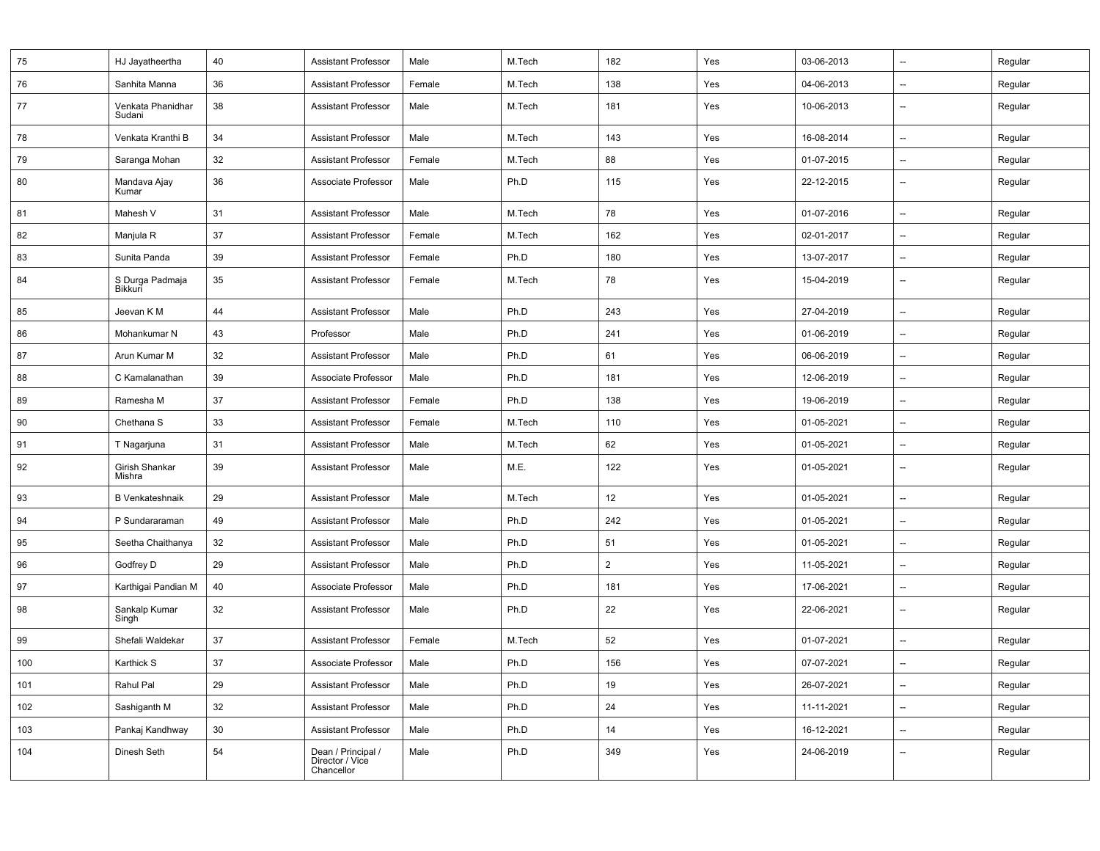| 75  | HJ Jayatheertha             | 40 | <b>Assistant Professor</b>                          | Male   | M.Tech | 182            | Yes | 03-06-2013 | $\overline{\phantom{a}}$ | Regular |
|-----|-----------------------------|----|-----------------------------------------------------|--------|--------|----------------|-----|------------|--------------------------|---------|
| 76  | Sanhita Manna               | 36 | <b>Assistant Professor</b>                          | Female | M.Tech | 138            | Yes | 04-06-2013 | $\overline{\phantom{a}}$ | Regular |
| 77  | Venkata Phanidhar<br>Sudani | 38 | <b>Assistant Professor</b>                          | Male   | M.Tech | 181            | Yes | 10-06-2013 | $\overline{\phantom{a}}$ | Regular |
| 78  | Venkata Kranthi B           | 34 | <b>Assistant Professor</b>                          | Male   | M.Tech | 143            | Yes | 16-08-2014 | $\overline{\phantom{a}}$ | Regular |
| 79  | Saranga Mohan               | 32 | <b>Assistant Professor</b>                          | Female | M.Tech | 88             | Yes | 01-07-2015 | $\overline{\phantom{a}}$ | Regular |
| 80  | Mandava Ajay<br>Kumar       | 36 | Associate Professor                                 | Male   | Ph.D   | 115            | Yes | 22-12-2015 | $\overline{\phantom{a}}$ | Regular |
| 81  | Mahesh V                    | 31 | Assistant Professor                                 | Male   | M.Tech | 78             | Yes | 01-07-2016 | $\overline{a}$           | Regular |
| 82  | Manjula R                   | 37 | <b>Assistant Professor</b>                          | Female | M.Tech | 162            | Yes | 02-01-2017 | $\overline{\phantom{a}}$ | Regular |
| 83  | Sunita Panda                | 39 | <b>Assistant Professor</b>                          | Female | Ph.D   | 180            | Yes | 13-07-2017 | $\overline{\phantom{a}}$ | Regular |
| 84  | S Durga Padmaja<br>Bikkuri  | 35 | <b>Assistant Professor</b>                          | Female | M.Tech | 78             | Yes | 15-04-2019 | $\overline{a}$           | Regular |
| 85  | Jeevan K M                  | 44 | <b>Assistant Professor</b>                          | Male   | Ph.D   | 243            | Yes | 27-04-2019 | $\overline{\phantom{a}}$ | Regular |
| 86  | Mohankumar N                | 43 | Professor                                           | Male   | Ph.D   | 241            | Yes | 01-06-2019 | $\overline{\phantom{a}}$ | Regular |
| 87  | Arun Kumar M                | 32 | <b>Assistant Professor</b>                          | Male   | Ph.D   | 61             | Yes | 06-06-2019 | $\overline{\phantom{a}}$ | Regular |
| 88  | C Kamalanathan              | 39 | Associate Professor                                 | Male   | Ph.D   | 181            | Yes | 12-06-2019 | $\overline{\phantom{a}}$ | Regular |
| 89  | Ramesha M                   | 37 | <b>Assistant Professor</b>                          | Female | Ph.D   | 138            | Yes | 19-06-2019 | $\overline{\phantom{a}}$ | Regular |
| 90  | Chethana S                  | 33 | <b>Assistant Professor</b>                          | Female | M.Tech | 110            | Yes | 01-05-2021 | $\overline{\phantom{a}}$ | Regular |
| 91  | T Nagarjuna                 | 31 | Assistant Professor                                 | Male   | M.Tech | 62             | Yes | 01-05-2021 | $\overline{\phantom{a}}$ | Regular |
| 92  | Girish Shankar<br>Mishra    | 39 | <b>Assistant Professor</b>                          | Male   | M.E.   | 122            | Yes | 01-05-2021 | $\overline{\phantom{a}}$ | Regular |
| 93  | <b>B</b> Venkateshnaik      | 29 | <b>Assistant Professor</b>                          | Male   | M.Tech | 12             | Yes | 01-05-2021 | $\overline{\phantom{a}}$ | Regular |
| 94  | P Sundararaman              | 49 | <b>Assistant Professor</b>                          | Male   | Ph.D   | 242            | Yes | 01-05-2021 | $\overline{\phantom{a}}$ | Regular |
| 95  | Seetha Chaithanya           | 32 | <b>Assistant Professor</b>                          | Male   | Ph.D   | 51             | Yes | 01-05-2021 | $\overline{a}$           | Regular |
| 96  | Godfrey D                   | 29 | Assistant Professor                                 | Male   | Ph.D   | $\overline{2}$ | Yes | 11-05-2021 | $\overline{\phantom{a}}$ | Regular |
| 97  | Karthigai Pandian M         | 40 | Associate Professor                                 | Male   | Ph.D   | 181            | Yes | 17-06-2021 | $\overline{\phantom{a}}$ | Regular |
| 98  | Sankalp Kumar<br>Singh      | 32 | <b>Assistant Professor</b>                          | Male   | Ph.D   | 22             | Yes | 22-06-2021 | $\overline{\phantom{a}}$ | Regular |
| 99  | Shefali Waldekar            | 37 | <b>Assistant Professor</b>                          | Female | M.Tech | 52             | Yes | 01-07-2021 | $\overline{\phantom{a}}$ | Regular |
| 100 | Karthick S                  | 37 | Associate Professor                                 | Male   | Ph.D   | 156            | Yes | 07-07-2021 | $\overline{\phantom{a}}$ | Regular |
| 101 | Rahul Pal                   | 29 | <b>Assistant Professor</b>                          | Male   | Ph.D   | 19             | Yes | 26-07-2021 | $\overline{\phantom{a}}$ | Regular |
| 102 | Sashiganth M                | 32 | <b>Assistant Professor</b>                          | Male   | Ph.D   | 24             | Yes | 11-11-2021 | $\overline{\phantom{a}}$ | Regular |
| 103 | Pankaj Kandhway             | 30 | <b>Assistant Professor</b>                          | Male   | Ph.D   | 14             | Yes | 16-12-2021 | $\overline{\phantom{a}}$ | Regular |
| 104 | Dinesh Seth                 | 54 | Dean / Principal /<br>Director / Vice<br>Chancellor | Male   | Ph.D   | 349            | Yes | 24-06-2019 | $\overline{\phantom{a}}$ | Regular |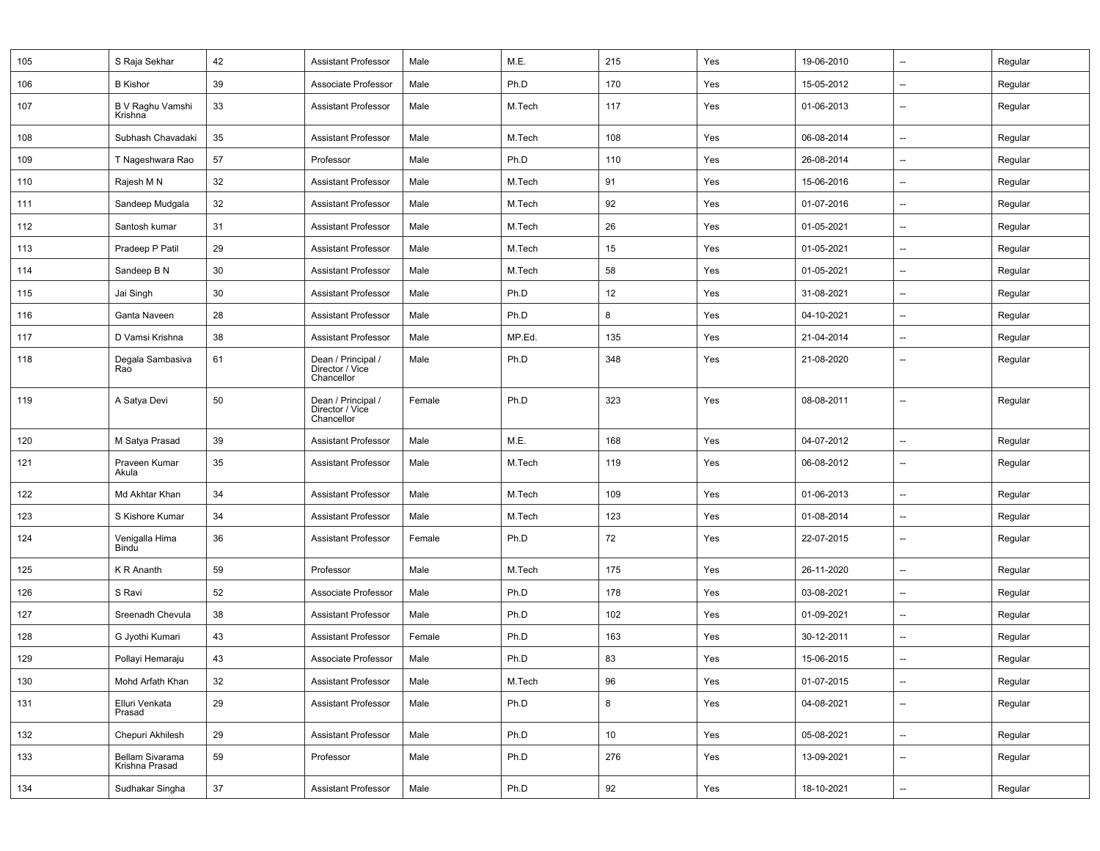| 105 | S Raja Sekhar                     | 42 | <b>Assistant Professor</b>                          | Male   | M.E.   | 215 | Yes | 19-06-2010 | --                       | Regular |
|-----|-----------------------------------|----|-----------------------------------------------------|--------|--------|-----|-----|------------|--------------------------|---------|
| 106 | <b>B</b> Kishor                   | 39 | Associate Professor                                 | Male   | Ph.D   | 170 | Yes | 15-05-2012 | --                       | Regular |
| 107 | B V Raghu Vamshi<br>Krishna       | 33 | <b>Assistant Professor</b>                          | Male   | M.Tech | 117 | Yes | 01-06-2013 | --                       | Regular |
| 108 | Subhash Chavadaki                 | 35 | <b>Assistant Professor</b>                          | Male   | M.Tech | 108 | Yes | 06-08-2014 | --                       | Regular |
| 109 | T Nageshwara Rao                  | 57 | Professor                                           | Male   | Ph.D   | 110 | Yes | 26-08-2014 | --                       | Regular |
| 110 | Rajesh M N                        | 32 | <b>Assistant Professor</b>                          | Male   | M.Tech | 91  | Yes | 15-06-2016 | --                       | Regular |
| 111 | Sandeep Mudgala                   | 32 | <b>Assistant Professor</b>                          | Male   | M.Tech | 92  | Yes | 01-07-2016 | --                       | Regular |
| 112 | Santosh kumar                     | 31 | <b>Assistant Professor</b>                          | Male   | M.Tech | 26  | Yes | 01-05-2021 | --                       | Regular |
| 113 | Pradeep P Patil                   | 29 | <b>Assistant Professor</b>                          | Male   | M.Tech | 15  | Yes | 01-05-2021 | --                       | Regular |
| 114 | Sandeep B N                       | 30 | <b>Assistant Professor</b>                          | Male   | M.Tech | 58  | Yes | 01-05-2021 | --                       | Regular |
| 115 | Jai Singh                         | 30 | <b>Assistant Professor</b>                          | Male   | Ph.D   | 12  | Yes | 31-08-2021 | --                       | Regular |
| 116 | Ganta Naveen                      | 28 | <b>Assistant Professor</b>                          | Male   | Ph.D   | 8   | Yes | 04-10-2021 | $\overline{\phantom{a}}$ | Regular |
| 117 | D Vamsi Krishna                   | 38 | <b>Assistant Professor</b>                          | Male   | MP.Ed. | 135 | Yes | 21-04-2014 | --                       | Regular |
| 118 | Degala Sambasiva<br>Rao           | 61 | Dean / Principal /<br>Director / Vice<br>Chancellor | Male   | Ph.D   | 348 | Yes | 21-08-2020 | $\overline{\phantom{a}}$ | Regular |
| 119 | A Satya Devi                      | 50 | Dean / Principal /<br>Director / Vice<br>Chancellor | Female | Ph.D   | 323 | Yes | 08-08-2011 | --                       | Regular |
| 120 | M Satya Prasad                    | 39 | <b>Assistant Professor</b>                          | Male   | M.E.   | 168 | Yes | 04-07-2012 | --                       | Regular |
| 121 | Praveen Kumar<br>Akula            | 35 | <b>Assistant Professor</b>                          | Male   | M.Tech | 119 | Yes | 06-08-2012 | $\overline{\phantom{a}}$ | Regular |
| 122 | Md Akhtar Khan                    | 34 | <b>Assistant Professor</b>                          | Male   | M.Tech | 109 | Yes | 01-06-2013 | --                       | Regular |
| 123 | S Kishore Kumar                   | 34 | <b>Assistant Professor</b>                          | Male   | M.Tech | 123 | Yes | 01-08-2014 | --                       | Regular |
| 124 | Venigalla Hima<br>Bindu           | 36 | <b>Assistant Professor</b>                          | Female | Ph.D   | 72  | Yes | 22-07-2015 | $\overline{\phantom{a}}$ | Regular |
| 125 | K R Ananth                        | 59 | Professor                                           | Male   | M.Tech | 175 | Yes | 26-11-2020 | --                       | Regular |
| 126 | S Ravi                            | 52 | Associate Professor                                 | Male   | Ph.D   | 178 | Yes | 03-08-2021 | --                       | Regular |
| 127 | Sreenadh Chevula                  | 38 | <b>Assistant Professor</b>                          | Male   | Ph.D   | 102 | Yes | 01-09-2021 | --                       | Regular |
| 128 | G Jyothi Kumari                   | 43 | <b>Assistant Professor</b>                          | Female | Ph.D   | 163 | Yes | 30-12-2011 | --                       | Regular |
| 129 | Pollayi Hemaraju                  | 43 | Associate Professor                                 | Male   | Ph.D   | 83  | Yes | 15-06-2015 |                          | Regular |
| 130 | Mohd Arfath Khan                  | 32 | <b>Assistant Professor</b>                          | Male   | M.Tech | 96  | Yes | 01-07-2015 | --                       | Regular |
| 131 | Elluri Venkata<br>Prasad          | 29 | <b>Assistant Professor</b>                          | Male   | Ph.D   | 8   | Yes | 04-08-2021 | --                       | Regular |
| 132 | Chepuri Akhilesh                  | 29 | <b>Assistant Professor</b>                          | Male   | Ph.D   | 10  | Yes | 05-08-2021 | --                       | Regular |
| 133 | Bellam Sivarama<br>Krishna Prasad | 59 | Professor                                           | Male   | Ph.D   | 276 | Yes | 13-09-2021 | --                       | Regular |
| 134 | Sudhakar Singha                   | 37 | <b>Assistant Professor</b>                          | Male   | Ph.D   | 92  | Yes | 18-10-2021 | $\overline{\phantom{a}}$ | Regular |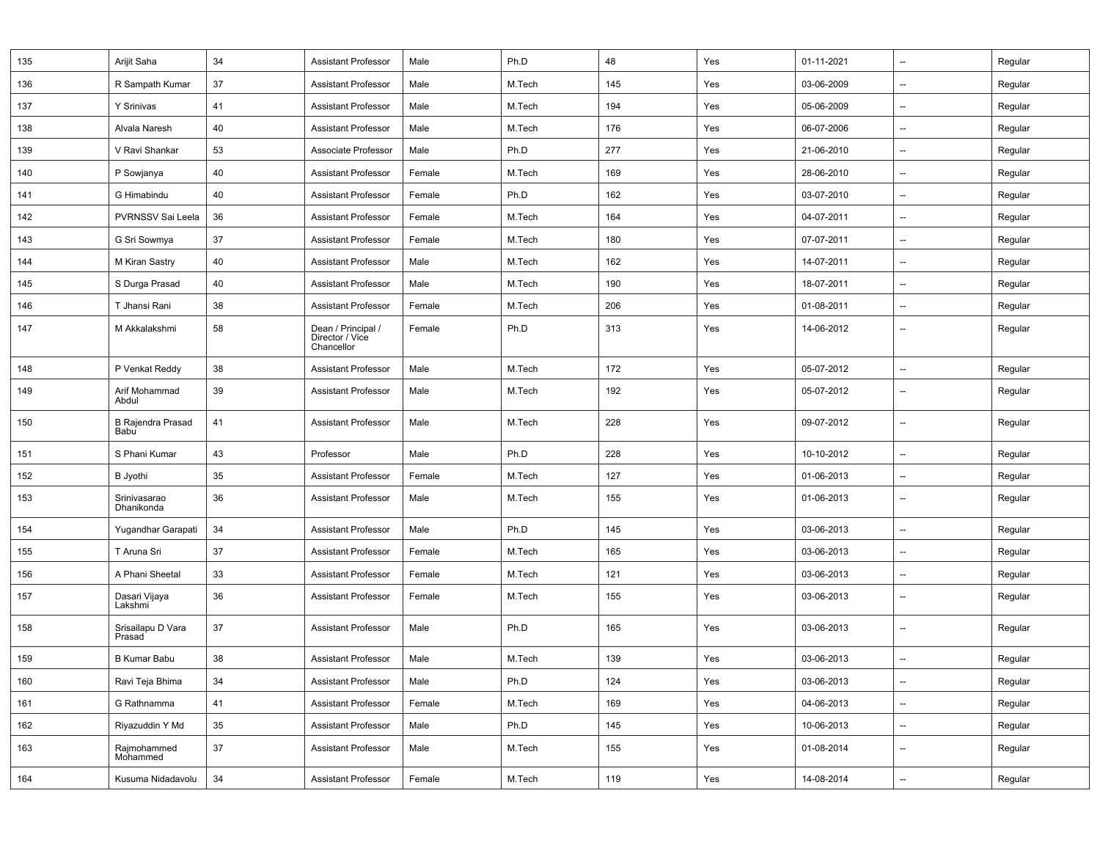| 135 | Arijit Saha                      | 34 | <b>Assistant Professor</b>                          | Male   | Ph.D   | 48  | Yes | 01-11-2021 | $\overline{\phantom{a}}$ | Regular |
|-----|----------------------------------|----|-----------------------------------------------------|--------|--------|-----|-----|------------|--------------------------|---------|
| 136 | R Sampath Kumar                  | 37 | <b>Assistant Professor</b>                          | Male   | M.Tech | 145 | Yes | 03-06-2009 | $\overline{\phantom{a}}$ | Regular |
| 137 | Y Srinivas                       | 41 | <b>Assistant Professor</b>                          | Male   | M.Tech | 194 | Yes | 05-06-2009 | $\overline{\phantom{a}}$ | Regular |
| 138 | Alvala Naresh                    | 40 | <b>Assistant Professor</b>                          | Male   | M.Tech | 176 | Yes | 06-07-2006 | $\overline{\phantom{a}}$ | Regular |
| 139 | V Ravi Shankar                   | 53 | Associate Professor                                 | Male   | Ph.D   | 277 | Yes | 21-06-2010 | $\overline{\phantom{a}}$ | Regular |
| 140 | P Sowjanya                       | 40 | <b>Assistant Professor</b>                          | Female | M.Tech | 169 | Yes | 28-06-2010 | $\overline{\phantom{a}}$ | Regular |
| 141 | G Himabindu                      | 40 | <b>Assistant Professor</b>                          | Female | Ph.D   | 162 | Yes | 03-07-2010 | $\overline{\phantom{a}}$ | Regular |
| 142 | PVRNSSV Sai Leela                | 36 | Assistant Professor                                 | Female | M.Tech | 164 | Yes | 04-07-2011 | $\overline{\phantom{a}}$ | Regular |
| 143 | G Sri Sowmya                     | 37 | <b>Assistant Professor</b>                          | Female | M.Tech | 180 | Yes | 07-07-2011 | $\overline{\phantom{a}}$ | Regular |
| 144 | M Kiran Sastry                   | 40 | <b>Assistant Professor</b>                          | Male   | M.Tech | 162 | Yes | 14-07-2011 | $\overline{\phantom{a}}$ | Regular |
| 145 | S Durga Prasad                   | 40 | Assistant Professor                                 | Male   | M.Tech | 190 | Yes | 18-07-2011 | $\overline{\phantom{a}}$ | Regular |
| 146 | T Jhansi Rani                    | 38 | <b>Assistant Professor</b>                          | Female | M.Tech | 206 | Yes | 01-08-2011 | $\overline{\phantom{a}}$ | Regular |
| 147 | M Akkalakshmi                    | 58 | Dean / Principal /<br>Director / Vice<br>Chancellor | Female | Ph.D   | 313 | Yes | 14-06-2012 | $\overline{\phantom{a}}$ | Regular |
| 148 | P Venkat Reddy                   | 38 | <b>Assistant Professor</b>                          | Male   | M.Tech | 172 | Yes | 05-07-2012 | $\overline{\phantom{a}}$ | Regular |
| 149 | Arif Mohammad<br>Abdul           | 39 | <b>Assistant Professor</b>                          | Male   | M.Tech | 192 | Yes | 05-07-2012 | --                       | Regular |
| 150 | <b>B Rajendra Prasad</b><br>Babu | 41 | <b>Assistant Professor</b>                          | Male   | M.Tech | 228 | Yes | 09-07-2012 | $\overline{\phantom{a}}$ | Regular |
| 151 | S Phani Kumar                    | 43 | Professor                                           | Male   | Ph.D   | 228 | Yes | 10-10-2012 | --                       | Regular |
| 152 | <b>B</b> Jyothi                  | 35 | Assistant Professor                                 | Female | M.Tech | 127 | Yes | 01-06-2013 | $\overline{\phantom{a}}$ | Regular |
| 153 | Srinivasarao<br>Dhanikonda       | 36 | <b>Assistant Professor</b>                          | Male   | M.Tech | 155 | Yes | 01-06-2013 | $\overline{\phantom{a}}$ | Regular |
| 154 | Yugandhar Garapati               | 34 | <b>Assistant Professor</b>                          | Male   | Ph.D   | 145 | Yes | 03-06-2013 | $\overline{\phantom{a}}$ | Regular |
| 155 | T Aruna Sri                      | 37 | <b>Assistant Professor</b>                          | Female | M.Tech | 165 | Yes | 03-06-2013 | $\overline{\phantom{a}}$ | Regular |
| 156 | A Phani Sheetal                  | 33 | Assistant Professor                                 | Female | M.Tech | 121 | Yes | 03-06-2013 | $\overline{\phantom{a}}$ | Regular |
| 157 | Dasari Vijaya<br>Lakshmi         | 36 | <b>Assistant Professor</b>                          | Female | M.Tech | 155 | Yes | 03-06-2013 | $\overline{\phantom{a}}$ | Regular |
| 158 | Srisailapu D Vara<br>Prasad      | 37 | <b>Assistant Professor</b>                          | Male   | Ph.D   | 165 | Yes | 03-06-2013 | $\overline{\phantom{a}}$ | Regular |
| 159 | <b>B Kumar Babu</b>              | 38 | <b>Assistant Professor</b>                          | Male   | M.Tech | 139 | Yes | 03-06-2013 | $\overline{\phantom{a}}$ | Regular |
| 160 | Ravi Teja Bhima                  | 34 | <b>Assistant Professor</b>                          | Male   | Ph.D   | 124 | Yes | 03-06-2013 | --                       | Regular |
| 161 | G Rathnamma                      | 41 | <b>Assistant Professor</b>                          | Female | M.Tech | 169 | Yes | 04-06-2013 | --                       | Regular |
| 162 | Riyazuddin Y Md                  | 35 | <b>Assistant Professor</b>                          | Male   | Ph.D   | 145 | Yes | 10-06-2013 | $\overline{\phantom{a}}$ | Regular |
| 163 | Rajmohammed<br>Mohammed          | 37 | <b>Assistant Professor</b>                          | Male   | M.Tech | 155 | Yes | 01-08-2014 | --                       | Regular |
| 164 | Kusuma Nidadavolu                | 34 | <b>Assistant Professor</b>                          | Female | M.Tech | 119 | Yes | 14-08-2014 | $\overline{\phantom{a}}$ | Regular |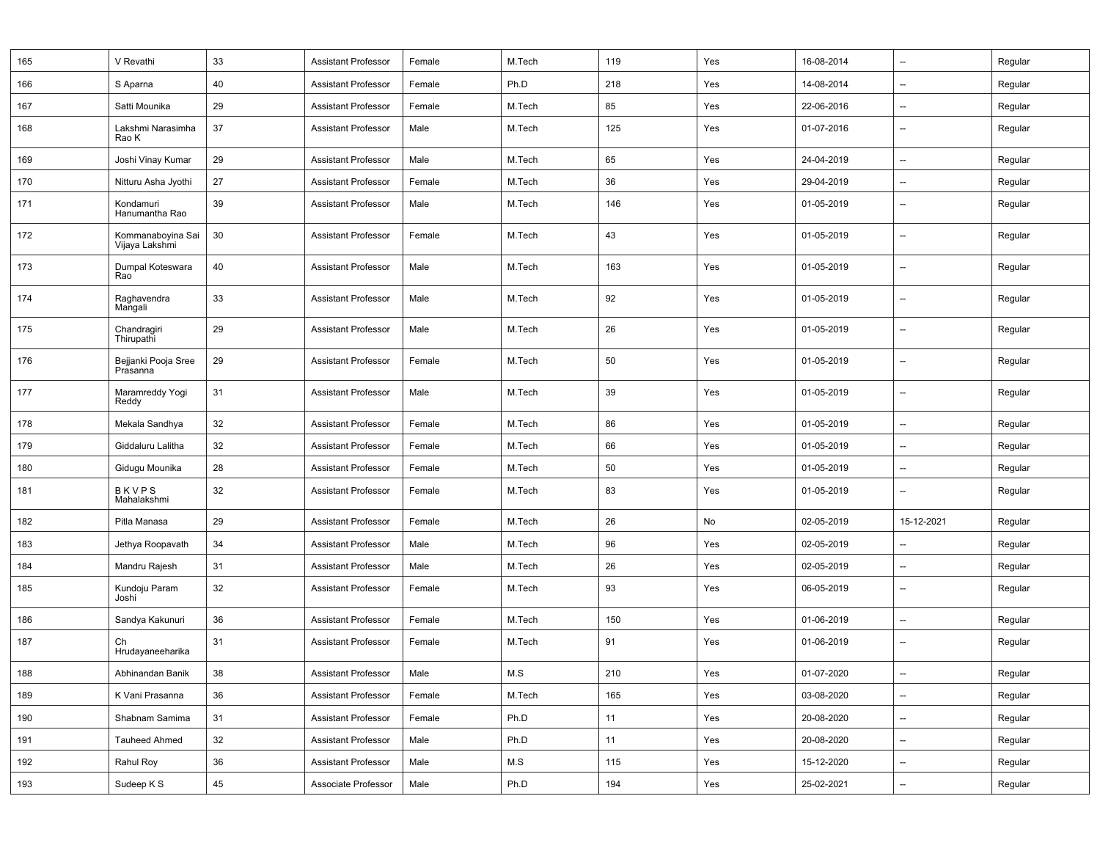| 165 | V Revathi                           | 33     | <b>Assistant Professor</b> | Female | M.Tech | 119 | Yes | 16-08-2014 | $\overline{\phantom{a}}$ | Regular |
|-----|-------------------------------------|--------|----------------------------|--------|--------|-----|-----|------------|--------------------------|---------|
| 166 | S Aparna                            | 40     | Assistant Professor        | Female | Ph.D   | 218 | Yes | 14-08-2014 | $\overline{\phantom{a}}$ | Regular |
| 167 | Satti Mounika                       | 29     | <b>Assistant Professor</b> | Female | M.Tech | 85  | Yes | 22-06-2016 | $\overline{\phantom{a}}$ | Regular |
| 168 | Lakshmi Narasimha<br>Rao K          | 37     | <b>Assistant Professor</b> | Male   | M.Tech | 125 | Yes | 01-07-2016 | $\overline{\phantom{a}}$ | Regular |
| 169 | Joshi Vinay Kumar                   | 29     | <b>Assistant Professor</b> | Male   | M.Tech | 65  | Yes | 24-04-2019 | --                       | Regular |
| 170 | Nitturu Asha Jyothi                 | 27     | <b>Assistant Professor</b> | Female | M.Tech | 36  | Yes | 29-04-2019 | $\overline{\phantom{a}}$ | Regular |
| 171 | Kondamuri<br>Hanumantha Rao         | 39     | <b>Assistant Professor</b> | Male   | M.Tech | 146 | Yes | 01-05-2019 | $\overline{\phantom{a}}$ | Regular |
| 172 | Kommanaboyina Sai<br>Vijaya Lakshmi | 30     | Assistant Professor        | Female | M.Tech | 43  | Yes | 01-05-2019 | $\overline{\phantom{a}}$ | Regular |
| 173 | Dumpal Koteswara<br>Rao             | 40     | <b>Assistant Professor</b> | Male   | M.Tech | 163 | Yes | 01-05-2019 | $\overline{\phantom{a}}$ | Regular |
| 174 | Raghavendra<br>Mangali              | 33     | <b>Assistant Professor</b> | Male   | M.Tech | 92  | Yes | 01-05-2019 | $\overline{\phantom{a}}$ | Regular |
| 175 | Chandragiri<br>Thirupathi           | 29     | <b>Assistant Professor</b> | Male   | M.Tech | 26  | Yes | 01-05-2019 | $\overline{\phantom{a}}$ | Regular |
| 176 | Bejjanki Pooja Sree<br>Prasanna     | 29     | Assistant Professor        | Female | M.Tech | 50  | Yes | 01-05-2019 | $\overline{\phantom{a}}$ | Regular |
| 177 | Maramreddy Yogi<br>Reddy            | 31     | <b>Assistant Professor</b> | Male   | M.Tech | 39  | Yes | 01-05-2019 | --                       | Regular |
| 178 | Mekala Sandhya                      | 32     | <b>Assistant Professor</b> | Female | M.Tech | 86  | Yes | 01-05-2019 | $\overline{\phantom{a}}$ | Regular |
| 179 | Giddaluru Lalitha                   | 32     | <b>Assistant Professor</b> | Female | M.Tech | 66  | Yes | 01-05-2019 | $\overline{\phantom{a}}$ | Regular |
| 180 | Gidugu Mounika                      | 28     | <b>Assistant Professor</b> | Female | M.Tech | 50  | Yes | 01-05-2019 | $\overline{\phantom{a}}$ | Regular |
| 181 | <b>BKVPS</b><br>Mahalakshmi         | 32     | <b>Assistant Professor</b> | Female | M.Tech | 83  | Yes | 01-05-2019 | $\overline{\phantom{a}}$ | Regular |
| 182 | Pitla Manasa                        | 29     | <b>Assistant Professor</b> | Female | M.Tech | 26  | No  | 02-05-2019 | 15-12-2021               | Regular |
| 183 | Jethya Roopavath                    | 34     | Assistant Professor        | Male   | M.Tech | 96  | Yes | 02-05-2019 | $\overline{\phantom{a}}$ | Regular |
| 184 | Mandru Rajesh                       | 31     | <b>Assistant Professor</b> | Male   | M.Tech | 26  | Yes | 02-05-2019 | --                       | Regular |
| 185 | Kundoju Param<br>Joshi              | 32     | <b>Assistant Professor</b> | Female | M.Tech | 93  | Yes | 06-05-2019 | $\overline{\phantom{a}}$ | Regular |
| 186 | Sandya Kakunuri                     | 36     | <b>Assistant Professor</b> | Female | M.Tech | 150 | Yes | 01-06-2019 | $\qquad \qquad -$        | Regular |
| 187 | Сh<br>Hrudayaneeharika              | 31     | <b>Assistant Professor</b> | Female | M.Tech | 91  | Yes | 01-06-2019 | $\overline{\phantom{a}}$ | Regular |
| 188 | Abhinandan Banik                    | $38\,$ | Assistant Professor        | Male   | $M.S$  | 210 | Yes | 01-07-2020 | --                       | Regular |
| 189 | K Vani Prasanna                     | 36     | <b>Assistant Professor</b> | Female | M.Tech | 165 | Yes | 03-08-2020 | --                       | Regular |
| 190 | Shabnam Samima                      | 31     | <b>Assistant Professor</b> | Female | Ph.D   | 11  | Yes | 20-08-2020 | $\qquad \qquad -$        | Regular |
| 191 | <b>Tauheed Ahmed</b>                | 32     | <b>Assistant Professor</b> | Male   | Ph.D   | 11  | Yes | 20-08-2020 | --                       | Regular |
| 192 | Rahul Roy                           | 36     | <b>Assistant Professor</b> | Male   | M.S    | 115 | Yes | 15-12-2020 | $\qquad \qquad -$        | Regular |
| 193 | Sudeep K S                          | 45     | Associate Professor        | Male   | Ph.D   | 194 | Yes | 25-02-2021 | --                       | Regular |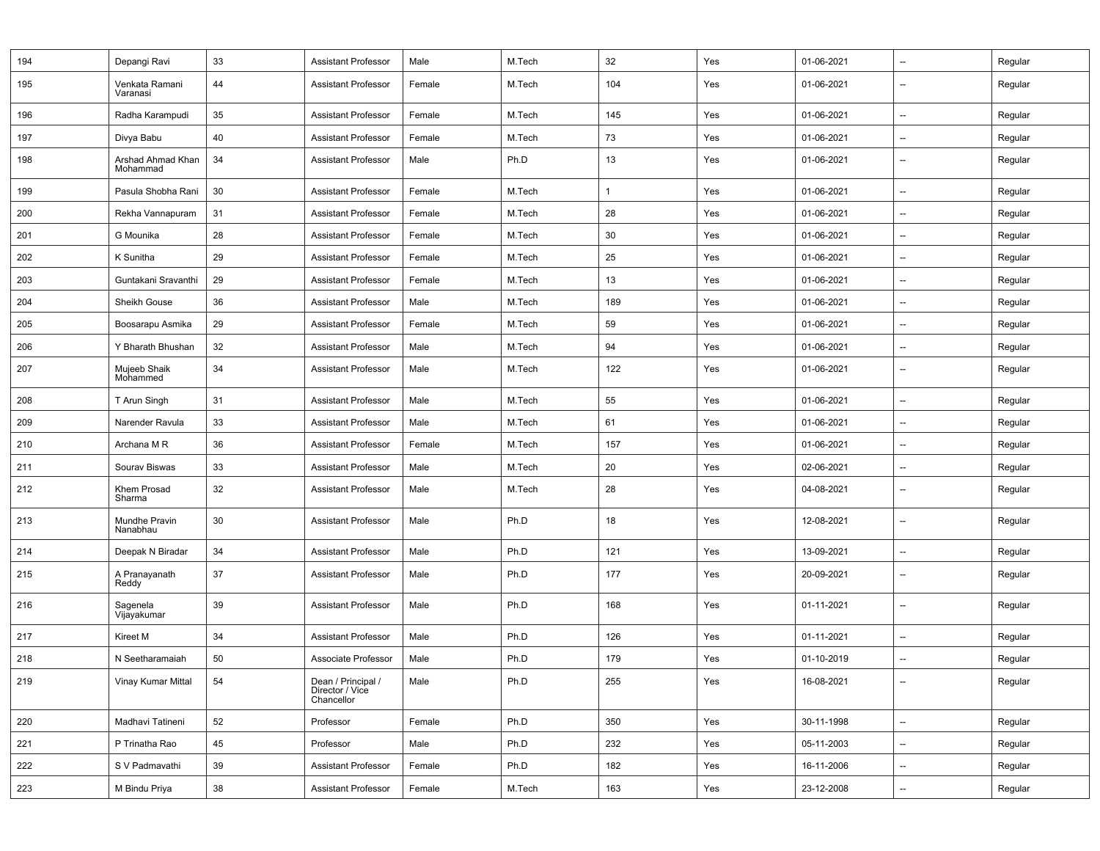| 194 | Depangi Ravi                  | 33 | <b>Assistant Professor</b>                          | Male   | M.Tech | 32  | Yes | 01-06-2021 | --                       | Regular |
|-----|-------------------------------|----|-----------------------------------------------------|--------|--------|-----|-----|------------|--------------------------|---------|
| 195 | Venkata Ramani<br>Varanasi    | 44 | <b>Assistant Professor</b>                          | Female | M.Tech | 104 | Yes | 01-06-2021 | $\overline{\phantom{a}}$ | Regular |
| 196 | Radha Karampudi               | 35 | <b>Assistant Professor</b>                          | Female | M.Tech | 145 | Yes | 01-06-2021 | $\overline{\phantom{a}}$ | Regular |
| 197 | Divya Babu                    | 40 | <b>Assistant Professor</b>                          | Female | M.Tech | 73  | Yes | 01-06-2021 | $\overline{\phantom{a}}$ | Regular |
| 198 | Arshad Ahmad Khan<br>Mohammad | 34 | <b>Assistant Professor</b>                          | Male   | Ph.D   | 13  | Yes | 01-06-2021 | $\overline{\phantom{a}}$ | Regular |
| 199 | Pasula Shobha Rani            | 30 | <b>Assistant Professor</b>                          | Female | M.Tech | 1   | Yes | 01-06-2021 | --                       | Regular |
| 200 | Rekha Vannapuram              | 31 | <b>Assistant Professor</b>                          | Female | M.Tech | 28  | Yes | 01-06-2021 | $\overline{\phantom{a}}$ | Regular |
| 201 | G Mounika                     | 28 | <b>Assistant Professor</b>                          | Female | M.Tech | 30  | Yes | 01-06-2021 | $\overline{\phantom{a}}$ | Regular |
| 202 | K Sunitha                     | 29 | <b>Assistant Professor</b>                          | Female | M.Tech | 25  | Yes | 01-06-2021 | $\overline{\phantom{a}}$ | Regular |
| 203 | Guntakani Sravanthi           | 29 | <b>Assistant Professor</b>                          | Female | M.Tech | 13  | Yes | 01-06-2021 | $\overline{\phantom{a}}$ | Regular |
| 204 | Sheikh Gouse                  | 36 | <b>Assistant Professor</b>                          | Male   | M.Tech | 189 | Yes | 01-06-2021 | $\overline{\phantom{a}}$ | Regular |
| 205 | Boosarapu Asmika              | 29 | <b>Assistant Professor</b>                          | Female | M.Tech | 59  | Yes | 01-06-2021 | $\overline{\phantom{a}}$ | Regular |
| 206 | Y Bharath Bhushan             | 32 | <b>Assistant Professor</b>                          | Male   | M.Tech | 94  | Yes | 01-06-2021 | $\overline{\phantom{a}}$ | Regular |
| 207 | Mujeeb Shaik<br>Mohammed      | 34 | <b>Assistant Professor</b>                          | Male   | M.Tech | 122 | Yes | 01-06-2021 | --                       | Regular |
| 208 | T Arun Singh                  | 31 | <b>Assistant Professor</b>                          | Male   | M.Tech | 55  | Yes | 01-06-2021 | $\overline{\phantom{a}}$ | Regular |
| 209 | Narender Ravula               | 33 | <b>Assistant Professor</b>                          | Male   | M.Tech | 61  | Yes | 01-06-2021 | $\overline{\phantom{a}}$ | Regular |
| 210 | Archana M R                   | 36 | <b>Assistant Professor</b>                          | Female | M.Tech | 157 | Yes | 01-06-2021 | --                       | Regular |
| 211 | Sourav Biswas                 | 33 | <b>Assistant Professor</b>                          | Male   | M.Tech | 20  | Yes | 02-06-2021 | --                       | Regular |
| 212 | Khem Prosad<br>Sharma         | 32 | <b>Assistant Professor</b>                          | Male   | M.Tech | 28  | Yes | 04-08-2021 | $\overline{\phantom{a}}$ | Regular |
| 213 | Mundhe Pravin<br>Nanabhau     | 30 | <b>Assistant Professor</b>                          | Male   | Ph.D   | 18  | Yes | 12-08-2021 | $\overline{\phantom{a}}$ | Regular |
| 214 | Deepak N Biradar              | 34 | <b>Assistant Professor</b>                          | Male   | Ph.D   | 121 | Yes | 13-09-2021 | --                       | Regular |
| 215 | A Pranayanath<br>Reddy        | 37 | <b>Assistant Professor</b>                          | Male   | Ph.D   | 177 | Yes | 20-09-2021 | $\overline{\phantom{a}}$ | Regular |
| 216 | Sagenela<br>Vijayakumar       | 39 | <b>Assistant Professor</b>                          | Male   | Ph.D   | 168 | Yes | 01-11-2021 | $\overline{\phantom{a}}$ | Regular |
| 217 | Kireet M                      | 34 | <b>Assistant Professor</b>                          | Male   | Ph.D   | 126 | Yes | 01-11-2021 | $\overline{\phantom{a}}$ | Regular |
| 218 | N Seetharamaiah               | 50 | Associate Professor                                 | Male   | Ph.D   | 179 | Yes | 01-10-2019 | $\overline{\phantom{a}}$ | Regular |
| 219 | Vinay Kumar Mittal            | 54 | Dean / Principal /<br>Director / Vice<br>Chancellor | Male   | Ph.D   | 255 | Yes | 16-08-2021 | $\overline{\phantom{a}}$ | Regular |
| 220 | Madhavi Tatineni              | 52 | Professor                                           | Female | Ph.D   | 350 | Yes | 30-11-1998 | $\overline{\phantom{a}}$ | Regular |
| 221 | P Trinatha Rao                | 45 | Professor                                           | Male   | Ph.D   | 232 | Yes | 05-11-2003 | $\overline{\phantom{a}}$ | Regular |
| 222 | S V Padmavathi                | 39 | <b>Assistant Professor</b>                          | Female | Ph.D   | 182 | Yes | 16-11-2006 | --                       | Regular |
| 223 | M Bindu Priya                 | 38 | <b>Assistant Professor</b>                          | Female | M.Tech | 163 | Yes | 23-12-2008 | --                       | Regular |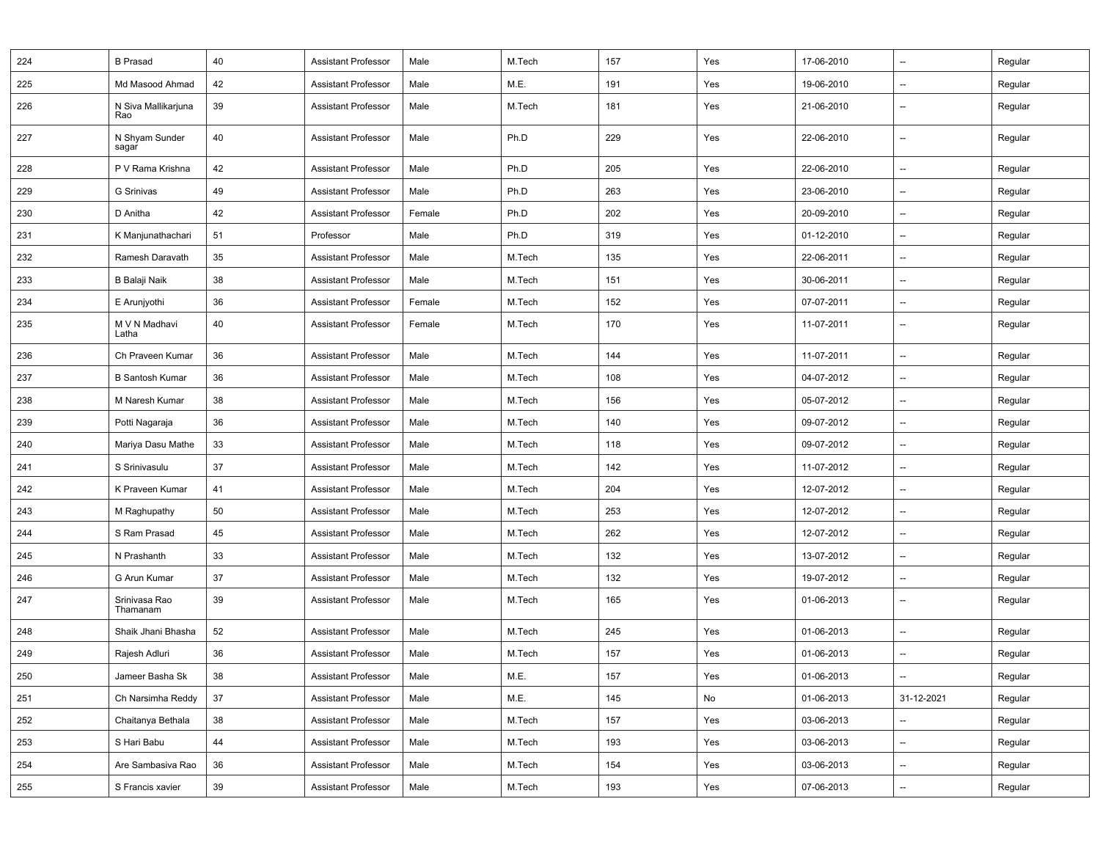| 224 | <b>B</b> Prasad            | 40 | <b>Assistant Professor</b> | Male   | M.Tech | 157 | Yes | 17-06-2010 | $\overline{\phantom{a}}$ | Regular |
|-----|----------------------------|----|----------------------------|--------|--------|-----|-----|------------|--------------------------|---------|
| 225 | Md Masood Ahmad            | 42 | <b>Assistant Professor</b> | Male   | M.E.   | 191 | Yes | 19-06-2010 | $\overline{\phantom{a}}$ | Regular |
| 226 | N Siva Mallikarjuna<br>Rao | 39 | <b>Assistant Professor</b> | Male   | M.Tech | 181 | Yes | 21-06-2010 | $\overline{\phantom{a}}$ | Regular |
| 227 | N Shyam Sunder<br>sagar    | 40 | <b>Assistant Professor</b> | Male   | Ph.D   | 229 | Yes | 22-06-2010 | $\overline{\phantom{a}}$ | Regular |
| 228 | P V Rama Krishna           | 42 | <b>Assistant Professor</b> | Male   | Ph.D   | 205 | Yes | 22-06-2010 | --                       | Regular |
| 229 | <b>G</b> Srinivas          | 49 | <b>Assistant Professor</b> | Male   | Ph.D   | 263 | Yes | 23-06-2010 | $\overline{\phantom{a}}$ | Regular |
| 230 | D Anitha                   | 42 | <b>Assistant Professor</b> | Female | Ph.D   | 202 | Yes | 20-09-2010 | --                       | Regular |
| 231 | K Manjunathachari          | 51 | Professor                  | Male   | Ph.D   | 319 | Yes | 01-12-2010 | $\overline{\phantom{a}}$ | Regular |
| 232 | Ramesh Daravath            | 35 | <b>Assistant Professor</b> | Male   | M.Tech | 135 | Yes | 22-06-2011 | --                       | Regular |
| 233 | B Balaji Naik              | 38 | <b>Assistant Professor</b> | Male   | M.Tech | 151 | Yes | 30-06-2011 | $\qquad \qquad \cdots$   | Regular |
| 234 | E Arunjyothi               | 36 | <b>Assistant Professor</b> | Female | M.Tech | 152 | Yes | 07-07-2011 | --                       | Regular |
| 235 | M V N Madhavi<br>Latha     | 40 | <b>Assistant Professor</b> | Female | M.Tech | 170 | Yes | 11-07-2011 | $\overline{\phantom{a}}$ | Regular |
| 236 | Ch Praveen Kumar           | 36 | <b>Assistant Professor</b> | Male   | M.Tech | 144 | Yes | 11-07-2011 | $\overline{\phantom{a}}$ | Regular |
| 237 | <b>B Santosh Kumar</b>     | 36 | <b>Assistant Professor</b> | Male   | M.Tech | 108 | Yes | 04-07-2012 | --                       | Regular |
| 238 | M Naresh Kumar             | 38 | <b>Assistant Professor</b> | Male   | M.Tech | 156 | Yes | 05-07-2012 | --                       | Regular |
| 239 | Potti Nagaraja             | 36 | <b>Assistant Professor</b> | Male   | M.Tech | 140 | Yes | 09-07-2012 | --                       | Regular |
| 240 | Mariya Dasu Mathe          | 33 | <b>Assistant Professor</b> | Male   | M.Tech | 118 | Yes | 09-07-2012 | --                       | Regular |
| 241 | S Srinivasulu              | 37 | <b>Assistant Professor</b> | Male   | M.Tech | 142 | Yes | 11-07-2012 | $\overline{\phantom{a}}$ | Regular |
| 242 | K Praveen Kumar            | 41 | <b>Assistant Professor</b> | Male   | M.Tech | 204 | Yes | 12-07-2012 | --                       | Regular |
| 243 | M Raghupathy               | 50 | <b>Assistant Professor</b> | Male   | M.Tech | 253 | Yes | 12-07-2012 | $\overline{\phantom{a}}$ | Regular |
| 244 | S Ram Prasad               | 45 | <b>Assistant Professor</b> | Male   | M.Tech | 262 | Yes | 12-07-2012 | $\overline{\phantom{a}}$ | Regular |
| 245 | N Prashanth                | 33 | <b>Assistant Professor</b> | Male   | M.Tech | 132 | Yes | 13-07-2012 | $\overline{\phantom{a}}$ | Regular |
| 246 | G Arun Kumar               | 37 | <b>Assistant Professor</b> | Male   | M.Tech | 132 | Yes | 19-07-2012 | $\overline{\phantom{a}}$ | Regular |
| 247 | Srinivasa Rao<br>Thamanam  | 39 | <b>Assistant Professor</b> | Male   | M.Tech | 165 | Yes | 01-06-2013 | $\overline{\phantom{a}}$ | Regular |
| 248 | Shaik Jhani Bhasha         | 52 | <b>Assistant Professor</b> | Male   | M.Tech | 245 | Yes | 01-06-2013 | $\overline{\phantom{a}}$ | Regular |
| 249 | Rajesh Adluri              | 36 | <b>Assistant Professor</b> | Male   | M.Tech | 157 | Yes | 01-06-2013 | $\overline{\phantom{a}}$ | Regular |
| 250 | Jameer Basha Sk            | 38 | Assistant Professor        | Male   | M.E.   | 157 | Yes | 01-06-2013 | --                       | Regular |
| 251 | Ch Narsimha Reddy          | 37 | <b>Assistant Professor</b> | Male   | M.E.   | 145 | No  | 01-06-2013 | 31-12-2021               | Regular |
| 252 | Chaitanya Bethala          | 38 | <b>Assistant Professor</b> | Male   | M.Tech | 157 | Yes | 03-06-2013 | $\overline{\phantom{a}}$ | Regular |
| 253 | S Hari Babu                | 44 | <b>Assistant Professor</b> | Male   | M.Tech | 193 | Yes | 03-06-2013 | --                       | Regular |
| 254 | Are Sambasiva Rao          | 36 | <b>Assistant Professor</b> | Male   | M.Tech | 154 | Yes | 03-06-2013 | --                       | Regular |
| 255 | S Francis xavier           | 39 | <b>Assistant Professor</b> | Male   | M.Tech | 193 | Yes | 07-06-2013 | $\overline{\phantom{a}}$ | Regular |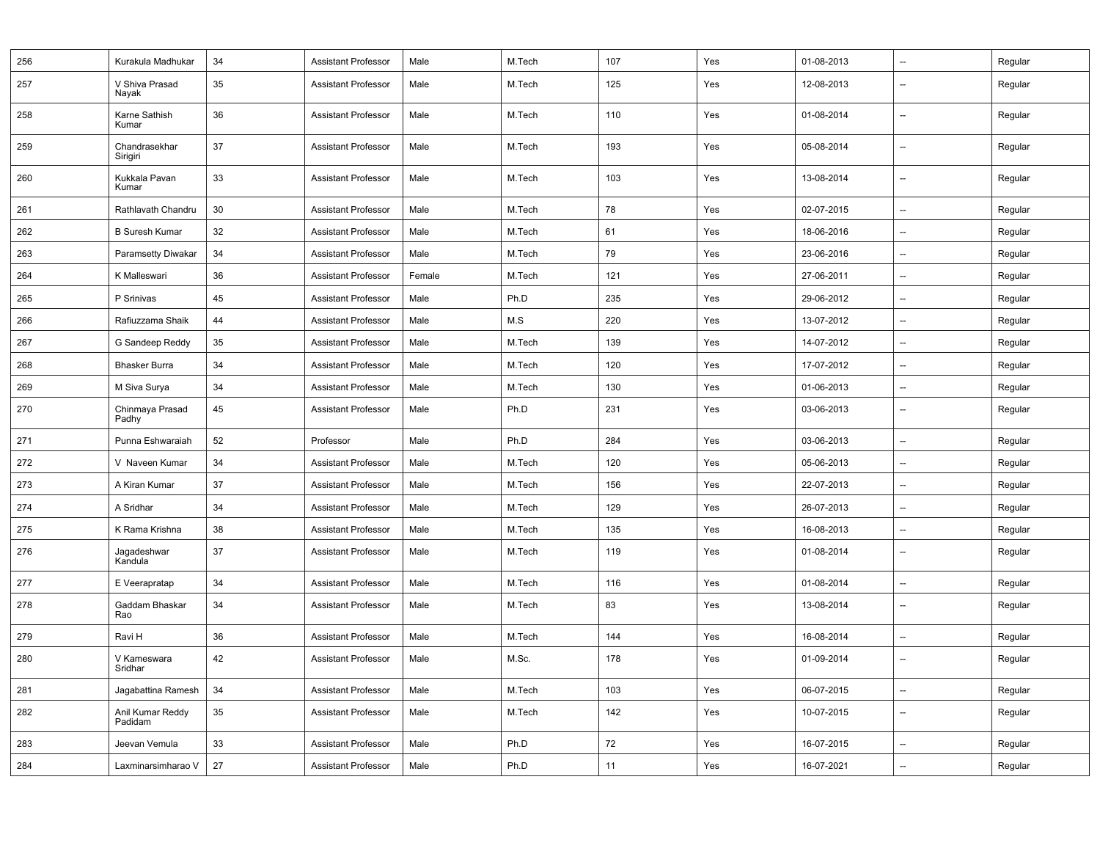| 256 | Kurakula Madhukar           | 34 | <b>Assistant Professor</b> | Male   | M.Tech | 107 | Yes | 01-08-2013 | $\overline{a}$           | Regular |
|-----|-----------------------------|----|----------------------------|--------|--------|-----|-----|------------|--------------------------|---------|
| 257 | V Shiva Prasad<br>Nayak     | 35 | <b>Assistant Professor</b> | Male   | M.Tech | 125 | Yes | 12-08-2013 | $\overline{a}$           | Regular |
| 258 | Karne Sathish<br>Kumar      | 36 | <b>Assistant Professor</b> | Male   | M.Tech | 110 | Yes | 01-08-2014 | $\overline{a}$           | Regular |
| 259 | Chandrasekhar<br>Sirigiri   | 37 | <b>Assistant Professor</b> | Male   | M.Tech | 193 | Yes | 05-08-2014 | $\overline{a}$           | Regular |
| 260 | Kukkala Pavan<br>Kumar      | 33 | <b>Assistant Professor</b> | Male   | M.Tech | 103 | Yes | 13-08-2014 | $\overline{a}$           | Regular |
| 261 | Rathlavath Chandru          | 30 | <b>Assistant Professor</b> | Male   | M.Tech | 78  | Yes | 02-07-2015 | $\overline{\phantom{a}}$ | Regular |
| 262 | <b>B Suresh Kumar</b>       | 32 | <b>Assistant Professor</b> | Male   | M.Tech | 61  | Yes | 18-06-2016 | $\sim$                   | Regular |
| 263 | Paramsetty Diwakar          | 34 | <b>Assistant Professor</b> | Male   | M.Tech | 79  | Yes | 23-06-2016 | $\overline{\phantom{a}}$ | Regular |
| 264 | K Malleswari                | 36 | <b>Assistant Professor</b> | Female | M.Tech | 121 | Yes | 27-06-2011 | $\overline{a}$           | Regular |
| 265 | P Srinivas                  | 45 | <b>Assistant Professor</b> | Male   | Ph.D   | 235 | Yes | 29-06-2012 | $\overline{a}$           | Regular |
| 266 | Rafiuzzama Shaik            | 44 | <b>Assistant Professor</b> | Male   | M.S    | 220 | Yes | 13-07-2012 | $\overline{\phantom{a}}$ | Regular |
| 267 | G Sandeep Reddy             | 35 | <b>Assistant Professor</b> | Male   | M.Tech | 139 | Yes | 14-07-2012 | $\overline{a}$           | Regular |
| 268 | <b>Bhasker Burra</b>        | 34 | <b>Assistant Professor</b> | Male   | M.Tech | 120 | Yes | 17-07-2012 | $\overline{\phantom{a}}$ | Regular |
| 269 | M Siva Surya                | 34 | <b>Assistant Professor</b> | Male   | M.Tech | 130 | Yes | 01-06-2013 | $\overline{a}$           | Regular |
| 270 | Chinmaya Prasad<br>Padhy    | 45 | <b>Assistant Professor</b> | Male   | Ph.D   | 231 | Yes | 03-06-2013 | $\overline{a}$           | Regular |
| 271 | Punna Eshwaraiah            | 52 | Professor                  | Male   | Ph.D   | 284 | Yes | 03-06-2013 | $\overline{a}$           | Regular |
| 272 | V Naveen Kumar              | 34 | <b>Assistant Professor</b> | Male   | M.Tech | 120 | Yes | 05-06-2013 | $\overline{a}$           | Regular |
| 273 | A Kiran Kumar               | 37 | <b>Assistant Professor</b> | Male   | M.Tech | 156 | Yes | 22-07-2013 | $\overline{\phantom{a}}$ | Regular |
| 274 | A Sridhar                   | 34 | <b>Assistant Professor</b> | Male   | M.Tech | 129 | Yes | 26-07-2013 | $\overline{\phantom{a}}$ | Regular |
| 275 | K Rama Krishna              | 38 | <b>Assistant Professor</b> | Male   | M.Tech | 135 | Yes | 16-08-2013 | $\overline{\phantom{a}}$ | Regular |
| 276 | Jagadeshwar<br>Kandula      | 37 | <b>Assistant Professor</b> | Male   | M.Tech | 119 | Yes | 01-08-2014 | $\overline{a}$           | Regular |
| 277 | E Veerapratap               | 34 | <b>Assistant Professor</b> | Male   | M.Tech | 116 | Yes | 01-08-2014 | $\overline{\phantom{a}}$ | Regular |
| 278 | Gaddam Bhaskar<br>Rao       | 34 | <b>Assistant Professor</b> | Male   | M.Tech | 83  | Yes | 13-08-2014 | $\overline{a}$           | Regular |
| 279 | Ravi H                      | 36 | <b>Assistant Professor</b> | Male   | M.Tech | 144 | Yes | 16-08-2014 | $\overline{\phantom{a}}$ | Regular |
| 280 | V Kameswara<br>Sridhar      | 42 | <b>Assistant Professor</b> | Male   | M.Sc.  | 178 | Yes | 01-09-2014 | $\overline{a}$           | Regular |
| 281 | Jagabattina Ramesh          | 34 | <b>Assistant Professor</b> | Male   | M.Tech | 103 | Yes | 06-07-2015 | $\overline{\phantom{a}}$ | Regular |
| 282 | Anil Kumar Reddy<br>Padidam | 35 | <b>Assistant Professor</b> | Male   | M.Tech | 142 | Yes | 10-07-2015 | $\overline{a}$           | Regular |
| 283 | Jeevan Vemula               | 33 | <b>Assistant Professor</b> | Male   | Ph.D   | 72  | Yes | 16-07-2015 | $\overline{\phantom{a}}$ | Regular |
| 284 | Laxminarsimharao V          | 27 | <b>Assistant Professor</b> | Male   | Ph.D   | 11  | Yes | 16-07-2021 | $\overline{\phantom{a}}$ | Regular |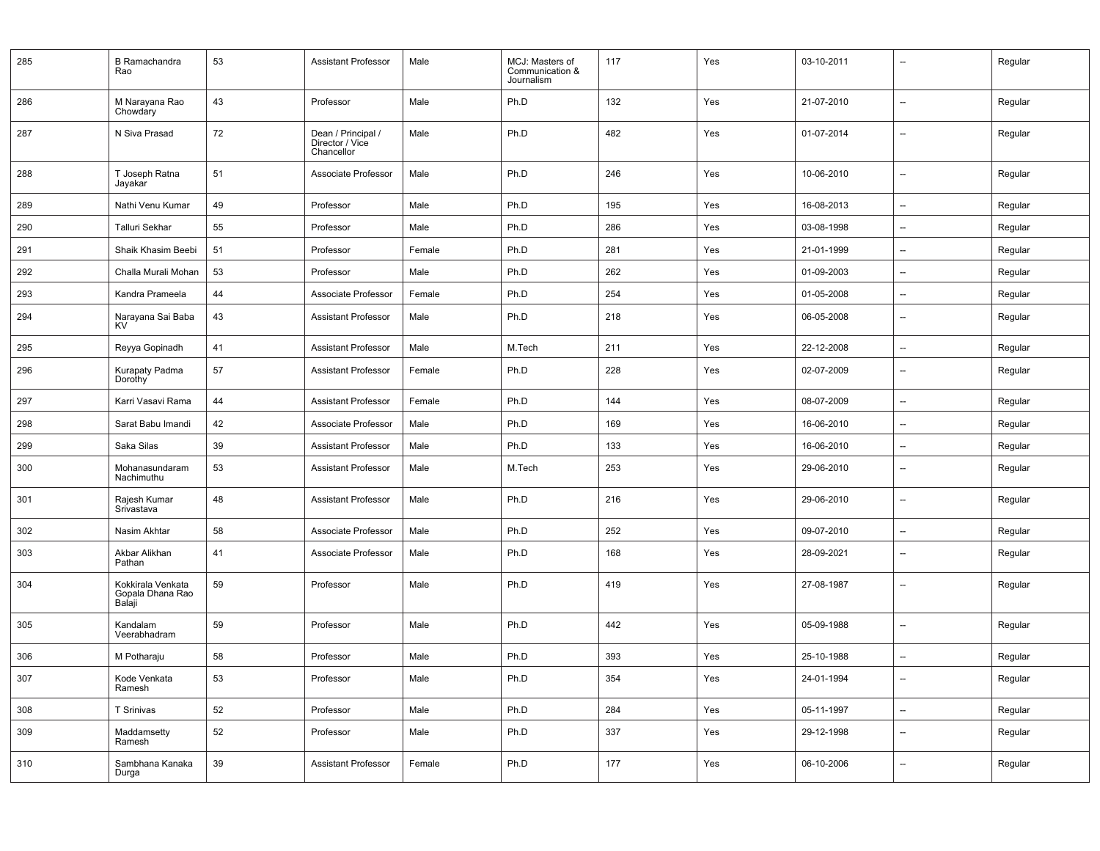| 285 | <b>B</b> Ramachandra<br>Rao                     | 53 | Assistant Professor                                 | Male   | MCJ: Masters of<br>Communication &<br>Journalism | 117 | Yes | 03-10-2011 | $\overline{\phantom{a}}$ | Regular |
|-----|-------------------------------------------------|----|-----------------------------------------------------|--------|--------------------------------------------------|-----|-----|------------|--------------------------|---------|
| 286 | M Narayana Rao<br>Chowdary                      | 43 | Professor                                           | Male   | Ph.D                                             | 132 | Yes | 21-07-2010 | $\overline{\phantom{a}}$ | Regular |
| 287 | N Siva Prasad                                   | 72 | Dean / Principal /<br>Director / Vice<br>Chancellor | Male   | Ph.D                                             | 482 | Yes | 01-07-2014 | $\overline{\phantom{a}}$ | Regular |
| 288 | T Joseph Ratna<br>Jayakar                       | 51 | Associate Professor                                 | Male   | Ph.D                                             | 246 | Yes | 10-06-2010 | $\overline{\phantom{a}}$ | Regular |
| 289 | Nathi Venu Kumar                                | 49 | Professor                                           | Male   | Ph.D                                             | 195 | Yes | 16-08-2013 | $\overline{\phantom{a}}$ | Regular |
| 290 | <b>Talluri Sekhar</b>                           | 55 | Professor                                           | Male   | Ph.D                                             | 286 | Yes | 03-08-1998 | $\overline{\phantom{a}}$ | Regular |
| 291 | Shaik Khasim Beebi                              | 51 | Professor                                           | Female | Ph.D                                             | 281 | Yes | 21-01-1999 | $\overline{\phantom{a}}$ | Regular |
| 292 | Challa Murali Mohan                             | 53 | Professor                                           | Male   | Ph.D                                             | 262 | Yes | 01-09-2003 | $\overline{\phantom{a}}$ | Regular |
| 293 | Kandra Prameela                                 | 44 | Associate Professor                                 | Female | Ph.D                                             | 254 | Yes | 01-05-2008 | $\overline{\phantom{a}}$ | Regular |
| 294 | Narayana Sai Baba<br><b>KV</b>                  | 43 | <b>Assistant Professor</b>                          | Male   | Ph.D                                             | 218 | Yes | 06-05-2008 | $\overline{\phantom{a}}$ | Regular |
| 295 | Reyya Gopinadh                                  | 41 | <b>Assistant Professor</b>                          | Male   | M.Tech                                           | 211 | Yes | 22-12-2008 | $\overline{\phantom{a}}$ | Regular |
| 296 | Kurapaty Padma<br>Dorothy                       | 57 | <b>Assistant Professor</b>                          | Female | Ph.D                                             | 228 | Yes | 02-07-2009 | $\overline{\phantom{a}}$ | Regular |
| 297 | Karri Vasavi Rama                               | 44 | <b>Assistant Professor</b>                          | Female | Ph.D                                             | 144 | Yes | 08-07-2009 | $\overline{\phantom{a}}$ | Regular |
| 298 | Sarat Babu Imandi                               | 42 | Associate Professor                                 | Male   | Ph.D                                             | 169 | Yes | 16-06-2010 | $\overline{\phantom{a}}$ | Regular |
| 299 | Saka Silas                                      | 39 | <b>Assistant Professor</b>                          | Male   | Ph.D                                             | 133 | Yes | 16-06-2010 | $\overline{\phantom{a}}$ | Regular |
| 300 | Mohanasundaram<br>Nachimuthu                    | 53 | <b>Assistant Professor</b>                          | Male   | M.Tech                                           | 253 | Yes | 29-06-2010 | $\overline{\phantom{a}}$ | Regular |
| 301 | Rajesh Kumar<br>Srivastava                      | 48 | <b>Assistant Professor</b>                          | Male   | Ph.D                                             | 216 | Yes | 29-06-2010 | $\overline{\phantom{a}}$ | Regular |
| 302 | Nasim Akhtar                                    | 58 | Associate Professor                                 | Male   | Ph.D                                             | 252 | Yes | 09-07-2010 | $\overline{\phantom{a}}$ | Regular |
| 303 | Akbar Alikhan<br>Pathan                         | 41 | Associate Professor                                 | Male   | Ph.D                                             | 168 | Yes | 28-09-2021 | $\overline{\phantom{a}}$ | Regular |
| 304 | Kokkirala Venkata<br>Gopala Dhana Rao<br>Balaji | 59 | Professor                                           | Male   | Ph.D                                             | 419 | Yes | 27-08-1987 | $\overline{\phantom{a}}$ | Regular |
| 305 | Kandalam<br>Veerabhadram                        | 59 | Professor                                           | Male   | Ph.D                                             | 442 | Yes | 05-09-1988 | $\overline{\phantom{a}}$ | Regular |
| 306 | M Potharaju                                     | 58 | Professor                                           | Male   | Ph.D                                             | 393 | Yes | 25-10-1988 | $\overline{\phantom{a}}$ | Regular |
| 307 | Kode Venkata<br>Ramesh                          | 53 | Professor                                           | Male   | Ph.D                                             | 354 | Yes | 24-01-1994 | $\overline{\phantom{a}}$ | Regular |
| 308 | T Srinivas                                      | 52 | Professor                                           | Male   | Ph.D                                             | 284 | Yes | 05-11-1997 | $\overline{\phantom{a}}$ | Regular |
| 309 | Maddamsetty<br>Ramesh                           | 52 | Professor                                           | Male   | Ph.D                                             | 337 | Yes | 29-12-1998 | $\overline{\phantom{a}}$ | Regular |
| 310 | Sambhana Kanaka<br>Durga                        | 39 | <b>Assistant Professor</b>                          | Female | Ph.D                                             | 177 | Yes | 06-10-2006 | $\overline{\phantom{a}}$ | Regular |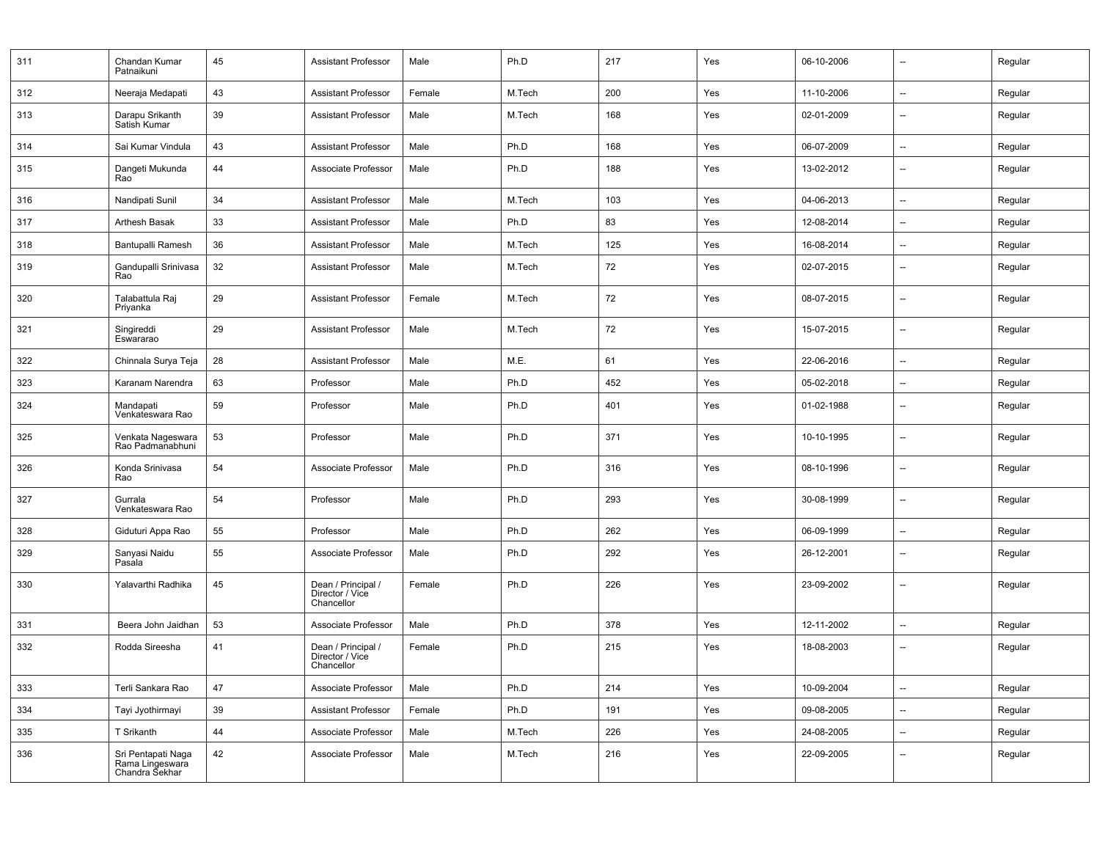| 311 | Chandan Kumar<br>Patnaikuni                             | 45 | <b>Assistant Professor</b>                          | Male   | Ph.D   | 217 | Yes | 06-10-2006 | $\overline{\phantom{a}}$ | Regular |
|-----|---------------------------------------------------------|----|-----------------------------------------------------|--------|--------|-----|-----|------------|--------------------------|---------|
| 312 | Neeraja Medapati                                        | 43 | <b>Assistant Professor</b>                          | Female | M.Tech | 200 | Yes | 11-10-2006 | $\overline{\phantom{a}}$ | Regular |
| 313 | Darapu Srikanth<br>Satish Kumar                         | 39 | <b>Assistant Professor</b>                          | Male   | M.Tech | 168 | Yes | 02-01-2009 | $\overline{\phantom{a}}$ | Regular |
| 314 | Sai Kumar Vindula                                       | 43 | <b>Assistant Professor</b>                          | Male   | Ph.D   | 168 | Yes | 06-07-2009 | $\overline{\phantom{a}}$ | Regular |
| 315 | Dangeti Mukunda<br>Rao                                  | 44 | Associate Professor                                 | Male   | Ph.D   | 188 | Yes | 13-02-2012 | --                       | Regular |
| 316 | Nandipati Sunil                                         | 34 | <b>Assistant Professor</b>                          | Male   | M.Tech | 103 | Yes | 04-06-2013 | $\overline{\phantom{a}}$ | Regular |
| 317 | Arthesh Basak                                           | 33 | <b>Assistant Professor</b>                          | Male   | Ph.D   | 83  | Yes | 12-08-2014 | $\overline{\phantom{a}}$ | Regular |
| 318 | Bantupalli Ramesh                                       | 36 | <b>Assistant Professor</b>                          | Male   | M.Tech | 125 | Yes | 16-08-2014 | --                       | Regular |
| 319 | Gandupalli Srinivasa<br>Rao                             | 32 | <b>Assistant Professor</b>                          | Male   | M.Tech | 72  | Yes | 02-07-2015 | $\overline{\phantom{a}}$ | Regular |
| 320 | Talabattula Raj<br>Priyanka                             | 29 | <b>Assistant Professor</b>                          | Female | M.Tech | 72  | Yes | 08-07-2015 | $\overline{\phantom{a}}$ | Regular |
| 321 | Singireddi<br>Eswararao                                 | 29 | <b>Assistant Professor</b>                          | Male   | M.Tech | 72  | Yes | 15-07-2015 | $\overline{\phantom{a}}$ | Regular |
| 322 | Chinnala Surya Teja                                     | 28 | <b>Assistant Professor</b>                          | Male   | M.E.   | 61  | Yes | 22-06-2016 | $\qquad \qquad \cdots$   | Regular |
| 323 | Karanam Narendra                                        | 63 | Professor                                           | Male   | Ph.D   | 452 | Yes | 05-02-2018 | $\overline{\phantom{a}}$ | Regular |
| 324 | Mandapati<br>Venkateswara Rao                           | 59 | Professor                                           | Male   | Ph.D   | 401 | Yes | 01-02-1988 | $\overline{\phantom{a}}$ | Regular |
| 325 | Venkata Nageswara<br>Rao Padmanabhuni                   | 53 | Professor                                           | Male   | Ph.D   | 371 | Yes | 10-10-1995 | $\overline{\phantom{a}}$ | Regular |
| 326 | Konda Srinivasa<br>Rao                                  | 54 | Associate Professor                                 | Male   | Ph.D   | 316 | Yes | 08-10-1996 | $\overline{\phantom{a}}$ | Regular |
| 327 | Gurrala<br>Venkateswara Rao                             | 54 | Professor                                           | Male   | Ph.D   | 293 | Yes | 30-08-1999 | $\overline{\phantom{a}}$ | Regular |
| 328 | Giduturi Appa Rao                                       | 55 | Professor                                           | Male   | Ph.D   | 262 | Yes | 06-09-1999 | $\overline{\phantom{a}}$ | Regular |
| 329 | Sanyasi Naidu<br>Pasala                                 | 55 | Associate Professor                                 | Male   | Ph.D   | 292 | Yes | 26-12-2001 | --                       | Regular |
| 330 | Yalavarthi Radhika                                      | 45 | Dean / Principal /<br>Director / Vice<br>Chancellor | Female | Ph.D   | 226 | Yes | 23-09-2002 | $\overline{\phantom{a}}$ | Regular |
| 331 | Beera John Jaidhan                                      | 53 | Associate Professor                                 | Male   | Ph.D   | 378 | Yes | 12-11-2002 | $\qquad \qquad \cdots$   | Regular |
| 332 | Rodda Sireesha                                          | 41 | Dean / Principal /<br>Director / Vice<br>Chancellor | Female | Ph.D   | 215 | Yes | 18-08-2003 | $\overline{\phantom{a}}$ | Regular |
| 333 | Terli Sankara Rao                                       | 47 | Associate Professor                                 | Male   | Ph.D   | 214 | Yes | 10-09-2004 | --                       | Regular |
| 334 | Tayi Jyothirmayi                                        | 39 | <b>Assistant Professor</b>                          | Female | Ph.D   | 191 | Yes | 09-08-2005 | $\overline{\phantom{a}}$ | Regular |
| 335 | T Srikanth                                              | 44 | Associate Professor                                 | Male   | M.Tech | 226 | Yes | 24-08-2005 | --                       | Regular |
| 336 | Sri Pentapati Naga<br>Rama Lingeswara<br>Chandra Sekhar | 42 | Associate Professor                                 | Male   | M.Tech | 216 | Yes | 22-09-2005 | --                       | Regular |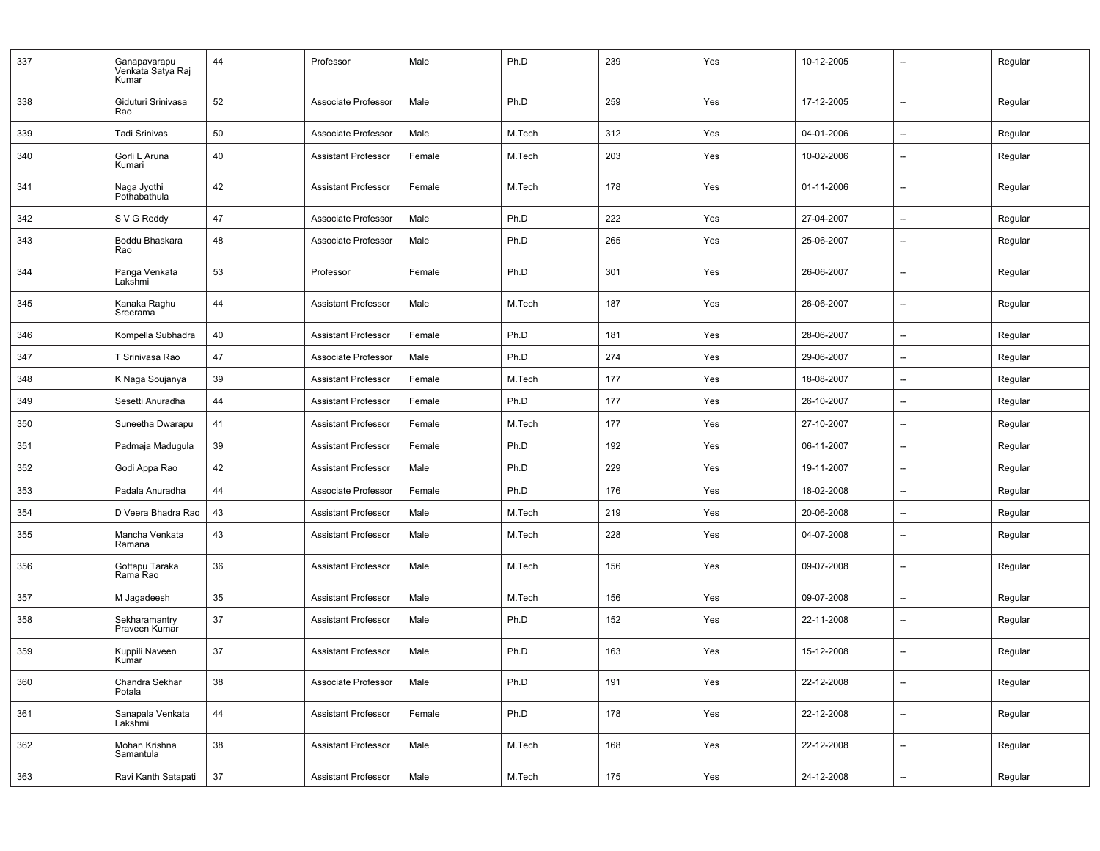| 337 | Ganapavarapu<br>Venkata Satya Raj<br>Kumar | 44 | Professor                  | Male   | Ph.D   | 239 | Yes | 10-12-2005 | --                       | Regular |
|-----|--------------------------------------------|----|----------------------------|--------|--------|-----|-----|------------|--------------------------|---------|
| 338 | Giduturi Srinivasa<br>Rao                  | 52 | Associate Professor        | Male   | Ph.D   | 259 | Yes | 17-12-2005 | $\overline{\phantom{a}}$ | Regular |
| 339 | <b>Tadi Srinivas</b>                       | 50 | Associate Professor        | Male   | M.Tech | 312 | Yes | 04-01-2006 | --                       | Regular |
| 340 | Gorli L Aruna<br>Kumari                    | 40 | <b>Assistant Professor</b> | Female | M.Tech | 203 | Yes | 10-02-2006 | $\overline{\phantom{a}}$ | Regular |
| 341 | Naga Jyothi<br>Pothabathula                | 42 | <b>Assistant Professor</b> | Female | M.Tech | 178 | Yes | 01-11-2006 | $\overline{\phantom{a}}$ | Regular |
| 342 | S V G Reddy                                | 47 | Associate Professor        | Male   | Ph.D   | 222 | Yes | 27-04-2007 | $\overline{\phantom{a}}$ | Regular |
| 343 | Boddu Bhaskara<br>Rao                      | 48 | Associate Professor        | Male   | Ph.D   | 265 | Yes | 25-06-2007 | --                       | Regular |
| 344 | Panga Venkata<br>Lakshmi                   | 53 | Professor                  | Female | Ph.D   | 301 | Yes | 26-06-2007 | $\overline{\phantom{a}}$ | Regular |
| 345 | Kanaka Raghu<br>Sreerama                   | 44 | <b>Assistant Professor</b> | Male   | M.Tech | 187 | Yes | 26-06-2007 | $\overline{\phantom{a}}$ | Regular |
| 346 | Kompella Subhadra                          | 40 | <b>Assistant Professor</b> | Female | Ph.D   | 181 | Yes | 28-06-2007 | $\overline{\phantom{a}}$ | Regular |
| 347 | T Srinivasa Rao                            | 47 | Associate Professor        | Male   | Ph.D   | 274 | Yes | 29-06-2007 | --                       | Regular |
| 348 | K Naga Soujanya                            | 39 | <b>Assistant Professor</b> | Female | M.Tech | 177 | Yes | 18-08-2007 | $\overline{\phantom{0}}$ | Regular |
| 349 | Sesetti Anuradha                           | 44 | <b>Assistant Professor</b> | Female | Ph.D   | 177 | Yes | 26-10-2007 | $\overline{\phantom{0}}$ | Regular |
| 350 | Suneetha Dwarapu                           | 41 | <b>Assistant Professor</b> | Female | M.Tech | 177 | Yes | 27-10-2007 | --                       | Regular |
| 351 | Padmaja Madugula                           | 39 | <b>Assistant Professor</b> | Female | Ph.D   | 192 | Yes | 06-11-2007 | $\overline{\phantom{0}}$ | Regular |
| 352 | Godi Appa Rao                              | 42 | <b>Assistant Professor</b> | Male   | Ph.D   | 229 | Yes | 19-11-2007 | $\overline{a}$           | Regular |
| 353 | Padala Anuradha                            | 44 | Associate Professor        | Female | Ph.D   | 176 | Yes | 18-02-2008 | $\overline{\phantom{0}}$ | Regular |
| 354 | D Veera Bhadra Rao                         | 43 | <b>Assistant Professor</b> | Male   | M.Tech | 219 | Yes | 20-06-2008 | $\overline{\phantom{a}}$ | Regular |
| 355 | Mancha Venkata<br>Ramana                   | 43 | <b>Assistant Professor</b> | Male   | M.Tech | 228 | Yes | 04-07-2008 | $\overline{\phantom{a}}$ | Regular |
| 356 | Gottapu Taraka<br>Rama Rao                 | 36 | <b>Assistant Professor</b> | Male   | M.Tech | 156 | Yes | 09-07-2008 | $\overline{a}$           | Regular |
| 357 | M Jagadeesh                                | 35 | <b>Assistant Professor</b> | Male   | M.Tech | 156 | Yes | 09-07-2008 | $\overline{\phantom{a}}$ | Regular |
| 358 | Sekharamantry<br>Praveen Kumar             | 37 | <b>Assistant Professor</b> | Male   | Ph.D   | 152 | Yes | 22-11-2008 | $\overline{\phantom{a}}$ | Regular |
| 359 | Kuppili Naveen<br>Kumar                    | 37 | <b>Assistant Professor</b> | Male   | Ph.D   | 163 | Yes | 15-12-2008 | --                       | Regular |
| 360 | Chandra Sekhar<br>Potala                   | 38 | Associate Professor        | Male   | Ph.D   | 191 | Yes | 22-12-2008 | --                       | Regular |
| 361 | Sanapala Venkata<br>Lakshmi                | 44 | Assistant Professor        | Female | Ph.D   | 178 | Yes | 22-12-2008 | Щ.                       | Regular |
| 362 | Mohan Krishna<br>Samantula                 | 38 | <b>Assistant Professor</b> | Male   | M.Tech | 168 | Yes | 22-12-2008 | --                       | Regular |
| 363 | Ravi Kanth Satapati                        | 37 | Assistant Professor        | Male   | M.Tech | 175 | Yes | 24-12-2008 | --                       | Regular |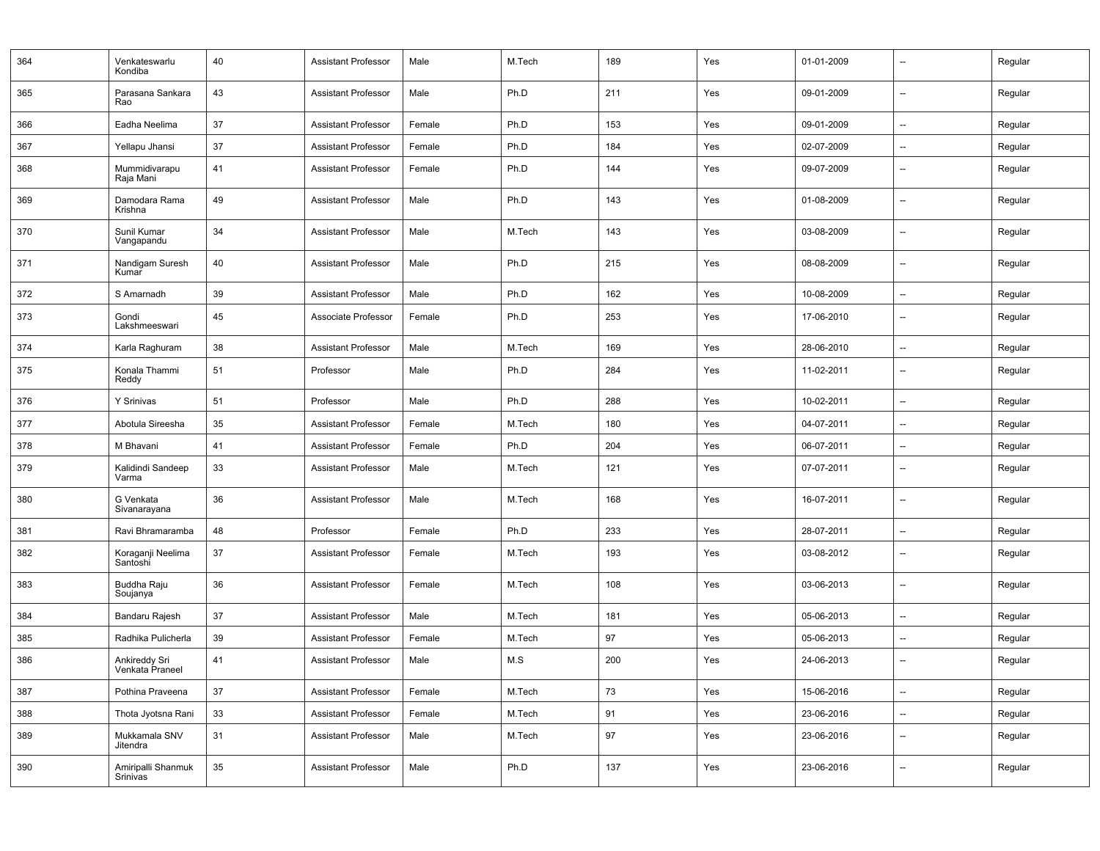| 364 | Venkateswarlu<br>Kondiba         | 40 | <b>Assistant Professor</b> | Male   | M.Tech | 189 | Yes | 01-01-2009 | $\overline{\phantom{a}}$ | Regular |
|-----|----------------------------------|----|----------------------------|--------|--------|-----|-----|------------|--------------------------|---------|
| 365 | Parasana Sankara<br>Rao          | 43 | <b>Assistant Professor</b> | Male   | Ph.D   | 211 | Yes | 09-01-2009 | $\overline{\phantom{a}}$ | Regular |
| 366 | Eadha Neelima                    | 37 | <b>Assistant Professor</b> | Female | Ph.D   | 153 | Yes | 09-01-2009 | $\overline{\phantom{0}}$ | Regular |
| 367 | Yellapu Jhansi                   | 37 | <b>Assistant Professor</b> | Female | Ph.D   | 184 | Yes | 02-07-2009 | Ξ.                       | Regular |
| 368 | Mummidivarapu<br>Raja Mani       | 41 | <b>Assistant Professor</b> | Female | Ph.D   | 144 | Yes | 09-07-2009 | $\overline{\phantom{a}}$ | Regular |
| 369 | Damodara Rama<br>Krishna         | 49 | <b>Assistant Professor</b> | Male   | Ph.D   | 143 | Yes | 01-08-2009 | --                       | Regular |
| 370 | Sunil Kumar<br>Vangapandu        | 34 | <b>Assistant Professor</b> | Male   | M.Tech | 143 | Yes | 03-08-2009 | --                       | Regular |
| 371 | Nandigam Suresh<br>Kumar         | 40 | <b>Assistant Professor</b> | Male   | Ph.D   | 215 | Yes | 08-08-2009 | $\overline{\phantom{a}}$ | Regular |
| 372 | S Amarnadh                       | 39 | <b>Assistant Professor</b> | Male   | Ph.D   | 162 | Yes | 10-08-2009 | $\overline{\phantom{a}}$ | Regular |
| 373 | Gondi<br>Lakshmeeswari           | 45 | Associate Professor        | Female | Ph.D   | 253 | Yes | 17-06-2010 | $\overline{a}$           | Regular |
| 374 | Karla Raghuram                   | 38 | <b>Assistant Professor</b> | Male   | M.Tech | 169 | Yes | 28-06-2010 | $\overline{a}$           | Regular |
| 375 | Konala Thammi<br>Reddy           | 51 | Professor                  | Male   | Ph.D   | 284 | Yes | 11-02-2011 | $\overline{\phantom{a}}$ | Regular |
| 376 | Y Srinivas                       | 51 | Professor                  | Male   | Ph.D   | 288 | Yes | 10-02-2011 | $\overline{\phantom{a}}$ | Regular |
| 377 | Abotula Sireesha                 | 35 | <b>Assistant Professor</b> | Female | M.Tech | 180 | Yes | 04-07-2011 | --                       | Regular |
| 378 | M Bhavani                        | 41 | <b>Assistant Professor</b> | Female | Ph.D   | 204 | Yes | 06-07-2011 | $\overline{\phantom{0}}$ | Regular |
| 379 | Kalidindi Sandeep<br>Varma       | 33 | <b>Assistant Professor</b> | Male   | M.Tech | 121 | Yes | 07-07-2011 | $\overline{\phantom{a}}$ | Regular |
| 380 | G Venkata<br>Sivanarayana        | 36 | <b>Assistant Professor</b> | Male   | M.Tech | 168 | Yes | 16-07-2011 | --                       | Regular |
| 381 | Ravi Bhramaramba                 | 48 | Professor                  | Female | Ph.D   | 233 | Yes | 28-07-2011 | $\overline{\phantom{a}}$ | Regular |
| 382 | Koraganji Neelima<br>Santoshi    | 37 | <b>Assistant Professor</b> | Female | M.Tech | 193 | Yes | 03-08-2012 | $\overline{\phantom{0}}$ | Regular |
| 383 | Buddha Raju<br>Soujanya          | 36 | <b>Assistant Professor</b> | Female | M.Tech | 108 | Yes | 03-06-2013 | $\overline{\phantom{a}}$ | Regular |
| 384 | Bandaru Rajesh                   | 37 | <b>Assistant Professor</b> | Male   | M.Tech | 181 | Yes | 05-06-2013 | $\overline{\phantom{0}}$ | Regular |
| 385 | Radhika Pulicherla               | 39 | <b>Assistant Professor</b> | Female | M.Tech | 97  | Yes | 05-06-2013 | $\overline{\phantom{a}}$ | Regular |
| 386 | Ankireddy Sri<br>Venkata Praneel | 41 | <b>Assistant Professor</b> | Male   | M.S    | 200 | Yes | 24-06-2013 | --                       | Regular |
| 387 | Pothina Praveena                 | 37 | <b>Assistant Professor</b> | Female | M.Tech | 73  | Yes | 15-06-2016 | $\overline{\phantom{a}}$ | Regular |
| 388 | Thota Jyotsna Rani               | 33 | <b>Assistant Professor</b> | Female | M.Tech | 91  | Yes | 23-06-2016 | --                       | Regular |
| 389 | Mukkamala SNV<br>Jitendra        | 31 | <b>Assistant Professor</b> | Male   | M.Tech | 97  | Yes | 23-06-2016 | --                       | Regular |
| 390 | Amiripalli Shanmuk<br>Srinivas   | 35 | Assistant Professor        | Male   | Ph.D   | 137 | Yes | 23-06-2016 | --                       | Regular |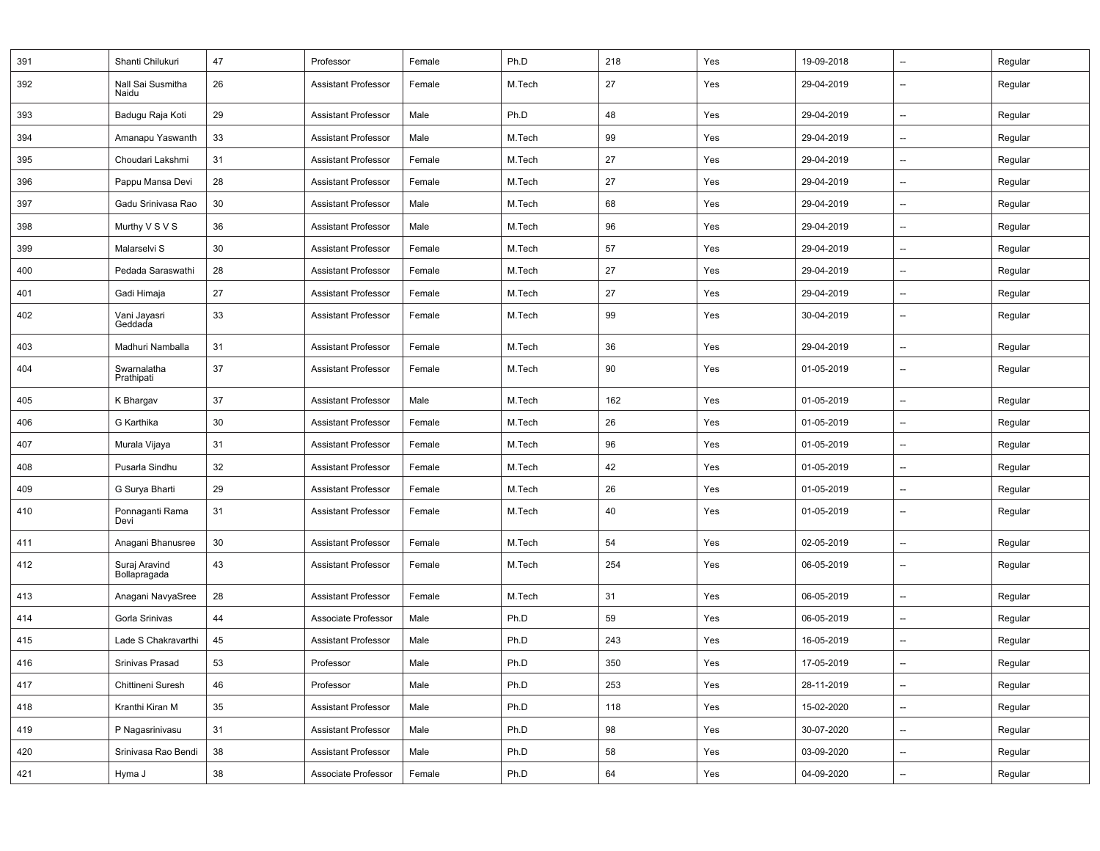| 391 | Shanti Chilukuri              | 47 | Professor                  | Female | Ph.D   | 218 | Yes | 19-09-2018 | $\overline{\phantom{a}}$ | Regular |
|-----|-------------------------------|----|----------------------------|--------|--------|-----|-----|------------|--------------------------|---------|
| 392 | Nall Sai Susmitha<br>Naidu    | 26 | <b>Assistant Professor</b> | Female | M.Tech | 27  | Yes | 29-04-2019 | $\overline{\phantom{a}}$ | Regular |
| 393 | Badugu Raja Koti              | 29 | <b>Assistant Professor</b> | Male   | Ph.D   | 48  | Yes | 29-04-2019 | $\qquad \qquad \cdots$   | Regular |
| 394 | Amanapu Yaswanth              | 33 | <b>Assistant Professor</b> | Male   | M.Tech | 99  | Yes | 29-04-2019 | --                       | Regular |
| 395 | Choudari Lakshmi              | 31 | <b>Assistant Professor</b> | Female | M.Tech | 27  | Yes | 29-04-2019 | $\qquad \qquad \cdots$   | Regular |
| 396 | Pappu Mansa Devi              | 28 | <b>Assistant Professor</b> | Female | M.Tech | 27  | Yes | 29-04-2019 | $\overline{\phantom{a}}$ | Regular |
| 397 | Gadu Srinivasa Rao            | 30 | <b>Assistant Professor</b> | Male   | M.Tech | 68  | Yes | 29-04-2019 | $\overline{\phantom{a}}$ | Regular |
| 398 | Murthy V S V S                | 36 | <b>Assistant Professor</b> | Male   | M.Tech | 96  | Yes | 29-04-2019 | $\overline{\phantom{a}}$ | Regular |
| 399 | Malarselvi S                  | 30 | <b>Assistant Professor</b> | Female | M.Tech | 57  | Yes | 29-04-2019 | $\overline{\phantom{a}}$ | Regular |
| 400 | Pedada Saraswathi             | 28 | <b>Assistant Professor</b> | Female | M.Tech | 27  | Yes | 29-04-2019 | $\overline{\phantom{a}}$ | Regular |
| 401 | Gadi Himaja                   | 27 | <b>Assistant Professor</b> | Female | M.Tech | 27  | Yes | 29-04-2019 | --                       | Regular |
| 402 | Vani Jayasri<br>Geddada       | 33 | <b>Assistant Professor</b> | Female | M.Tech | 99  | Yes | 30-04-2019 | $\qquad \qquad \cdots$   | Regular |
| 403 | Madhuri Namballa              | 31 | <b>Assistant Professor</b> | Female | M.Tech | 36  | Yes | 29-04-2019 | $\overline{\phantom{a}}$ | Regular |
| 404 | Swarnalatha<br>Prathipati     | 37 | <b>Assistant Professor</b> | Female | M.Tech | 90  | Yes | 01-05-2019 | $\overline{\phantom{a}}$ | Regular |
| 405 | K Bhargav                     | 37 | <b>Assistant Professor</b> | Male   | M.Tech | 162 | Yes | 01-05-2019 | $\overline{\phantom{a}}$ | Regular |
| 406 | G Karthika                    | 30 | <b>Assistant Professor</b> | Female | M.Tech | 26  | Yes | 01-05-2019 | --                       | Regular |
| 407 | Murala Vijaya                 | 31 | <b>Assistant Professor</b> | Female | M.Tech | 96  | Yes | 01-05-2019 | $\qquad \qquad \cdots$   | Regular |
| 408 | Pusarla Sindhu                | 32 | <b>Assistant Professor</b> | Female | M.Tech | 42  | Yes | 01-05-2019 | $\overline{\phantom{a}}$ | Regular |
| 409 | G Surya Bharti                | 29 | <b>Assistant Professor</b> | Female | M.Tech | 26  | Yes | 01-05-2019 | $\overline{\phantom{a}}$ | Regular |
| 410 | Ponnaganti Rama<br>Devi       | 31 | <b>Assistant Professor</b> | Female | M.Tech | 40  | Yes | 01-05-2019 | $\overline{\phantom{a}}$ | Regular |
| 411 | Anagani Bhanusree             | 30 | <b>Assistant Professor</b> | Female | M.Tech | 54  | Yes | 02-05-2019 | --                       | Regular |
| 412 | Suraj Aravind<br>Bollapragada | 43 | <b>Assistant Professor</b> | Female | M.Tech | 254 | Yes | 06-05-2019 | $\overline{\phantom{a}}$ | Regular |
| 413 | Anagani NavyaSree             | 28 | <b>Assistant Professor</b> | Female | M.Tech | 31  | Yes | 06-05-2019 | $\overline{\phantom{a}}$ | Regular |
| 414 | Gorla Srinivas                | 44 | Associate Professor        | Male   | Ph.D   | 59  | Yes | 06-05-2019 | $\overline{\phantom{a}}$ | Regular |
| 415 | Lade S Chakravarthi           | 45 | <b>Assistant Professor</b> | Male   | Ph.D   | 243 | Yes | 16-05-2019 | $\overline{\phantom{a}}$ | Regular |
| 416 | Srinivas Prasad               | 53 | Professor                  | Male   | Ph.D   | 350 | Yes | 17-05-2019 | $\overline{\phantom{a}}$ | Regular |
| 417 | Chittineni Suresh             | 46 | Professor                  | Male   | Ph.D   | 253 | Yes | 28-11-2019 | --                       | Regular |
| 418 | Kranthi Kiran M               | 35 | <b>Assistant Professor</b> | Male   | Ph.D   | 118 | Yes | 15-02-2020 | --                       | Regular |
| 419 | P Nagasrinivasu               | 31 | <b>Assistant Professor</b> | Male   | Ph.D   | 98  | Yes | 30-07-2020 | --                       | Regular |
| 420 | Srinivasa Rao Bendi           | 38 | <b>Assistant Professor</b> | Male   | Ph.D   | 58  | Yes | 03-09-2020 | --                       | Regular |
| 421 | Hyma J                        | 38 | Associate Professor        | Female | Ph.D   | 64  | Yes | 04-09-2020 | --                       | Regular |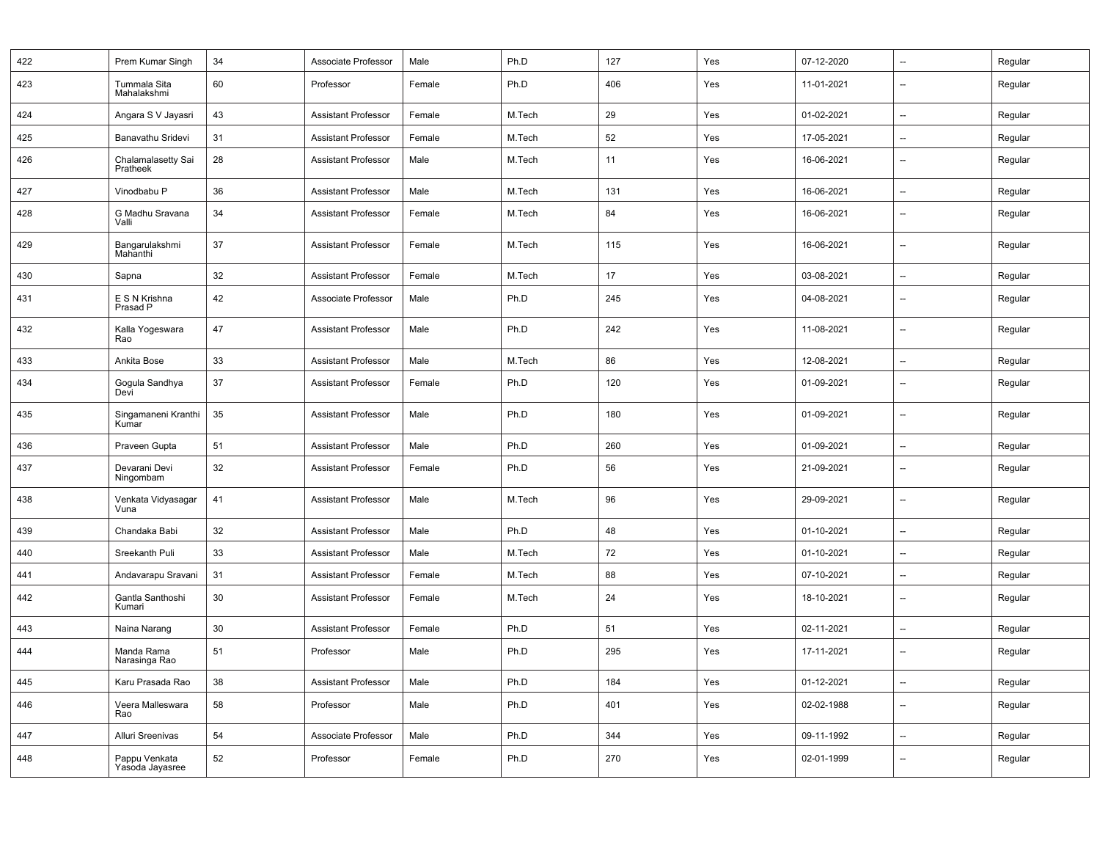| 422 | Prem Kumar Singh                 | 34 | Associate Professor        | Male   | Ph.D   | 127 | Yes | 07-12-2020 | --                       | Regular |
|-----|----------------------------------|----|----------------------------|--------|--------|-----|-----|------------|--------------------------|---------|
| 423 | Tummala Sita<br>Mahalakshmi      | 60 | Professor                  | Female | Ph.D   | 406 | Yes | 11-01-2021 | $\overline{\phantom{a}}$ | Regular |
| 424 | Angara S V Jayasri               | 43 | <b>Assistant Professor</b> | Female | M.Tech | 29  | Yes | 01-02-2021 | $\overline{\phantom{a}}$ | Regular |
| 425 | Banavathu Sridevi                | 31 | <b>Assistant Professor</b> | Female | M.Tech | 52  | Yes | 17-05-2021 | $\overline{\phantom{a}}$ | Regular |
| 426 | Chalamalasetty Sai<br>Pratheek   | 28 | <b>Assistant Professor</b> | Male   | M.Tech | 11  | Yes | 16-06-2021 | $\overline{\phantom{a}}$ | Regular |
| 427 | Vinodbabu P                      | 36 | <b>Assistant Professor</b> | Male   | M.Tech | 131 | Yes | 16-06-2021 | --                       | Regular |
| 428 | G Madhu Sravana<br>Valli         | 34 | <b>Assistant Professor</b> | Female | M.Tech | 84  | Yes | 16-06-2021 | $\overline{\phantom{a}}$ | Regular |
| 429 | Bangarulakshmi<br>Mahanthi       | 37 | <b>Assistant Professor</b> | Female | M.Tech | 115 | Yes | 16-06-2021 | $\overline{\phantom{a}}$ | Regular |
| 430 | Sapna                            | 32 | <b>Assistant Professor</b> | Female | M.Tech | 17  | Yes | 03-08-2021 | $\overline{\phantom{a}}$ | Regular |
| 431 | E S N Krishna<br>Prasad P        | 42 | Associate Professor        | Male   | Ph.D   | 245 | Yes | 04-08-2021 | $\overline{\phantom{a}}$ | Regular |
| 432 | Kalla Yogeswara<br>Rao           | 47 | <b>Assistant Professor</b> | Male   | Ph.D   | 242 | Yes | 11-08-2021 | $\overline{\phantom{a}}$ | Regular |
| 433 | Ankita Bose                      | 33 | <b>Assistant Professor</b> | Male   | M.Tech | 86  | Yes | 12-08-2021 | $\overline{\phantom{a}}$ | Regular |
| 434 | Gogula Sandhya<br>Devi           | 37 | <b>Assistant Professor</b> | Female | Ph.D   | 120 | Yes | 01-09-2021 | $\overline{\phantom{a}}$ | Regular |
| 435 | Singamaneni Kranthi<br>Kumar     | 35 | <b>Assistant Professor</b> | Male   | Ph.D   | 180 | Yes | 01-09-2021 | $\overline{\phantom{a}}$ | Regular |
| 436 | Praveen Gupta                    | 51 | <b>Assistant Professor</b> | Male   | Ph.D   | 260 | Yes | 01-09-2021 | $\overline{\phantom{a}}$ | Regular |
| 437 | Devarani Devi<br>Ningombam       | 32 | <b>Assistant Professor</b> | Female | Ph.D   | 56  | Yes | 21-09-2021 | $\overline{\phantom{a}}$ | Regular |
| 438 | Venkata Vidyasagar<br>Vuna       | 41 | Assistant Professor        | Male   | M.Tech | 96  | Yes | 29-09-2021 | $\overline{\phantom{a}}$ | Regular |
| 439 | Chandaka Babi                    | 32 | <b>Assistant Professor</b> | Male   | Ph.D   | 48  | Yes | 01-10-2021 | --                       | Regular |
| 440 | Sreekanth Puli                   | 33 | <b>Assistant Professor</b> | Male   | M.Tech | 72  | Yes | 01-10-2021 | --                       | Regular |
| 441 | Andavarapu Sravani               | 31 | <b>Assistant Professor</b> | Female | M.Tech | 88  | Yes | 07-10-2021 | $\overline{\phantom{a}}$ | Regular |
| 442 | Gantla Santhoshi<br>Kumari       | 30 | <b>Assistant Professor</b> | Female | M.Tech | 24  | Yes | 18-10-2021 | $\overline{\phantom{a}}$ | Regular |
| 443 | Naina Narang                     | 30 | <b>Assistant Professor</b> | Female | Ph.D   | 51  | Yes | 02-11-2021 | --                       | Regular |
| 444 | Manda Rama<br>Narasinga Rao      | 51 | Professor                  | Male   | Ph.D   | 295 | Yes | 17-11-2021 | $\overline{\phantom{a}}$ | Regular |
| 445 | Karu Prasada Rao                 | 38 | <b>Assistant Professor</b> | Male   | Ph.D   | 184 | Yes | 01-12-2021 | $\overline{\phantom{a}}$ | Regular |
| 446 | Veera Malleswara<br>Rao          | 58 | Professor                  | Male   | Ph.D   | 401 | Yes | 02-02-1988 | --                       | Regular |
| 447 | Alluri Sreenivas                 | 54 | Associate Professor        | Male   | Ph.D   | 344 | Yes | 09-11-1992 | $\overline{\phantom{a}}$ | Regular |
| 448 | Pappu Venkata<br>Yasoda Jayasree | 52 | Professor                  | Female | Ph.D   | 270 | Yes | 02-01-1999 | --                       | Regular |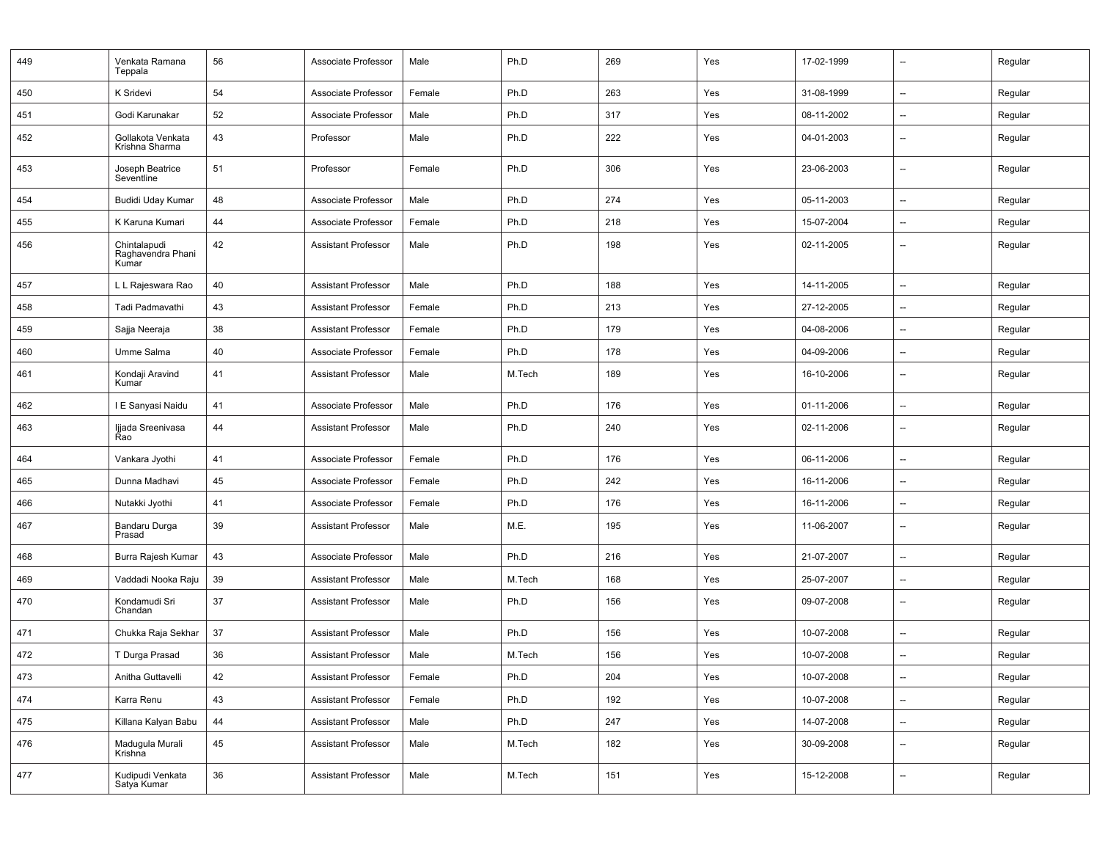| 449 | Venkata Ramana<br>Teppala                  | 56 | Associate Professor        | Male   | Ph.D   | 269 | Yes | 17-02-1999 | $\overline{\phantom{a}}$ | Regular |
|-----|--------------------------------------------|----|----------------------------|--------|--------|-----|-----|------------|--------------------------|---------|
| 450 | K Sridevi                                  | 54 | Associate Professor        | Female | Ph.D   | 263 | Yes | 31-08-1999 | $\overline{a}$           | Regular |
| 451 | Godi Karunakar                             | 52 | Associate Professor        | Male   | Ph.D   | 317 | Yes | 08-11-2002 | --                       | Regular |
| 452 | Gollakota Venkata<br>Krishna Sharma        | 43 | Professor                  | Male   | Ph.D   | 222 | Yes | 04-01-2003 | --                       | Regular |
| 453 | Joseph Beatrice<br>Seventline              | 51 | Professor                  | Female | Ph.D   | 306 | Yes | 23-06-2003 | $\overline{\phantom{a}}$ | Regular |
| 454 | Budidi Uday Kumar                          | 48 | Associate Professor        | Male   | Ph.D   | 274 | Yes | 05-11-2003 | --                       | Regular |
| 455 | K Karuna Kumari                            | 44 | Associate Professor        | Female | Ph.D   | 218 | Yes | 15-07-2004 | $\overline{\phantom{a}}$ | Regular |
| 456 | Chintalapudi<br>Raghavendra Phani<br>Kumar | 42 | <b>Assistant Professor</b> | Male   | Ph.D   | 198 | Yes | 02-11-2005 | $\overline{\phantom{0}}$ | Regular |
| 457 | L L Rajeswara Rao                          | 40 | <b>Assistant Professor</b> | Male   | Ph.D   | 188 | Yes | 14-11-2005 | --                       | Regular |
| 458 | Tadi Padmavathi                            | 43 | <b>Assistant Professor</b> | Female | Ph.D   | 213 | Yes | 27-12-2005 | --                       | Regular |
| 459 | Sajja Neeraja                              | 38 | <b>Assistant Professor</b> | Female | Ph.D   | 179 | Yes | 04-08-2006 | $\overline{\phantom{a}}$ | Regular |
| 460 | Umme Salma                                 | 40 | Associate Professor        | Female | Ph.D   | 178 | Yes | 04-09-2006 | $\overline{\phantom{a}}$ | Regular |
| 461 | Kondaji Aravind<br>Kumar                   | 41 | <b>Assistant Professor</b> | Male   | M.Tech | 189 | Yes | 16-10-2006 |                          | Regular |
| 462 | I E Sanyasi Naidu                          | 41 | Associate Professor        | Male   | Ph.D   | 176 | Yes | 01-11-2006 | $\overline{\phantom{a}}$ | Regular |
| 463 | Ijjada Sreenivasa<br>Rao                   | 44 | <b>Assistant Professor</b> | Male   | Ph.D   | 240 | Yes | 02-11-2006 | --                       | Regular |
| 464 | Vankara Jyothi                             | 41 | Associate Professor        | Female | Ph.D   | 176 | Yes | 06-11-2006 | --                       | Regular |
| 465 | Dunna Madhavi                              | 45 | Associate Professor        | Female | Ph.D   | 242 | Yes | 16-11-2006 | $\overline{a}$           | Regular |
| 466 | Nutakki Jyothi                             | 41 | Associate Professor        | Female | Ph.D   | 176 | Yes | 16-11-2006 | $\overline{\phantom{a}}$ | Regular |
| 467 | Bandaru Durga<br>Prasad                    | 39 | <b>Assistant Professor</b> | Male   | M.E.   | 195 | Yes | 11-06-2007 | --                       | Regular |
| 468 | Burra Rajesh Kumar                         | 43 | Associate Professor        | Male   | Ph.D   | 216 | Yes | 21-07-2007 | $\overline{\phantom{a}}$ | Regular |
| 469 | Vaddadi Nooka Raju                         | 39 | <b>Assistant Professor</b> | Male   | M.Tech | 168 | Yes | 25-07-2007 | $\overline{a}$           | Regular |
| 470 | Kondamudi Sri<br>Chandan                   | 37 | <b>Assistant Professor</b> | Male   | Ph.D   | 156 | Yes | 09-07-2008 | $\overline{\phantom{a}}$ | Regular |
| 471 | Chukka Raja Sekhar                         | 37 | <b>Assistant Professor</b> | Male   | Ph.D   | 156 | Yes | 10-07-2008 | $\overline{\phantom{a}}$ | Regular |
| 472 | T Durga Prasad                             | 36 | <b>Assistant Professor</b> | Male   | M.Tech | 156 | Yes | 10-07-2008 | --                       | Regular |
| 473 | Anitha Guttavelli                          | 42 | Assistant Professor        | Female | Ph.D   | 204 | Yes | 10-07-2008 | --                       | Regular |
| 474 | Karra Renu                                 | 43 | <b>Assistant Professor</b> | Female | Ph.D   | 192 | Yes | 10-07-2008 | ÷.                       | Regular |
| 475 | Killana Kalyan Babu                        | 44 | <b>Assistant Professor</b> | Male   | Ph.D   | 247 | Yes | 14-07-2008 | $\overline{\phantom{a}}$ | Regular |
| 476 | Madugula Murali<br>Krishna                 | 45 | <b>Assistant Professor</b> | Male   | M.Tech | 182 | Yes | 30-09-2008 | --                       | Regular |
| 477 | Kudipudi Venkata<br>Satya Kumar            | 36 | <b>Assistant Professor</b> | Male   | M.Tech | 151 | Yes | 15-12-2008 | $\overline{\phantom{a}}$ | Regular |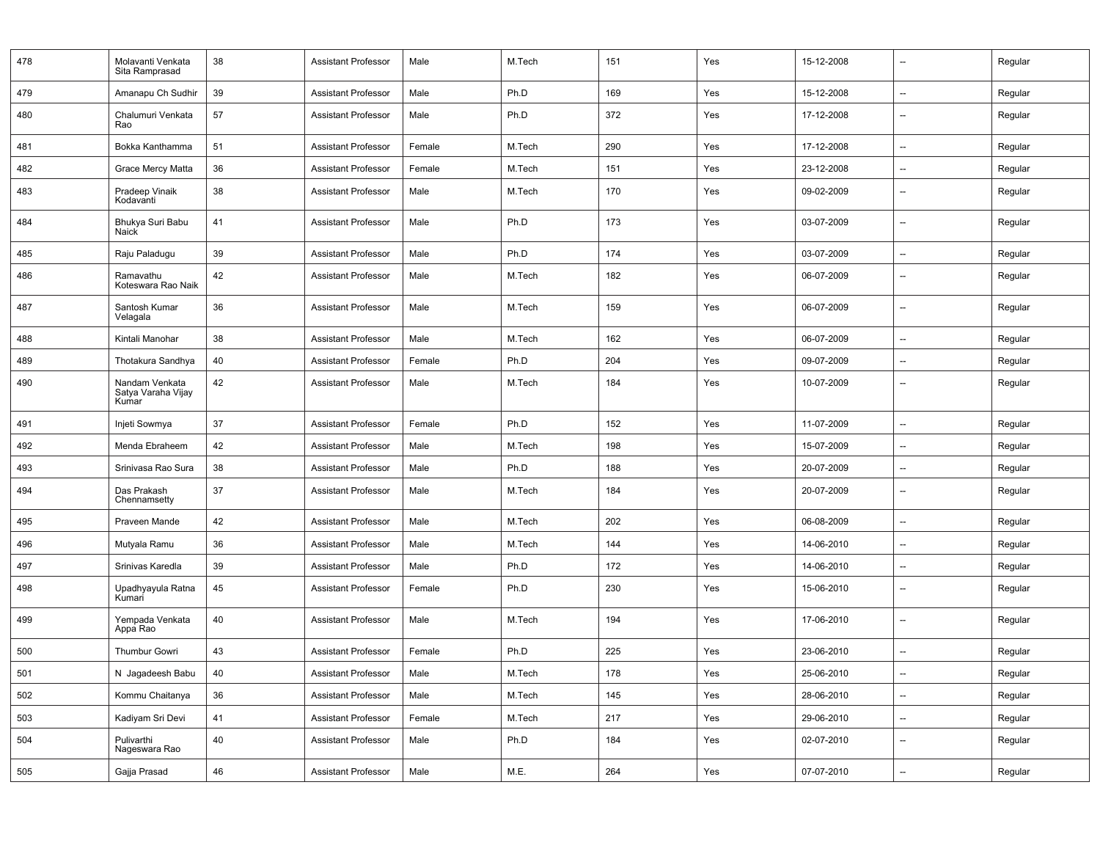| 478 | Molavanti Venkata<br>Sita Ramprasad           | 38 | Assistant Professor        | Male   | M.Tech | 151 | Yes | 15-12-2008 | $\overline{\phantom{a}}$ | Regular |
|-----|-----------------------------------------------|----|----------------------------|--------|--------|-----|-----|------------|--------------------------|---------|
| 479 | Amanapu Ch Sudhir                             | 39 | <b>Assistant Professor</b> | Male   | Ph.D   | 169 | Yes | 15-12-2008 | $\overline{\phantom{a}}$ | Regular |
| 480 | Chalumuri Venkata<br>Rao                      | 57 | <b>Assistant Professor</b> | Male   | Ph.D   | 372 | Yes | 17-12-2008 | $\overline{\phantom{a}}$ | Regular |
| 481 | Bokka Kanthamma                               | 51 | <b>Assistant Professor</b> | Female | M.Tech | 290 | Yes | 17-12-2008 | $\overline{\phantom{a}}$ | Regular |
| 482 | Grace Mercy Matta                             | 36 | <b>Assistant Professor</b> | Female | M.Tech | 151 | Yes | 23-12-2008 | --                       | Regular |
| 483 | Pradeep Vinaik<br>Kodavanti                   | 38 | <b>Assistant Professor</b> | Male   | M.Tech | 170 | Yes | 09-02-2009 | $\overline{\phantom{a}}$ | Regular |
| 484 | Bhukya Suri Babu<br>Naick                     | 41 | <b>Assistant Professor</b> | Male   | Ph.D   | 173 | Yes | 03-07-2009 | $\overline{\phantom{a}}$ | Regular |
| 485 | Raju Paladugu                                 | 39 | <b>Assistant Professor</b> | Male   | Ph.D   | 174 | Yes | 03-07-2009 | $\qquad \qquad -$        | Regular |
| 486 | Ramavathu<br>Koteswara Rao Naik               | 42 | <b>Assistant Professor</b> | Male   | M.Tech | 182 | Yes | 06-07-2009 | $\overline{\phantom{a}}$ | Regular |
| 487 | Santosh Kumar<br>Velagala                     | 36 | <b>Assistant Professor</b> | Male   | M.Tech | 159 | Yes | 06-07-2009 | $\overline{\phantom{a}}$ | Regular |
| 488 | Kintali Manohar                               | 38 | <b>Assistant Professor</b> | Male   | M.Tech | 162 | Yes | 06-07-2009 | $\overline{\phantom{a}}$ | Regular |
| 489 | Thotakura Sandhya                             | 40 | Assistant Professor        | Female | Ph.D   | 204 | Yes | 09-07-2009 | $\overline{\phantom{a}}$ | Regular |
| 490 | Nandam Venkata<br>Satya Varaha Vijay<br>Kumar | 42 | <b>Assistant Professor</b> | Male   | M.Tech | 184 | Yes | 10-07-2009 | $\overline{\phantom{a}}$ | Regular |
| 491 | Injeti Sowmya                                 | 37 | <b>Assistant Professor</b> | Female | Ph.D   | 152 | Yes | 11-07-2009 | $\overline{\phantom{a}}$ | Regular |
| 492 | Menda Ebraheem                                | 42 | <b>Assistant Professor</b> | Male   | M.Tech | 198 | Yes | 15-07-2009 | $\overline{\phantom{a}}$ | Regular |
| 493 | Srinivasa Rao Sura                            | 38 | <b>Assistant Professor</b> | Male   | Ph.D   | 188 | Yes | 20-07-2009 | $\overline{\phantom{a}}$ | Regular |
| 494 | Das Prakash<br>Chennamsetty                   | 37 | <b>Assistant Professor</b> | Male   | M.Tech | 184 | Yes | 20-07-2009 | $\overline{\phantom{a}}$ | Regular |
| 495 | Praveen Mande                                 | 42 | <b>Assistant Professor</b> | Male   | M.Tech | 202 | Yes | 06-08-2009 | $\overline{\phantom{a}}$ | Regular |
| 496 | Mutyala Ramu                                  | 36 | <b>Assistant Professor</b> | Male   | M.Tech | 144 | Yes | 14-06-2010 | $\overline{\phantom{a}}$ | Regular |
| 497 | Srinivas Karedla                              | 39 | <b>Assistant Professor</b> | Male   | Ph.D   | 172 | Yes | 14-06-2010 | $\overline{\phantom{a}}$ | Regular |
| 498 | Upadhyayula Ratna<br>Kumari                   | 45 | <b>Assistant Professor</b> | Female | Ph.D   | 230 | Yes | 15-06-2010 | $\overline{\phantom{a}}$ | Regular |
| 499 | Yempada Venkata<br>Appa Rao                   | 40 | <b>Assistant Professor</b> | Male   | M.Tech | 194 | Yes | 17-06-2010 | --                       | Regular |
| 500 | <b>Thumbur Gowri</b>                          | 43 | <b>Assistant Professor</b> | Female | Ph.D   | 225 | Yes | 23-06-2010 | $\overline{\phantom{a}}$ | Regular |
| 501 | N Jagadeesh Babu                              | 40 | Assistant Professor        | Male   | M.Tech | 178 | Yes | 25-06-2010 |                          | Regular |
| 502 | Kommu Chaitanya                               | 36 | <b>Assistant Professor</b> | Male   | M.Tech | 145 | Yes | 28-06-2010 | $\overline{\phantom{a}}$ | Regular |
| 503 | Kadiyam Sri Devi                              | 41 | <b>Assistant Professor</b> | Female | M.Tech | 217 | Yes | 29-06-2010 | $\overline{\phantom{a}}$ | Regular |
| 504 | Pulivarthi<br>Nageswara Rao                   | 40 | <b>Assistant Professor</b> | Male   | Ph.D   | 184 | Yes | 02-07-2010 | --                       | Regular |
| 505 | Gajja Prasad                                  | 46 | Assistant Professor        | Male   | M.E.   | 264 | Yes | 07-07-2010 | $\overline{\phantom{a}}$ | Regular |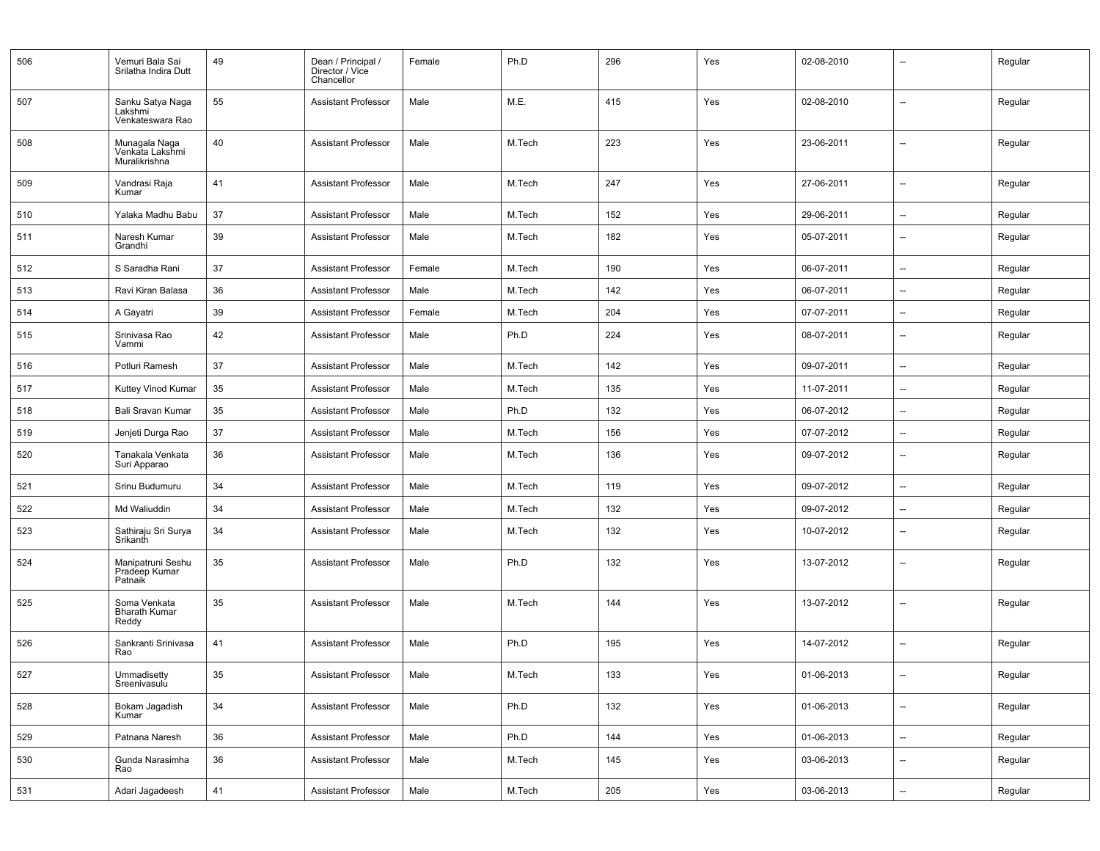| 506 | Vemuri Bala Sai<br>Srilatha Indira Dutt           | 49 | Dean / Principal /<br>Director / Vice<br>Chancellor | Female | Ph.D   | 296 | Yes | 02-08-2010 | --                       | Regular |
|-----|---------------------------------------------------|----|-----------------------------------------------------|--------|--------|-----|-----|------------|--------------------------|---------|
| 507 | Sanku Satya Naga<br>Lakshmi<br>Venkateswara Rao   | 55 | <b>Assistant Professor</b>                          | Male   | M.E.   | 415 | Yes | 02-08-2010 | --                       | Regular |
| 508 | Munagala Naga<br>Venkata Lakshmi<br>Muralikrishna | 40 | <b>Assistant Professor</b>                          | Male   | M.Tech | 223 | Yes | 23-06-2011 | $\overline{\phantom{a}}$ | Regular |
| 509 | Vandrasi Raja<br>Kumar                            | 41 | <b>Assistant Professor</b>                          | Male   | M.Tech | 247 | Yes | 27-06-2011 | --                       | Regular |
| 510 | Yalaka Madhu Babu                                 | 37 | <b>Assistant Professor</b>                          | Male   | M.Tech | 152 | Yes | 29-06-2011 | --                       | Regular |
| 511 | Naresh Kumar<br>Grandhi                           | 39 | Assistant Professor                                 | Male   | M.Tech | 182 | Yes | 05-07-2011 | $\overline{\phantom{a}}$ | Regular |
| 512 | S Saradha Rani                                    | 37 | <b>Assistant Professor</b>                          | Female | M.Tech | 190 | Yes | 06-07-2011 | $\overline{a}$           | Regular |
| 513 | Ravi Kiran Balasa                                 | 36 | <b>Assistant Professor</b>                          | Male   | M.Tech | 142 | Yes | 06-07-2011 | --                       | Regular |
| 514 | A Gayatri                                         | 39 | Assistant Professor                                 | Female | M.Tech | 204 | Yes | 07-07-2011 | --                       | Regular |
| 515 | Srinivasa Rao<br>Vammi                            | 42 | Assistant Professor                                 | Male   | Ph.D   | 224 | Yes | 08-07-2011 | $\overline{\phantom{a}}$ | Regular |
| 516 | Potluri Ramesh                                    | 37 | <b>Assistant Professor</b>                          | Male   | M.Tech | 142 | Yes | 09-07-2011 | $\overline{\phantom{a}}$ | Regular |
| 517 | Kuttey Vinod Kumar                                | 35 | <b>Assistant Professor</b>                          | Male   | M.Tech | 135 | Yes | 11-07-2011 | --                       | Regular |
| 518 | Bali Sravan Kumar                                 | 35 | <b>Assistant Professor</b>                          | Male   | Ph.D   | 132 | Yes | 06-07-2012 | --                       | Regular |
| 519 | Jenjeti Durga Rao                                 | 37 | <b>Assistant Professor</b>                          | Male   | M.Tech | 156 | Yes | 07-07-2012 | --                       | Regular |
| 520 | Tanakala Venkata<br>Suri Apparao                  | 36 | <b>Assistant Professor</b>                          | Male   | M.Tech | 136 | Yes | 09-07-2012 | $\overline{a}$           | Regular |
| 521 | Srinu Budumuru                                    | 34 | <b>Assistant Professor</b>                          | Male   | M.Tech | 119 | Yes | 09-07-2012 | --                       | Regular |
| 522 | Md Waliuddin                                      | 34 | <b>Assistant Professor</b>                          | Male   | M.Tech | 132 | Yes | 09-07-2012 | --                       | Regular |
| 523 | Sathiraju Sri Surya<br>Srikanth                   | 34 | <b>Assistant Professor</b>                          | Male   | M.Tech | 132 | Yes | 10-07-2012 | $\overline{\phantom{a}}$ | Regular |
| 524 | Manipatruni Seshu<br>Pradeep Kumar<br>Patnaik     | 35 | <b>Assistant Professor</b>                          | Male   | Ph.D   | 132 | Yes | 13-07-2012 | --                       | Regular |
| 525 | Soma Venkata<br><b>Bharath Kumar</b><br>Reddy     | 35 | <b>Assistant Professor</b>                          | Male   | M.Tech | 144 | Yes | 13-07-2012 | --                       | Regular |
| 526 | Sankranti Srinivasa<br>Rao                        | 41 | <b>Assistant Professor</b>                          | Male   | Ph.D   | 195 | Yes | 14-07-2012 | $\overline{a}$           | Regular |
| 527 | Ummadisetty<br>Sreenivasulu                       | 35 | Assistant Professor                                 | Male   | M.Tech | 133 | Yes | 01-06-2013 |                          | Regular |
| 528 | Bokam Jagadish<br>Kumar                           | 34 | Assistant Professor                                 | Male   | Ph.D   | 132 | Yes | 01-06-2013 | Ξ.                       | Regular |
| 529 | Patnana Naresh                                    | 36 | <b>Assistant Professor</b>                          | Male   | Ph.D   | 144 | Yes | 01-06-2013 | $\overline{\phantom{a}}$ | Regular |
| 530 | Gunda Narasimha<br>Rao                            | 36 | Assistant Professor                                 | Male   | M.Tech | 145 | Yes | 03-06-2013 | --                       | Regular |
| 531 | Adari Jagadeesh                                   | 41 | <b>Assistant Professor</b>                          | Male   | M.Tech | 205 | Yes | 03-06-2013 | --                       | Regular |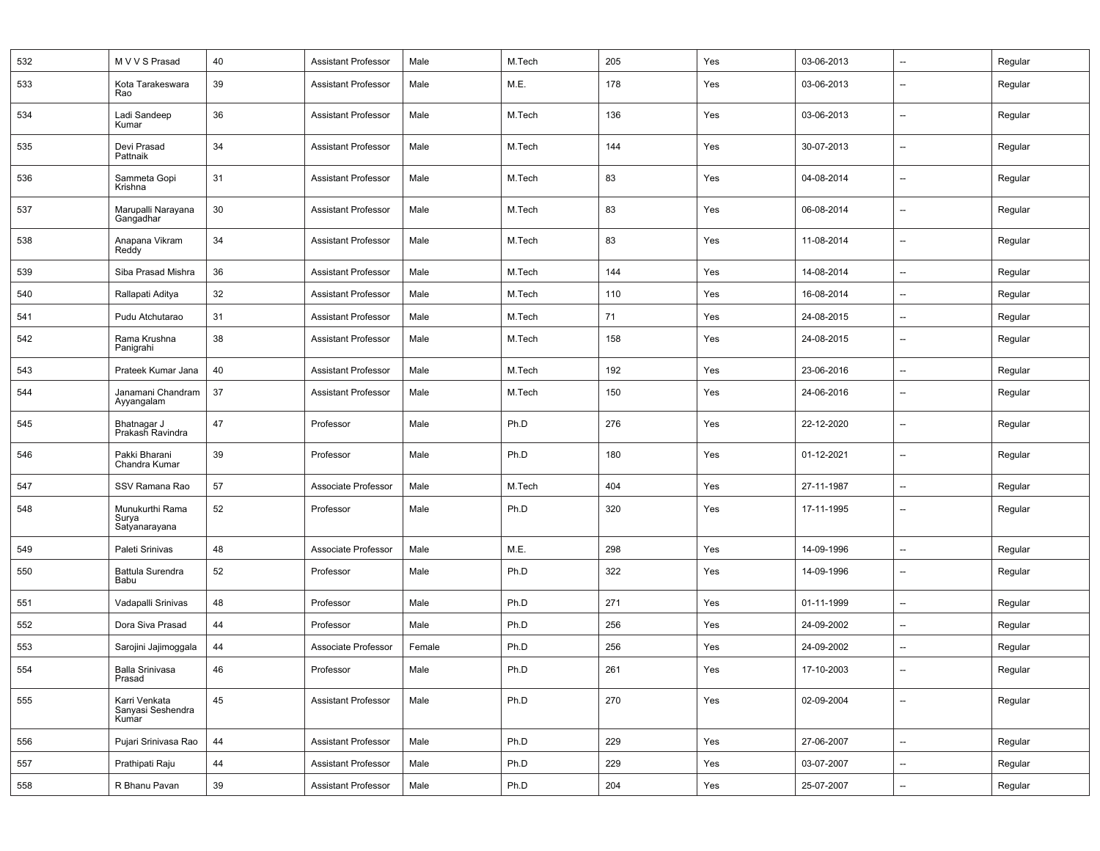| 532 | M V V S Prasad                              | 40 | <b>Assistant Professor</b> | Male   | M.Tech | 205 | Yes | 03-06-2013 | $\overline{\phantom{a}}$ | Regular |
|-----|---------------------------------------------|----|----------------------------|--------|--------|-----|-----|------------|--------------------------|---------|
| 533 | Kota Tarakeswara<br>Rao                     | 39 | <b>Assistant Professor</b> | Male   | M.E.   | 178 | Yes | 03-06-2013 | $\overline{\phantom{a}}$ | Regular |
| 534 | Ladi Sandeep<br>Kumar                       | 36 | Assistant Professor        | Male   | M.Tech | 136 | Yes | 03-06-2013 | --                       | Regular |
| 535 | Devi Prasad<br>Pattnaik                     | 34 | <b>Assistant Professor</b> | Male   | M.Tech | 144 | Yes | 30-07-2013 | $\overline{\phantom{a}}$ | Regular |
| 536 | Sammeta Gopi<br>Krishna                     | 31 | <b>Assistant Professor</b> | Male   | M.Tech | 83  | Yes | 04-08-2014 | $\qquad \qquad -$        | Regular |
| 537 | Marupalli Narayana<br>Gangadhar             | 30 | <b>Assistant Professor</b> | Male   | M.Tech | 83  | Yes | 06-08-2014 | $\overline{\phantom{a}}$ | Regular |
| 538 | Anapana Vikram<br>Reddy                     | 34 | <b>Assistant Professor</b> | Male   | M.Tech | 83  | Yes | 11-08-2014 | --                       | Regular |
| 539 | Siba Prasad Mishra                          | 36 | <b>Assistant Professor</b> | Male   | M.Tech | 144 | Yes | 14-08-2014 | $\overline{\phantom{a}}$ | Regular |
| 540 | Rallapati Aditya                            | 32 | <b>Assistant Professor</b> | Male   | M.Tech | 110 | Yes | 16-08-2014 | $\overline{\phantom{a}}$ | Regular |
| 541 | Pudu Atchutarao                             | 31 | <b>Assistant Professor</b> | Male   | M.Tech | 71  | Yes | 24-08-2015 | $\overline{\phantom{a}}$ | Regular |
| 542 | Rama Krushna<br>Panigrahi                   | 38 | <b>Assistant Professor</b> | Male   | M.Tech | 158 | Yes | 24-08-2015 | $\overline{\phantom{a}}$ | Regular |
| 543 | Prateek Kumar Jana                          | 40 | <b>Assistant Professor</b> | Male   | M.Tech | 192 | Yes | 23-06-2016 | --                       | Regular |
| 544 | Janamani Chandram<br>Ayyangalam             | 37 | <b>Assistant Professor</b> | Male   | M.Tech | 150 | Yes | 24-06-2016 | --                       | Regular |
| 545 | Bhatnagar J<br>Prakash Ravindra             | 47 | Professor                  | Male   | Ph.D   | 276 | Yes | 22-12-2020 | $\overline{\phantom{a}}$ | Regular |
| 546 | Pakki Bharani<br>Chandra Kumar              | 39 | Professor                  | Male   | Ph.D   | 180 | Yes | 01-12-2021 | $\overline{\phantom{a}}$ | Regular |
| 547 | SSV Ramana Rao                              | 57 | Associate Professor        | Male   | M.Tech | 404 | Yes | 27-11-1987 | $\overline{\phantom{a}}$ | Regular |
| 548 | Munukurthi Rama<br>Surya<br>Satyanarayana   | 52 | Professor                  | Male   | Ph.D   | 320 | Yes | 17-11-1995 | $\overline{\phantom{a}}$ | Regular |
| 549 | Paleti Srinivas                             | 48 | Associate Professor        | Male   | M.E.   | 298 | Yes | 14-09-1996 | $\overline{\phantom{a}}$ | Regular |
| 550 | Battula Surendra<br>Babu                    | 52 | Professor                  | Male   | Ph.D   | 322 | Yes | 14-09-1996 | $\overline{\phantom{a}}$ | Regular |
| 551 | Vadapalli Srinivas                          | 48 | Professor                  | Male   | Ph.D   | 271 | Yes | 01-11-1999 | $\overline{\phantom{a}}$ | Regular |
| 552 | Dora Siva Prasad                            | 44 | Professor                  | Male   | Ph.D   | 256 | Yes | 24-09-2002 | $\overline{\phantom{a}}$ | Regular |
| 553 | Sarojini Jajimoggala                        | 44 | Associate Professor        | Female | Ph.D   | 256 | Yes | 24-09-2002 | $\overline{\phantom{a}}$ | Regular |
| 554 | <b>Balla Srinivasa</b><br>Prasad            | 46 | Professor                  | Male   | Ph.D   | 261 | Yes | 17-10-2003 | --                       | Regular |
| 555 | Karri Venkata<br>Sanyasi Seshendra<br>Kumar | 45 | <b>Assistant Professor</b> | Male   | Ph.D   | 270 | Yes | 02-09-2004 | --                       | Regular |
| 556 | Pujari Srinivasa Rao                        | 44 | <b>Assistant Professor</b> | Male   | Ph.D   | 229 | Yes | 27-06-2007 | $\overline{\phantom{a}}$ | Regular |
| 557 | Prathipati Raju                             | 44 | <b>Assistant Professor</b> | Male   | Ph.D   | 229 | Yes | 03-07-2007 | $\overline{\phantom{a}}$ | Regular |
| 558 | R Bhanu Pavan                               | 39 | <b>Assistant Professor</b> | Male   | Ph.D   | 204 | Yes | 25-07-2007 | $\overline{\phantom{a}}$ | Regular |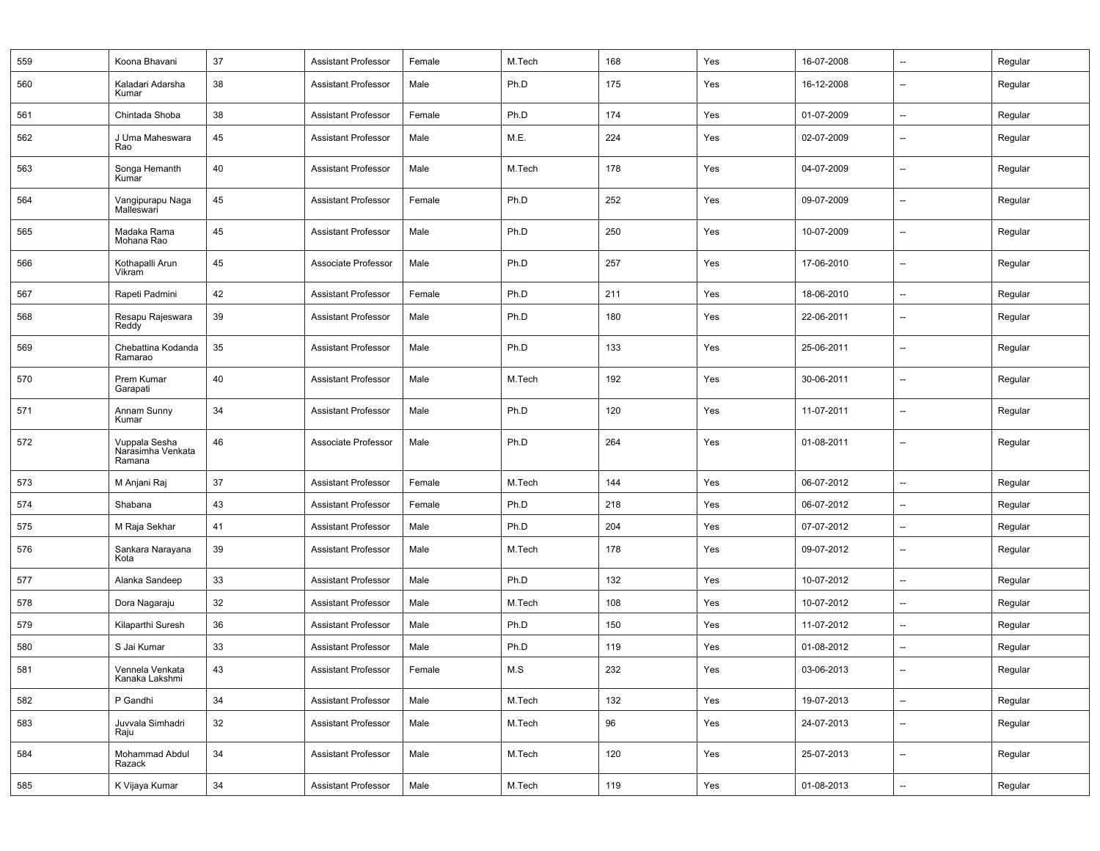| 559 | Koona Bhavani                                | 37 | <b>Assistant Professor</b> | Female | M.Tech | 168 | Yes | 16-07-2008 | --                       | Regular |
|-----|----------------------------------------------|----|----------------------------|--------|--------|-----|-----|------------|--------------------------|---------|
| 560 | Kaladari Adarsha<br>Kumar                    | 38 | <b>Assistant Professor</b> | Male   | Ph.D   | 175 | Yes | 16-12-2008 | --                       | Regular |
| 561 | Chintada Shoba                               | 38 | <b>Assistant Professor</b> | Female | Ph.D   | 174 | Yes | 01-07-2009 | $\overline{\phantom{a}}$ | Regular |
| 562 | J Uma Maheswara<br>Rao                       | 45 | <b>Assistant Professor</b> | Male   | M.E.   | 224 | Yes | 02-07-2009 | --                       | Regular |
| 563 | Songa Hemanth<br>Kumar                       | 40 | <b>Assistant Professor</b> | Male   | M.Tech | 178 | Yes | 04-07-2009 | --                       | Regular |
| 564 | Vangipurapu Naga<br>Malleswari               | 45 | <b>Assistant Professor</b> | Female | Ph.D   | 252 | Yes | 09-07-2009 | --                       | Regular |
| 565 | Madaka Rama<br>Mohana Rao                    | 45 | <b>Assistant Professor</b> | Male   | Ph.D   | 250 | Yes | 10-07-2009 | --                       | Regular |
| 566 | Kothapalli Arun<br>Vikram                    | 45 | Associate Professor        | Male   | Ph.D   | 257 | Yes | 17-06-2010 | $\overline{\phantom{a}}$ | Regular |
| 567 | Rapeti Padmini                               | 42 | <b>Assistant Professor</b> | Female | Ph.D   | 211 | Yes | 18-06-2010 | --                       | Regular |
| 568 | Resapu Rajeswara<br>Reddy                    | 39 | <b>Assistant Professor</b> | Male   | Ph.D   | 180 | Yes | 22-06-2011 | --                       | Regular |
| 569 | Chebattina Kodanda<br>Ramarao                | 35 | Assistant Professor        | Male   | Ph.D   | 133 | Yes | 25-06-2011 | --                       | Regular |
| 570 | Prem Kumar<br>Garapati                       | 40 | <b>Assistant Professor</b> | Male   | M.Tech | 192 | Yes | 30-06-2011 | --                       | Regular |
| 571 | Annam Sunny<br>Kumar                         | 34 | <b>Assistant Professor</b> | Male   | Ph.D   | 120 | Yes | 11-07-2011 | --                       | Regular |
| 572 | Vuppala Sesha<br>Narasimha Venkata<br>Ramana | 46 | Associate Professor        | Male   | Ph.D   | 264 | Yes | 01-08-2011 | --                       | Regular |
| 573 | M Anjani Raj                                 | 37 | <b>Assistant Professor</b> | Female | M.Tech | 144 | Yes | 06-07-2012 | $\overline{\phantom{a}}$ | Regular |
| 574 | Shabana                                      | 43 | <b>Assistant Professor</b> | Female | Ph.D   | 218 | Yes | 06-07-2012 | -−                       | Regular |
| 575 | M Raja Sekhar                                | 41 | Assistant Professor        | Male   | Ph.D   | 204 | Yes | 07-07-2012 | --                       | Regular |
| 576 | Sankara Narayana<br>Kota                     | 39 | <b>Assistant Professor</b> | Male   | M.Tech | 178 | Yes | 09-07-2012 | --                       | Regular |
| 577 | Alanka Sandeep                               | 33 | <b>Assistant Professor</b> | Male   | Ph.D   | 132 | Yes | 10-07-2012 | --                       | Regular |
| 578 | Dora Nagaraju                                | 32 | <b>Assistant Professor</b> | Male   | M.Tech | 108 | Yes | 10-07-2012 | --                       | Regular |
| 579 | Kilaparthi Suresh                            | 36 | <b>Assistant Professor</b> | Male   | Ph.D   | 150 | Yes | 11-07-2012 | --                       | Regular |
| 580 | S Jai Kumar                                  | 33 | <b>Assistant Professor</b> | Male   | Ph.D   | 119 | Yes | 01-08-2012 | --                       | Regular |
| 581 | Vennela Venkata<br>Kanaka Lakshmi            | 43 | Assistant Professor        | Female | M.S    | 232 | Yes | 03-06-2013 | --                       | Regular |
| 582 | P Gandhi                                     | 34 | <b>Assistant Professor</b> | Male   | M.Tech | 132 | Yes | 19-07-2013 | --                       | Regular |
| 583 | Juvvala Simhadri<br>Raju                     | 32 | <b>Assistant Professor</b> | Male   | M.Tech | 96  | Yes | 24-07-2013 | --                       | Regular |
| 584 | Mohammad Abdul<br>Razack                     | 34 | Assistant Professor        | Male   | M.Tech | 120 | Yes | 25-07-2013 | --                       | Regular |
| 585 | K Vijaya Kumar                               | 34 | Assistant Professor        | Male   | M.Tech | 119 | Yes | 01-08-2013 | $\overline{\phantom{a}}$ | Regular |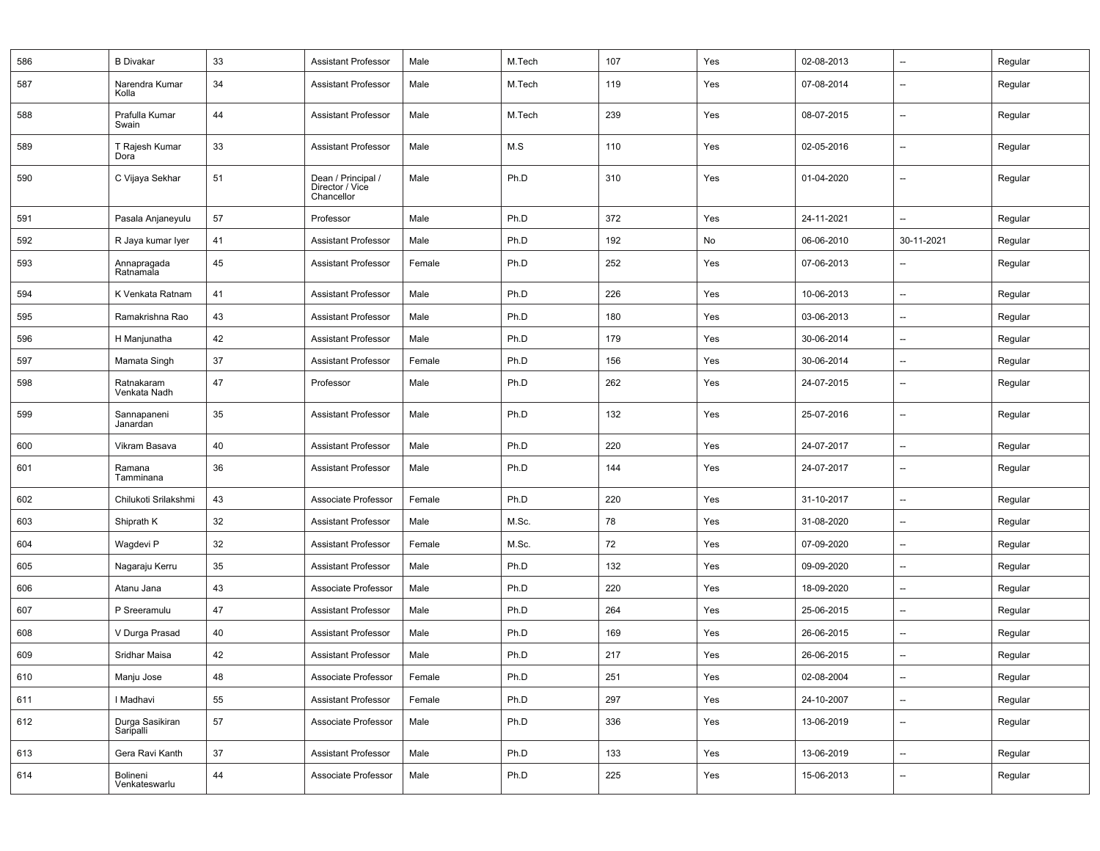| 586 | <b>B</b> Divakar             | 33 | <b>Assistant Professor</b>                          | Male   | M.Tech | 107 | Yes | 02-08-2013 | $\overline{\phantom{a}}$ | Regular |
|-----|------------------------------|----|-----------------------------------------------------|--------|--------|-----|-----|------------|--------------------------|---------|
| 587 | Narendra Kumar<br>Kolla      | 34 | <b>Assistant Professor</b>                          | Male   | M.Tech | 119 | Yes | 07-08-2014 | $\overline{\phantom{a}}$ | Regular |
| 588 | Prafulla Kumar<br>Swain      | 44 | <b>Assistant Professor</b>                          | Male   | M.Tech | 239 | Yes | 08-07-2015 | $\overline{\phantom{a}}$ | Regular |
| 589 | T Rajesh Kumar<br>Dora       | 33 | <b>Assistant Professor</b>                          | Male   | M.S    | 110 | Yes | 02-05-2016 | $\overline{\phantom{a}}$ | Regular |
| 590 | C Vijaya Sekhar              | 51 | Dean / Principal /<br>Director / Vice<br>Chancellor | Male   | Ph.D   | 310 | Yes | 01-04-2020 | --                       | Regular |
| 591 | Pasala Anjaneyulu            | 57 | Professor                                           | Male   | Ph.D   | 372 | Yes | 24-11-2021 | --                       | Regular |
| 592 | R Jaya kumar Iyer            | 41 | <b>Assistant Professor</b>                          | Male   | Ph.D   | 192 | No  | 06-06-2010 | 30-11-2021               | Regular |
| 593 | Annapragada<br>Ratnamala     | 45 | <b>Assistant Professor</b>                          | Female | Ph.D   | 252 | Yes | 07-06-2013 | $\overline{\phantom{a}}$ | Regular |
| 594 | K Venkata Ratnam             | 41 | <b>Assistant Professor</b>                          | Male   | Ph.D   | 226 | Yes | 10-06-2013 | $\overline{\phantom{a}}$ | Regular |
| 595 | Ramakrishna Rao              | 43 | <b>Assistant Professor</b>                          | Male   | Ph.D   | 180 | Yes | 03-06-2013 | $\overline{\phantom{a}}$ | Regular |
| 596 | H Manjunatha                 | 42 | <b>Assistant Professor</b>                          | Male   | Ph.D   | 179 | Yes | 30-06-2014 | $\overline{\phantom{a}}$ | Regular |
| 597 | Mamata Singh                 | 37 | <b>Assistant Professor</b>                          | Female | Ph.D   | 156 | Yes | 30-06-2014 | $\overline{\phantom{a}}$ | Regular |
| 598 | Ratnakaram<br>Venkata Nadh   | 47 | Professor                                           | Male   | Ph.D   | 262 | Yes | 24-07-2015 | $\overline{\phantom{a}}$ | Regular |
| 599 | Sannapaneni<br>Janardan      | 35 | <b>Assistant Professor</b>                          | Male   | Ph.D   | 132 | Yes | 25-07-2016 | $\overline{\phantom{a}}$ | Regular |
| 600 | Vikram Basava                | 40 | <b>Assistant Professor</b>                          | Male   | Ph.D   | 220 | Yes | 24-07-2017 | $\overline{\phantom{a}}$ | Regular |
| 601 | Ramana<br>Tamminana          | 36 | <b>Assistant Professor</b>                          | Male   | Ph.D   | 144 | Yes | 24-07-2017 | $\overline{\phantom{a}}$ | Regular |
| 602 | Chilukoti Srilakshmi         | 43 | Associate Professor                                 | Female | Ph.D   | 220 | Yes | 31-10-2017 | --                       | Regular |
| 603 | Shiprath K                   | 32 | <b>Assistant Professor</b>                          | Male   | M.Sc.  | 78  | Yes | 31-08-2020 | $\overline{\phantom{a}}$ | Regular |
| 604 | Wagdevi P                    | 32 | <b>Assistant Professor</b>                          | Female | M.Sc.  | 72  | Yes | 07-09-2020 | $\overline{\phantom{a}}$ | Regular |
| 605 | Nagaraju Kerru               | 35 | <b>Assistant Professor</b>                          | Male   | Ph.D   | 132 | Yes | 09-09-2020 | --                       | Regular |
| 606 | Atanu Jana                   | 43 | Associate Professor                                 | Male   | Ph.D   | 220 | Yes | 18-09-2020 | $\overline{\phantom{a}}$ | Regular |
| 607 | P Sreeramulu                 | 47 | <b>Assistant Professor</b>                          | Male   | Ph.D   | 264 | Yes | 25-06-2015 | $\overline{\phantom{a}}$ | Regular |
| 608 | V Durga Prasad               | 40 | <b>Assistant Professor</b>                          | Male   | Ph.D   | 169 | Yes | 26-06-2015 | $\overline{\phantom{a}}$ | Regular |
| 609 | Sridhar Maisa                | 42 | <b>Assistant Professor</b>                          | Male   | Ph.D   | 217 | Yes | 26-06-2015 | $\overline{\phantom{a}}$ | Regular |
| 610 | Manju Jose                   | 48 | Associate Professor                                 | Female | Ph.D   | 251 | Yes | 02-08-2004 | $\overline{\phantom{a}}$ | Regular |
| 611 | I Madhavi                    | 55 | <b>Assistant Professor</b>                          | Female | Ph.D   | 297 | Yes | 24-10-2007 | --                       | Regular |
| 612 | Durga Sasikiran<br>Saripalli | 57 | Associate Professor                                 | Male   | Ph.D   | 336 | Yes | 13-06-2019 | $\overline{\phantom{a}}$ | Regular |
| 613 | Gera Ravi Kanth              | 37 | <b>Assistant Professor</b>                          | Male   | Ph.D   | 133 | Yes | 13-06-2019 | $\overline{\phantom{a}}$ | Regular |
| 614 | Bolineni<br>Venkateswarlu    | 44 | Associate Professor                                 | Male   | Ph.D   | 225 | Yes | 15-06-2013 | --                       | Regular |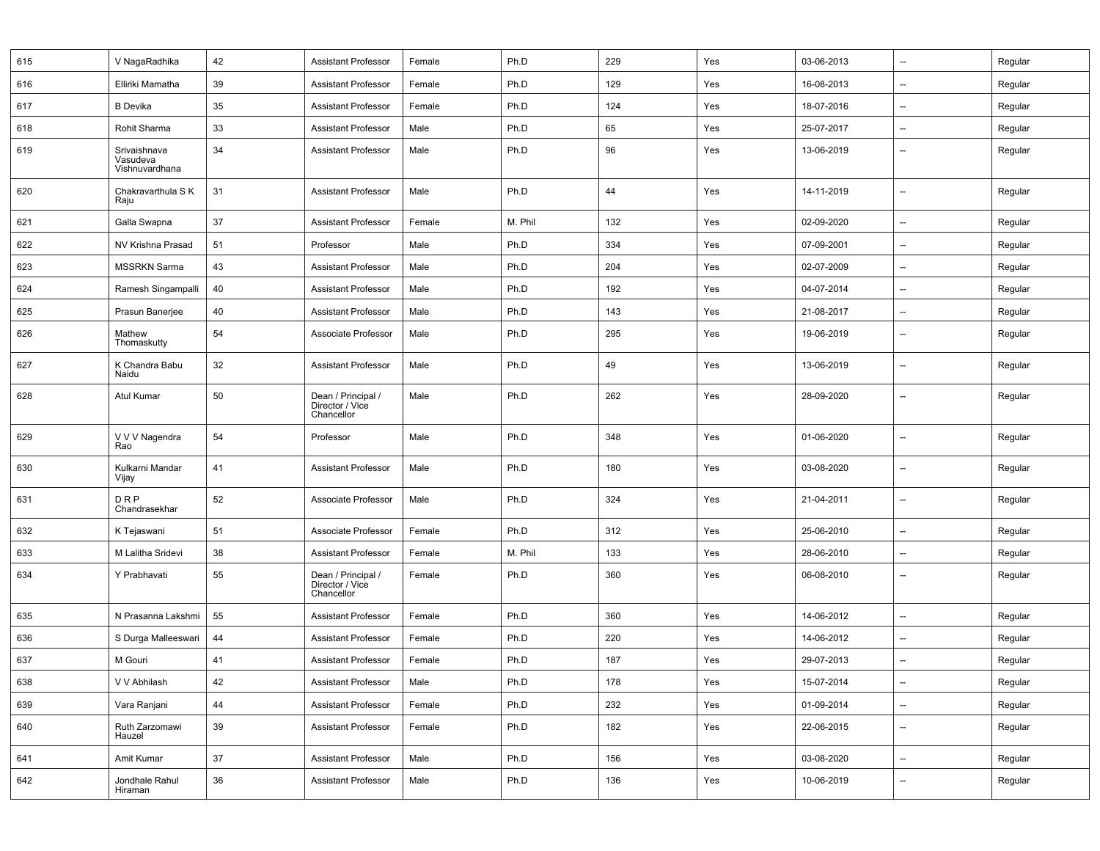| 615 | V NagaRadhika                              | 42 | <b>Assistant Professor</b>                          | Female | Ph.D    | 229 | Yes | 03-06-2013 | $\overline{\phantom{a}}$ | Regular |
|-----|--------------------------------------------|----|-----------------------------------------------------|--------|---------|-----|-----|------------|--------------------------|---------|
| 616 | Elliriki Mamatha                           | 39 | Assistant Professor                                 | Female | Ph.D    | 129 | Yes | 16-08-2013 | $\overline{\phantom{a}}$ | Regular |
| 617 | <b>B</b> Devika                            | 35 | <b>Assistant Professor</b>                          | Female | Ph.D    | 124 | Yes | 18-07-2016 | $\overline{\phantom{a}}$ | Regular |
| 618 | Rohit Sharma                               | 33 | <b>Assistant Professor</b>                          | Male   | Ph.D    | 65  | Yes | 25-07-2017 | $\overline{\phantom{a}}$ | Regular |
| 619 | Srivaishnava<br>Vasudeva<br>Vishnuvardhana | 34 | <b>Assistant Professor</b>                          | Male   | Ph.D    | 96  | Yes | 13-06-2019 | $\overline{\phantom{a}}$ | Regular |
| 620 | Chakravarthula S K<br>Raju                 | 31 | <b>Assistant Professor</b>                          | Male   | Ph.D    | 44  | Yes | 14-11-2019 | $\overline{\phantom{a}}$ | Regular |
| 621 | Galla Swapna                               | 37 | <b>Assistant Professor</b>                          | Female | M. Phil | 132 | Yes | 02-09-2020 | $\overline{\phantom{a}}$ | Regular |
| 622 | NV Krishna Prasad                          | 51 | Professor                                           | Male   | Ph.D    | 334 | Yes | 07-09-2001 | --                       | Regular |
| 623 | <b>MSSRKN Sarma</b>                        | 43 | <b>Assistant Professor</b>                          | Male   | Ph.D    | 204 | Yes | 02-07-2009 | $\overline{\phantom{a}}$ | Regular |
| 624 | Ramesh Singampalli                         | 40 | <b>Assistant Professor</b>                          | Male   | Ph.D    | 192 | Yes | 04-07-2014 | $\overline{\phantom{a}}$ | Regular |
| 625 | Prasun Banerjee                            | 40 | <b>Assistant Professor</b>                          | Male   | Ph.D    | 143 | Yes | 21-08-2017 | --                       | Regular |
| 626 | Mathew<br>Thomaskutty                      | 54 | Associate Professor                                 | Male   | Ph.D    | 295 | Yes | 19-06-2019 | $\overline{\phantom{a}}$ | Regular |
| 627 | K Chandra Babu<br>Naidu                    | 32 | <b>Assistant Professor</b>                          | Male   | Ph.D    | 49  | Yes | 13-06-2019 | $\overline{\phantom{a}}$ | Regular |
| 628 | Atul Kumar                                 | 50 | Dean / Principal /<br>Director / Vice<br>Chancellor | Male   | Ph.D    | 262 | Yes | 28-09-2020 | $\overline{\phantom{a}}$ | Regular |
| 629 | V V V Nagendra<br>Rao                      | 54 | Professor                                           | Male   | Ph.D    | 348 | Yes | 01-06-2020 | --                       | Regular |
| 630 | Kulkarni Mandar<br>Vijay                   | 41 | <b>Assistant Professor</b>                          | Male   | Ph.D    | 180 | Yes | 03-08-2020 | $\overline{\phantom{a}}$ | Regular |
| 631 | DRP<br>Chandrasekhar                       | 52 | Associate Professor                                 | Male   | Ph.D    | 324 | Yes | 21-04-2011 | $\overline{\phantom{a}}$ | Regular |
| 632 | K Tejaswani                                | 51 | Associate Professor                                 | Female | Ph.D    | 312 | Yes | 25-06-2010 | $\overline{\phantom{a}}$ | Regular |
| 633 | M Lalitha Sridevi                          | 38 | <b>Assistant Professor</b>                          | Female | M. Phil | 133 | Yes | 28-06-2010 | $\overline{\phantom{a}}$ | Regular |
| 634 | Y Prabhavati                               | 55 | Dean / Principal /<br>Director / Vice<br>Chancellor | Female | Ph.D    | 360 | Yes | 06-08-2010 | $\overline{\phantom{a}}$ | Regular |
| 635 | N Prasanna Lakshmi                         | 55 | <b>Assistant Professor</b>                          | Female | Ph.D    | 360 | Yes | 14-06-2012 | $\overline{\phantom{a}}$ | Regular |
| 636 | S Durga Malleeswari                        | 44 | <b>Assistant Professor</b>                          | Female | Ph.D    | 220 | Yes | 14-06-2012 | $\overline{\phantom{a}}$ | Regular |
| 637 | M Gouri                                    | 41 | <b>Assistant Professor</b>                          | Female | Ph.D    | 187 | Yes | 29-07-2013 | $\overline{\phantom{a}}$ | Regular |
| 638 | V V Abhilash                               | 42 | Assistant Professor                                 | Male   | Ph.D    | 178 | Yes | 15-07-2014 | $\overline{\phantom{a}}$ | Regular |
| 639 | Vara Ranjani                               | 44 | <b>Assistant Professor</b>                          | Female | Ph.D    | 232 | Yes | 01-09-2014 | $\overline{\phantom{a}}$ | Regular |
| 640 | Ruth Zarzomawi<br>Hauzel                   | 39 | <b>Assistant Professor</b>                          | Female | Ph.D    | 182 | Yes | 22-06-2015 | --                       | Regular |
| 641 | Amit Kumar                                 | 37 | <b>Assistant Professor</b>                          | Male   | Ph.D    | 156 | Yes | 03-08-2020 | $\overline{\phantom{a}}$ | Regular |
| 642 | Jondhale Rahul<br>Hiraman                  | 36 | Assistant Professor                                 | Male   | Ph.D    | 136 | Yes | 10-06-2019 | $\qquad \qquad -$        | Regular |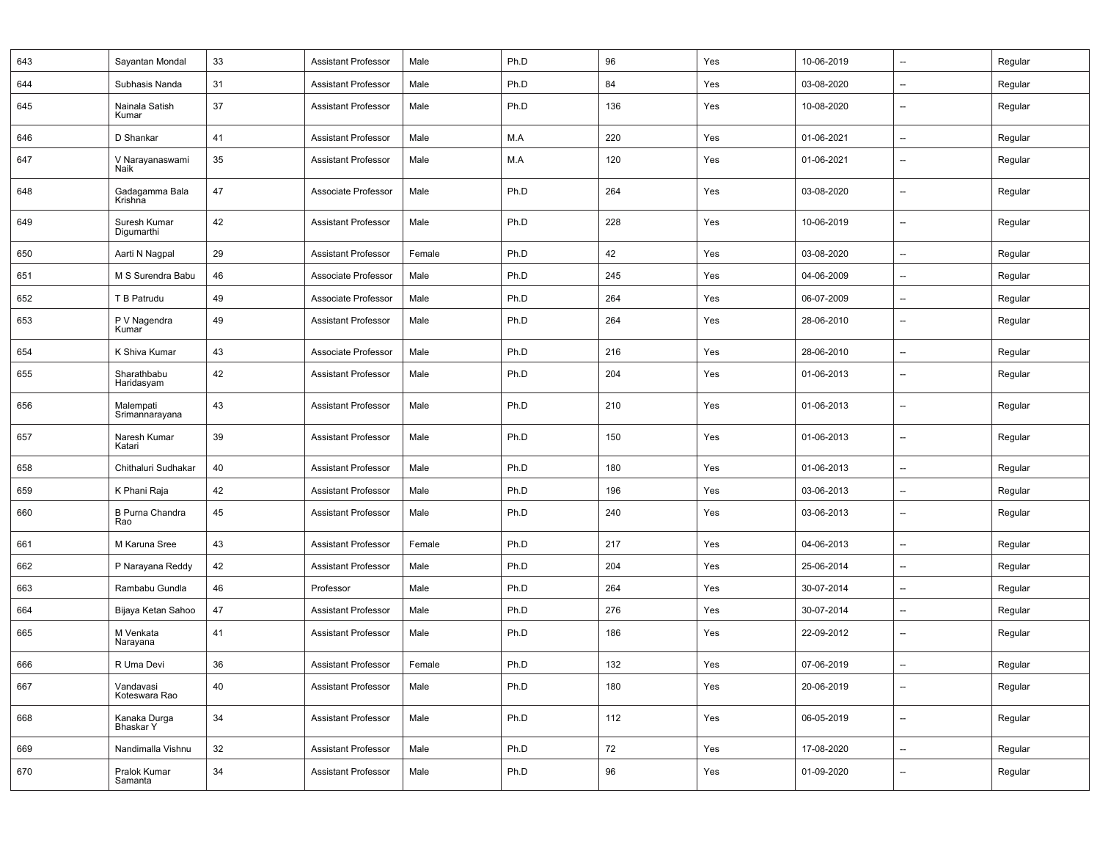| 643 | Sayantan Mondal               | 33 | Assistant Professor        | Male   | Ph.D | 96  | Yes | 10-06-2019 | $\overline{\phantom{a}}$ | Regular |
|-----|-------------------------------|----|----------------------------|--------|------|-----|-----|------------|--------------------------|---------|
| 644 | Subhasis Nanda                | 31 | <b>Assistant Professor</b> | Male   | Ph.D | 84  | Yes | 03-08-2020 | $\overline{\phantom{a}}$ | Regular |
| 645 | Nainala Satish<br>Kumar       | 37 | <b>Assistant Professor</b> | Male   | Ph.D | 136 | Yes | 10-08-2020 | $\overline{\phantom{a}}$ | Regular |
| 646 | D Shankar                     | 41 | <b>Assistant Professor</b> | Male   | M.A  | 220 | Yes | 01-06-2021 | $\overline{\phantom{a}}$ | Regular |
| 647 | V Narayanaswami<br>Naik       | 35 | <b>Assistant Professor</b> | Male   | M.A  | 120 | Yes | 01-06-2021 | --                       | Regular |
| 648 | Gadagamma Bala<br>Krishna     | 47 | Associate Professor        | Male   | Ph.D | 264 | Yes | 03-08-2020 | $\overline{\phantom{a}}$ | Regular |
| 649 | Suresh Kumar<br>Digumarthi    | 42 | <b>Assistant Professor</b> | Male   | Ph.D | 228 | Yes | 10-06-2019 | --                       | Regular |
| 650 | Aarti N Nagpal                | 29 | <b>Assistant Professor</b> | Female | Ph.D | 42  | Yes | 03-08-2020 | $\overline{\phantom{a}}$ | Regular |
| 651 | M S Surendra Babu             | 46 | Associate Professor        | Male   | Ph.D | 245 | Yes | 04-06-2009 | $\overline{\phantom{a}}$ | Regular |
| 652 | T B Patrudu                   | 49 | Associate Professor        | Male   | Ph.D | 264 | Yes | 06-07-2009 | $\overline{\phantom{a}}$ | Regular |
| 653 | P V Nagendra<br>Kumar         | 49 | <b>Assistant Professor</b> | Male   | Ph.D | 264 | Yes | 28-06-2010 | $\overline{\phantom{a}}$ | Regular |
| 654 | K Shiva Kumar                 | 43 | Associate Professor        | Male   | Ph.D | 216 | Yes | 28-06-2010 | $\overline{\phantom{a}}$ | Regular |
| 655 | Sharathbabu<br>Haridasyam     | 42 | <b>Assistant Professor</b> | Male   | Ph.D | 204 | Yes | 01-06-2013 | $\overline{\phantom{a}}$ | Regular |
| 656 | Malempati<br>Srimannarayana   | 43 | <b>Assistant Professor</b> | Male   | Ph.D | 210 | Yes | 01-06-2013 | --                       | Regular |
| 657 | Naresh Kumar<br>Katari        | 39 | <b>Assistant Professor</b> | Male   | Ph.D | 150 | Yes | 01-06-2013 | --                       | Regular |
| 658 | Chithaluri Sudhakar           | 40 | <b>Assistant Professor</b> | Male   | Ph.D | 180 | Yes | 01-06-2013 | $\overline{\phantom{a}}$ | Regular |
| 659 | K Phani Raja                  | 42 | <b>Assistant Professor</b> | Male   | Ph.D | 196 | Yes | 03-06-2013 | --                       | Regular |
| 660 | <b>B Purna Chandra</b><br>Rao | 45 | <b>Assistant Professor</b> | Male   | Ph.D | 240 | Yes | 03-06-2013 | $\overline{\phantom{a}}$ | Regular |
| 661 | M Karuna Sree                 | 43 | <b>Assistant Professor</b> | Female | Ph.D | 217 | Yes | 04-06-2013 | $\overline{\phantom{a}}$ | Regular |
| 662 | P Narayana Reddy              | 42 | <b>Assistant Professor</b> | Male   | Ph.D | 204 | Yes | 25-06-2014 | --                       | Regular |
| 663 | Rambabu Gundla                | 46 | Professor                  | Male   | Ph.D | 264 | Yes | 30-07-2014 | $\overline{\phantom{a}}$ | Regular |
| 664 | Bijaya Ketan Sahoo            | 47 | <b>Assistant Professor</b> | Male   | Ph.D | 276 | Yes | 30-07-2014 | --                       | Regular |
| 665 | M Venkata<br>Narayana         | 41 | <b>Assistant Professor</b> | Male   | Ph.D | 186 | Yes | 22-09-2012 | $\overline{\phantom{a}}$ | Regular |
| 666 | R Uma Devi                    | 36 | <b>Assistant Professor</b> | Female | Ph.D | 132 | Yes | 07-06-2019 | $\overline{\phantom{a}}$ | Regular |
| 667 | Vandavasi<br>Koteswara Rao    | 40 | <b>Assistant Professor</b> | Male   | Ph.D | 180 | Yes | 20-06-2019 | $\overline{\phantom{a}}$ | Regular |
| 668 | Kanaka Durga<br>Bhaskar Y     | 34 | <b>Assistant Professor</b> | Male   | Ph.D | 112 | Yes | 06-05-2019 | --                       | Regular |
| 669 | Nandimalla Vishnu             | 32 | <b>Assistant Professor</b> | Male   | Ph.D | 72  | Yes | 17-08-2020 | $\overline{\phantom{a}}$ | Regular |
| 670 | Pralok Kumar<br>Samanta       | 34 | <b>Assistant Professor</b> | Male   | Ph.D | 96  | Yes | 01-09-2020 | $\overline{\phantom{a}}$ | Regular |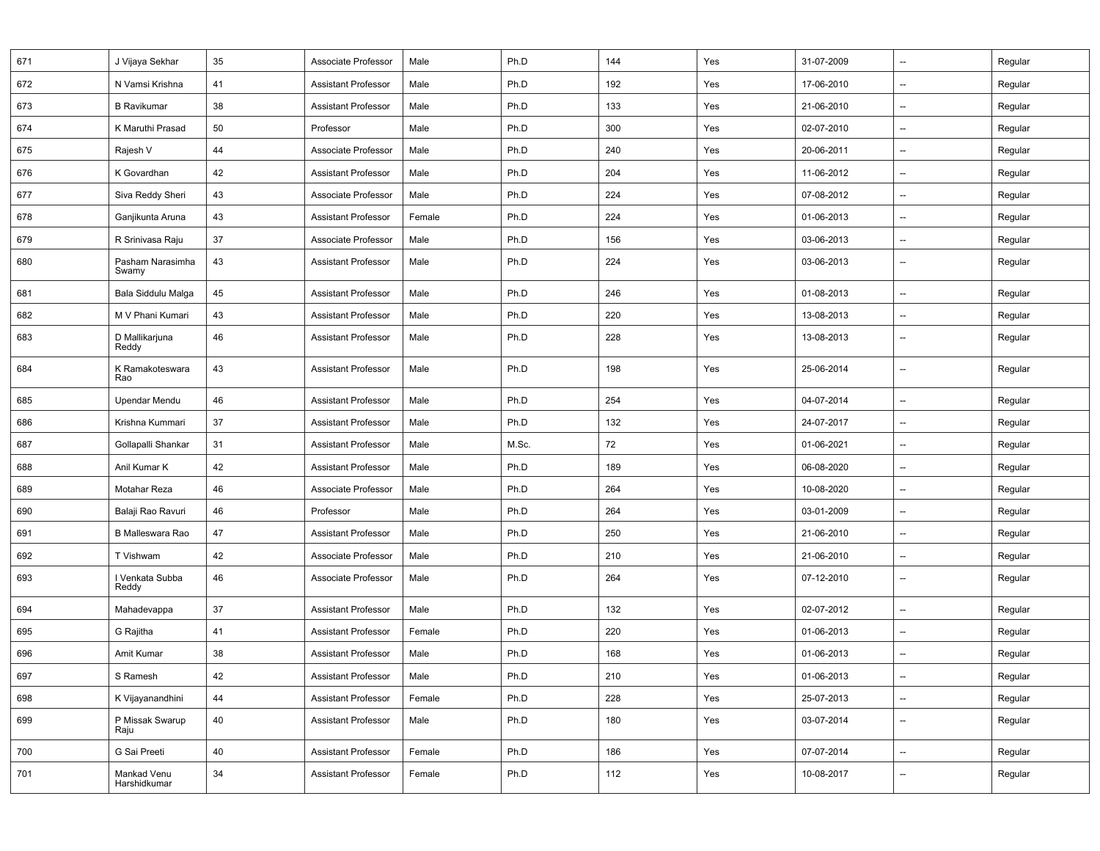| 671 | J Vijaya Sekhar             | 35 | Associate Professor        | Male   | Ph.D  | 144 | Yes | 31-07-2009 | $\overline{\phantom{a}}$ | Regular |
|-----|-----------------------------|----|----------------------------|--------|-------|-----|-----|------------|--------------------------|---------|
| 672 | N Vamsi Krishna             | 41 | <b>Assistant Professor</b> | Male   | Ph.D  | 192 | Yes | 17-06-2010 | $\overline{\phantom{a}}$ | Regular |
| 673 | <b>B</b> Ravikumar          | 38 | <b>Assistant Professor</b> | Male   | Ph.D  | 133 | Yes | 21-06-2010 | $\overline{\phantom{a}}$ | Regular |
| 674 | K Maruthi Prasad            | 50 | Professor                  | Male   | Ph.D  | 300 | Yes | 02-07-2010 | $\overline{\phantom{a}}$ | Regular |
| 675 | Rajesh V                    | 44 | Associate Professor        | Male   | Ph.D  | 240 | Yes | 20-06-2011 | --                       | Regular |
| 676 | K Govardhan                 | 42 | <b>Assistant Professor</b> | Male   | Ph.D  | 204 | Yes | 11-06-2012 | $\overline{\phantom{a}}$ | Regular |
| 677 | Siva Reddy Sheri            | 43 | Associate Professor        | Male   | Ph.D  | 224 | Yes | 07-08-2012 | $\overline{\phantom{a}}$ | Regular |
| 678 | Ganjikunta Aruna            | 43 | <b>Assistant Professor</b> | Female | Ph.D  | 224 | Yes | 01-06-2013 | $\overline{\phantom{a}}$ | Regular |
| 679 | R Srinivasa Raju            | 37 | Associate Professor        | Male   | Ph.D  | 156 | Yes | 03-06-2013 | --                       | Regular |
| 680 | Pasham Narasimha<br>Swamy   | 43 | <b>Assistant Professor</b> | Male   | Ph.D  | 224 | Yes | 03-06-2013 | --                       | Regular |
| 681 | Bala Siddulu Malga          | 45 | <b>Assistant Professor</b> | Male   | Ph.D  | 246 | Yes | 01-08-2013 | $\overline{\phantom{a}}$ | Regular |
| 682 | M V Phani Kumari            | 43 | <b>Assistant Professor</b> | Male   | Ph.D  | 220 | Yes | 13-08-2013 | $\overline{\phantom{a}}$ | Regular |
| 683 | D Mallikarjuna<br>Reddy     | 46 | <b>Assistant Professor</b> | Male   | Ph.D  | 228 | Yes | 13-08-2013 | $\overline{\phantom{a}}$ | Regular |
| 684 | K Ramakoteswara<br>Rao      | 43 | <b>Assistant Professor</b> | Male   | Ph.D  | 198 | Yes | 25-06-2014 | --                       | Regular |
| 685 | Upendar Mendu               | 46 | <b>Assistant Professor</b> | Male   | Ph.D  | 254 | Yes | 04-07-2014 | $\overline{\phantom{a}}$ | Regular |
| 686 | Krishna Kummari             | 37 | <b>Assistant Professor</b> | Male   | Ph.D  | 132 | Yes | 24-07-2017 | $\overline{\phantom{a}}$ | Regular |
| 687 | Gollapalli Shankar          | 31 | Assistant Professor        | Male   | M.Sc. | 72  | Yes | 01-06-2021 | $\overline{\phantom{a}}$ | Regular |
| 688 | Anil Kumar K                | 42 | <b>Assistant Professor</b> | Male   | Ph.D  | 189 | Yes | 06-08-2020 | $\overline{\phantom{a}}$ | Regular |
| 689 | Motahar Reza                | 46 | Associate Professor        | Male   | Ph.D  | 264 | Yes | 10-08-2020 | $\overline{\phantom{a}}$ | Regular |
| 690 | Balaji Rao Ravuri           | 46 | Professor                  | Male   | Ph.D  | 264 | Yes | 03-01-2009 | --                       | Regular |
| 691 | B Malleswara Rao            | 47 | <b>Assistant Professor</b> | Male   | Ph.D  | 250 | Yes | 21-06-2010 | $\overline{\phantom{a}}$ | Regular |
| 692 | T Vishwam                   | 42 | Associate Professor        | Male   | Ph.D  | 210 | Yes | 21-06-2010 | $\overline{\phantom{a}}$ | Regular |
| 693 | I Venkata Subba<br>Reddy    | 46 | Associate Professor        | Male   | Ph.D  | 264 | Yes | 07-12-2010 | --                       | Regular |
| 694 | Mahadevappa                 | 37 | <b>Assistant Professor</b> | Male   | Ph.D  | 132 | Yes | 02-07-2012 | $\overline{\phantom{a}}$ | Regular |
| 695 | G Rajitha                   | 41 | <b>Assistant Professor</b> | Female | Ph.D  | 220 | Yes | 01-06-2013 | $\overline{\phantom{a}}$ | Regular |
| 696 | Amit Kumar                  | 38 | <b>Assistant Professor</b> | Male   | Ph.D  | 168 | Yes | 01-06-2013 | --                       | Regular |
| 697 | S Ramesh                    | 42 | Assistant Professor        | Male   | Ph.D  | 210 | Yes | 01-06-2013 | --                       | Regular |
| 698 | K Vijayanandhini            | 44 | <b>Assistant Professor</b> | Female | Ph.D  | 228 | Yes | 25-07-2013 | --                       | Regular |
| 699 | P Missak Swarup<br>Raju     | 40 | <b>Assistant Professor</b> | Male   | Ph.D  | 180 | Yes | 03-07-2014 | --                       | Regular |
| 700 | G Sai Preeti                | 40 | <b>Assistant Professor</b> | Female | Ph.D  | 186 | Yes | 07-07-2014 | --                       | Regular |
| 701 | Mankad Venu<br>Harshidkumar | 34 | <b>Assistant Professor</b> | Female | Ph.D  | 112 | Yes | 10-08-2017 | --                       | Regular |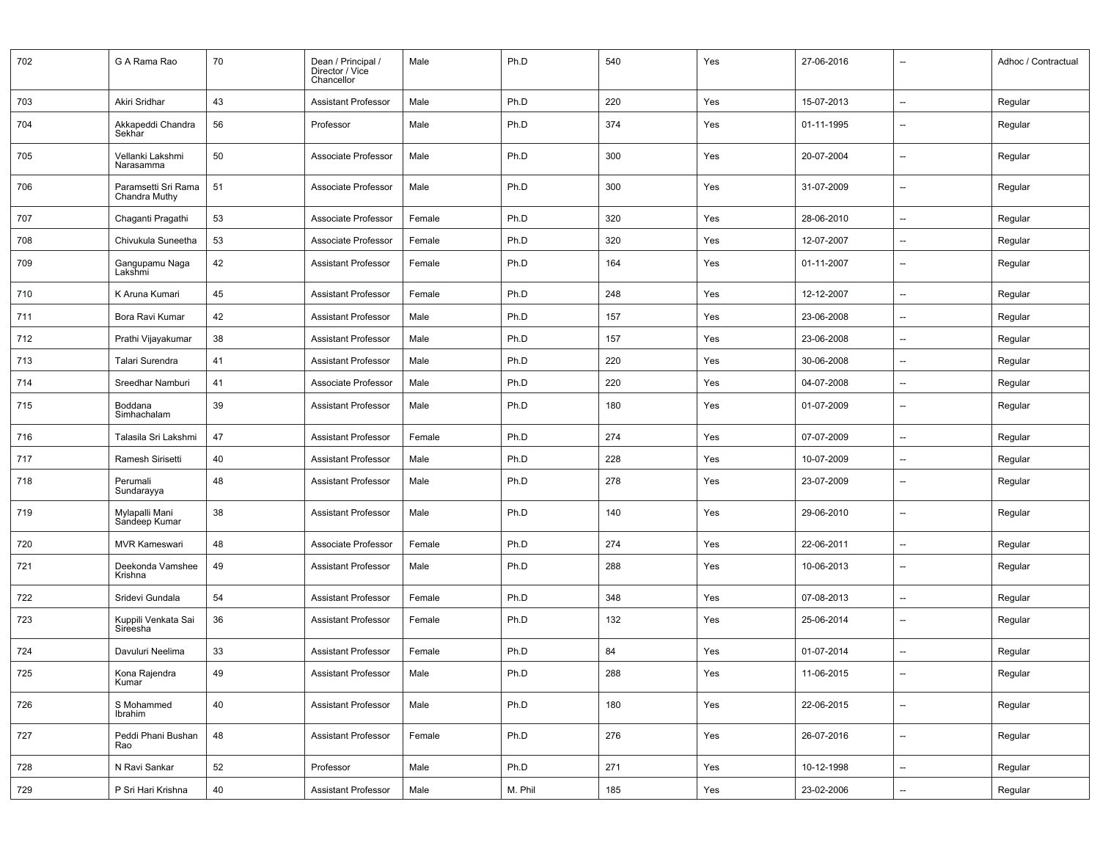| 702 | G A Rama Rao                         | 70 | Dean / Principal /<br>Director / Vice<br>Chancellor | Male   | Ph.D    | 540 | Yes | 27-06-2016 | $\qquad \qquad \cdots$   | Adhoc / Contractual |
|-----|--------------------------------------|----|-----------------------------------------------------|--------|---------|-----|-----|------------|--------------------------|---------------------|
| 703 | Akiri Sridhar                        | 43 | <b>Assistant Professor</b>                          | Male   | Ph.D    | 220 | Yes | 15-07-2013 | $\overline{\phantom{a}}$ | Regular             |
| 704 | Akkapeddi Chandra<br>Sekhar          | 56 | Professor                                           | Male   | Ph.D    | 374 | Yes | 01-11-1995 | $\qquad \qquad \cdots$   | Regular             |
| 705 | Vellanki Lakshmi<br>Narasamma        | 50 | Associate Professor                                 | Male   | Ph.D    | 300 | Yes | 20-07-2004 | $\overline{\phantom{a}}$ | Regular             |
| 706 | Paramsetti Sri Rama<br>Chandra Muthy | 51 | Associate Professor                                 | Male   | Ph.D    | 300 | Yes | 31-07-2009 | $\overline{\phantom{a}}$ | Regular             |
| 707 | Chaganti Pragathi                    | 53 | Associate Professor                                 | Female | Ph.D    | 320 | Yes | 28-06-2010 | --                       | Regular             |
| 708 | Chivukula Suneetha                   | 53 | Associate Professor                                 | Female | Ph.D    | 320 | Yes | 12-07-2007 | $\overline{\phantom{a}}$ | Regular             |
| 709 | Gangupamu Naga<br>Lakshmi            | 42 | <b>Assistant Professor</b>                          | Female | Ph.D    | 164 | Yes | 01-11-2007 | $\overline{\phantom{a}}$ | Regular             |
| 710 | K Aruna Kumari                       | 45 | <b>Assistant Professor</b>                          | Female | Ph.D    | 248 | Yes | 12-12-2007 | $\overline{\phantom{a}}$ | Regular             |
| 711 | Bora Ravi Kumar                      | 42 | <b>Assistant Professor</b>                          | Male   | Ph.D    | 157 | Yes | 23-06-2008 | $\overline{\phantom{a}}$ | Regular             |
| 712 | Prathi Vijayakumar                   | 38 | <b>Assistant Professor</b>                          | Male   | Ph.D    | 157 | Yes | 23-06-2008 | $\overline{\phantom{a}}$ | Regular             |
| 713 | Talari Surendra                      | 41 | <b>Assistant Professor</b>                          | Male   | Ph.D    | 220 | Yes | 30-06-2008 | $\overline{\phantom{a}}$ | Regular             |
| 714 | Sreedhar Namburi                     | 41 | Associate Professor                                 | Male   | Ph.D    | 220 | Yes | 04-07-2008 | $\overline{\phantom{a}}$ | Regular             |
| 715 | Boddana<br>Simhachalam               | 39 | <b>Assistant Professor</b>                          | Male   | Ph.D    | 180 | Yes | 01-07-2009 | $\overline{\phantom{a}}$ | Regular             |
| 716 | Talasila Sri Lakshmi                 | 47 | <b>Assistant Professor</b>                          | Female | Ph.D    | 274 | Yes | 07-07-2009 | $\overline{\phantom{a}}$ | Regular             |
| 717 | Ramesh Sirisetti                     | 40 | <b>Assistant Professor</b>                          | Male   | Ph.D    | 228 | Yes | 10-07-2009 | $\overline{\phantom{a}}$ | Regular             |
| 718 | Perumali<br>Sundarayya               | 48 | <b>Assistant Professor</b>                          | Male   | Ph.D    | 278 | Yes | 23-07-2009 | $\overline{\phantom{a}}$ | Regular             |
| 719 | Mylapalli Mani<br>Sandeep Kumar      | 38 | <b>Assistant Professor</b>                          | Male   | Ph.D    | 140 | Yes | 29-06-2010 | $\overline{\phantom{a}}$ | Regular             |
| 720 | <b>MVR Kameswari</b>                 | 48 | Associate Professor                                 | Female | Ph.D    | 274 | Yes | 22-06-2011 | $\overline{\phantom{a}}$ | Regular             |
| 721 | Deekonda Vamshee<br>Krishna          | 49 | <b>Assistant Professor</b>                          | Male   | Ph.D    | 288 | Yes | 10-06-2013 | $\overline{\phantom{a}}$ | Regular             |
| 722 | Sridevi Gundala                      | 54 | <b>Assistant Professor</b>                          | Female | Ph.D    | 348 | Yes | 07-08-2013 | --                       | Regular             |
| 723 | Kuppili Venkata Sai<br>Sireesha      | 36 | <b>Assistant Professor</b>                          | Female | Ph.D    | 132 | Yes | 25-06-2014 | $\overline{\phantom{a}}$ | Regular             |
| 724 | Davuluri Neelima                     | 33 | <b>Assistant Professor</b>                          | Female | Ph.D    | 84  | Yes | 01-07-2014 | $\overline{\phantom{a}}$ | Regular             |
| 725 | Kona Rajendra<br>Kumar               | 49 | Assistant Professor                                 | Male   | Ph.D    | 288 | Yes | 11-06-2015 |                          | Regular             |
| 726 | S Mohammed<br>Ibrahim                | 40 | <b>Assistant Professor</b>                          | Male   | Ph.D    | 180 | Yes | 22-06-2015 | $\overline{\phantom{a}}$ | Regular             |
| 727 | Peddi Phani Bushan<br>Rao            | 48 | <b>Assistant Professor</b>                          | Female | Ph.D    | 276 | Yes | 26-07-2016 | --                       | Regular             |
| 728 | N Ravi Sankar                        | 52 | Professor                                           | Male   | Ph.D    | 271 | Yes | 10-12-1998 | --                       | Regular             |
| 729 | P Sri Hari Krishna                   | 40 | <b>Assistant Professor</b>                          | Male   | M. Phil | 185 | Yes | 23-02-2006 | --                       | Regular             |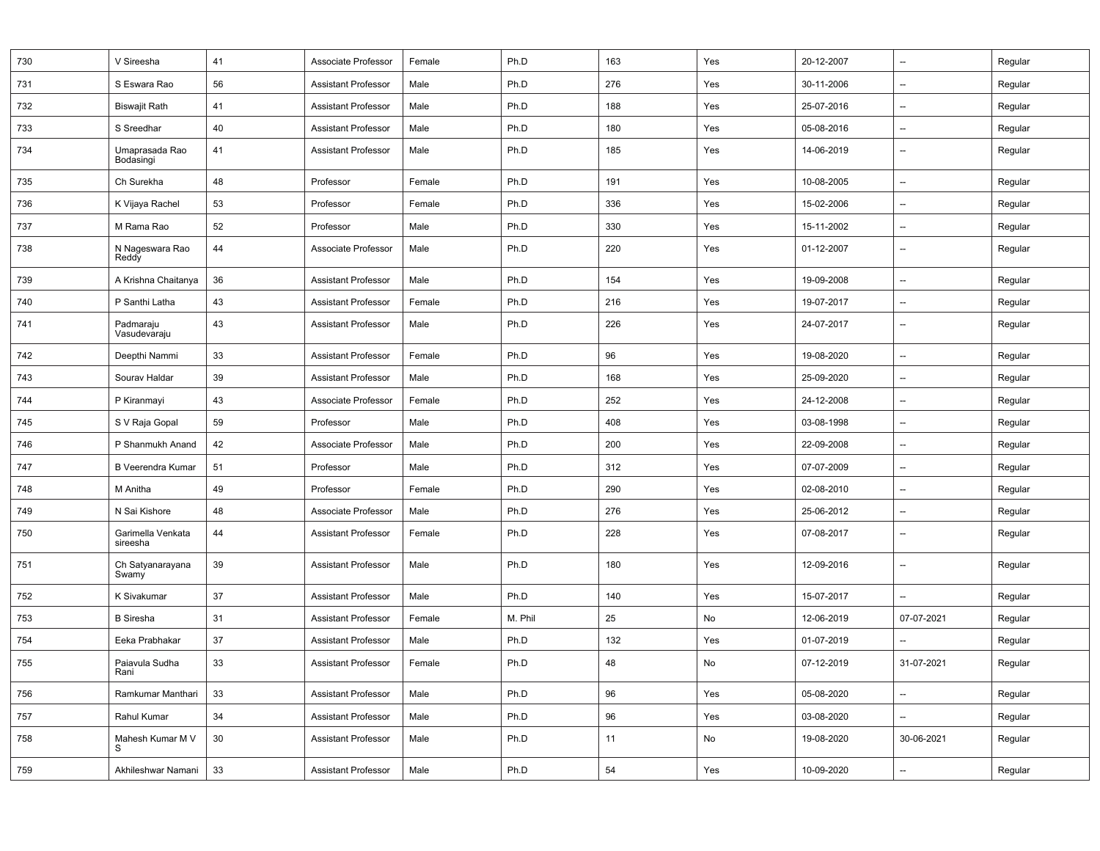| 730 | V Sireesha                    | 41 | Associate Professor        | Female | Ph.D    | 163 | Yes | 20-12-2007 | $\overline{\phantom{a}}$ | Regular |
|-----|-------------------------------|----|----------------------------|--------|---------|-----|-----|------------|--------------------------|---------|
| 731 | S Eswara Rao                  | 56 | <b>Assistant Professor</b> | Male   | Ph.D    | 276 | Yes | 30-11-2006 | $\overline{\phantom{a}}$ | Regular |
| 732 | <b>Biswajit Rath</b>          | 41 | <b>Assistant Professor</b> | Male   | Ph.D    | 188 | Yes | 25-07-2016 | $\overline{\phantom{a}}$ | Regular |
| 733 | S Sreedhar                    | 40 | <b>Assistant Professor</b> | Male   | Ph.D    | 180 | Yes | 05-08-2016 | $\overline{\phantom{a}}$ | Regular |
| 734 | Umaprasada Rao<br>Bodasingi   | 41 | <b>Assistant Professor</b> | Male   | Ph.D    | 185 | Yes | 14-06-2019 | --                       | Regular |
| 735 | Ch Surekha                    | 48 | Professor                  | Female | Ph.D    | 191 | Yes | 10-08-2005 | $\overline{\phantom{a}}$ | Regular |
| 736 | K Vijaya Rachel               | 53 | Professor                  | Female | Ph.D    | 336 | Yes | 15-02-2006 | $\overline{\phantom{a}}$ | Regular |
| 737 | M Rama Rao                    | 52 | Professor                  | Male   | Ph.D    | 330 | Yes | 15-11-2002 | --                       | Regular |
| 738 | N Nageswara Rao<br>Reddy      | 44 | Associate Professor        | Male   | Ph.D    | 220 | Yes | 01-12-2007 | $\overline{\phantom{a}}$ | Regular |
| 739 | A Krishna Chaitanya           | 36 | <b>Assistant Professor</b> | Male   | Ph.D    | 154 | Yes | 19-09-2008 | $\qquad \qquad \cdots$   | Regular |
| 740 | P Santhi Latha                | 43 | <b>Assistant Professor</b> | Female | Ph.D    | 216 | Yes | 19-07-2017 | $\overline{\phantom{a}}$ | Regular |
| 741 | Padmaraju<br>Vasudevaraju     | 43 | <b>Assistant Professor</b> | Male   | Ph.D    | 226 | Yes | 24-07-2017 | $\overline{\phantom{a}}$ | Regular |
| 742 | Deepthi Nammi                 | 33 | <b>Assistant Professor</b> | Female | Ph.D    | 96  | Yes | 19-08-2020 | $\overline{\phantom{a}}$ | Regular |
| 743 | Sourav Haldar                 | 39 | <b>Assistant Professor</b> | Male   | Ph.D    | 168 | Yes | 25-09-2020 | --                       | Regular |
| 744 | P Kiranmayi                   | 43 | Associate Professor        | Female | Ph.D    | 252 | Yes | 24-12-2008 | --                       | Regular |
| 745 | S V Raja Gopal                | 59 | Professor                  | Male   | Ph.D    | 408 | Yes | 03-08-1998 | --                       | Regular |
| 746 | P Shanmukh Anand              | 42 | Associate Professor        | Male   | Ph.D    | 200 | Yes | 22-09-2008 | --                       | Regular |
| 747 | <b>B Veerendra Kumar</b>      | 51 | Professor                  | Male   | Ph.D    | 312 | Yes | 07-07-2009 | $\overline{\phantom{a}}$ | Regular |
| 748 | M Anitha                      | 49 | Professor                  | Female | Ph.D    | 290 | Yes | 02-08-2010 | --                       | Regular |
| 749 | N Sai Kishore                 | 48 | Associate Professor        | Male   | Ph.D    | 276 | Yes | 25-06-2012 | $\overline{\phantom{a}}$ | Regular |
| 750 | Garimella Venkata<br>sireesha | 44 | <b>Assistant Professor</b> | Female | Ph.D    | 228 | Yes | 07-08-2017 | $\overline{\phantom{a}}$ | Regular |
| 751 | Ch Satyanarayana<br>Swamy     | 39 | <b>Assistant Professor</b> | Male   | Ph.D    | 180 | Yes | 12-09-2016 | $\overline{\phantom{a}}$ | Regular |
| 752 | K Sivakumar                   | 37 | <b>Assistant Professor</b> | Male   | Ph.D    | 140 | Yes | 15-07-2017 | $\overline{\phantom{a}}$ | Regular |
| 753 | <b>B</b> Siresha              | 31 | <b>Assistant Professor</b> | Female | M. Phil | 25  | No  | 12-06-2019 | 07-07-2021               | Regular |
| 754 | Eeka Prabhakar                | 37 | <b>Assistant Professor</b> | Male   | Ph.D    | 132 | Yes | 01-07-2019 | $\overline{\phantom{a}}$ | Regular |
| 755 | Paiavula Sudha<br>Rani        | 33 | <b>Assistant Professor</b> | Female | Ph.D    | 48  | No  | 07-12-2019 | 31-07-2021               | Regular |
| 756 | Ramkumar Manthari             | 33 | <b>Assistant Professor</b> | Male   | Ph.D    | 96  | Yes | 05-08-2020 | --                       | Regular |
| 757 | Rahul Kumar                   | 34 | <b>Assistant Professor</b> | Male   | Ph.D    | 96  | Yes | 03-08-2020 | --                       | Regular |
| 758 | Mahesh Kumar M V<br>s         | 30 | <b>Assistant Professor</b> | Male   | Ph.D    | 11  | No  | 19-08-2020 | 30-06-2021               | Regular |
| 759 | Akhileshwar Namani            | 33 | <b>Assistant Professor</b> | Male   | Ph.D    | 54  | Yes | 10-09-2020 | $\overline{\phantom{a}}$ | Regular |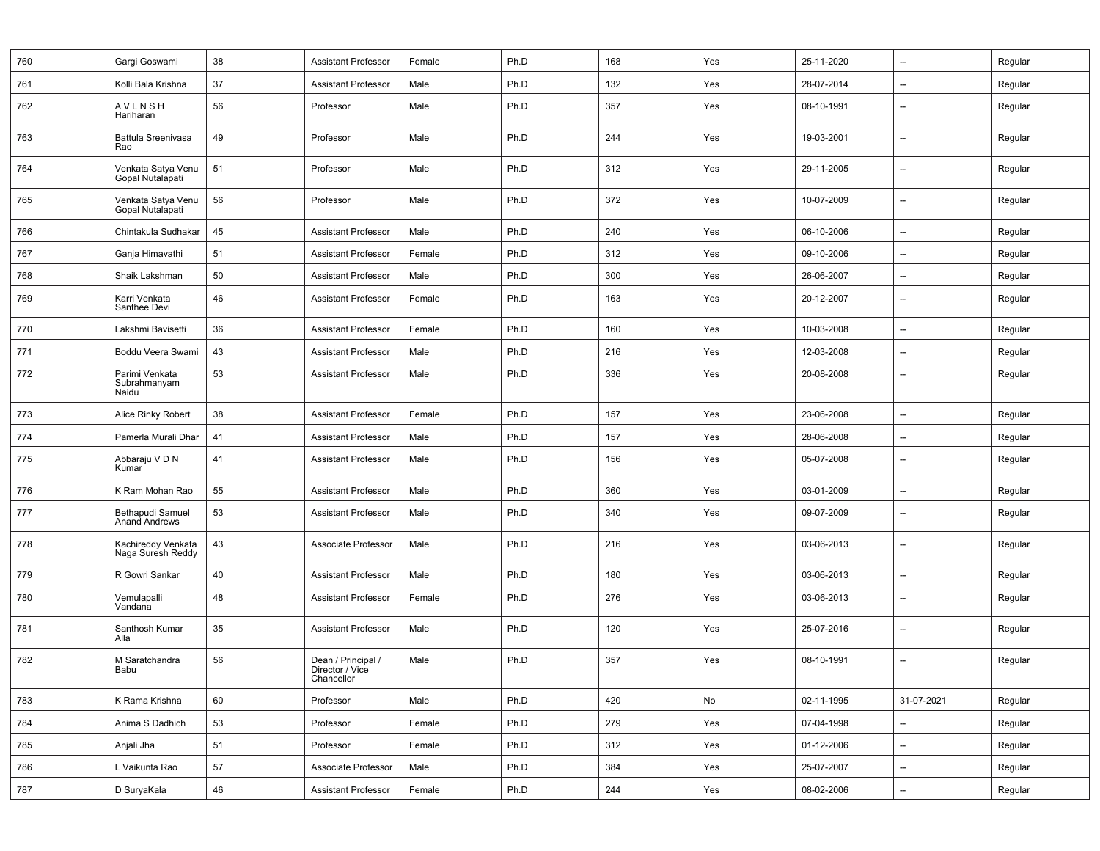| 760 | Gargi Goswami                           | 38 | <b>Assistant Professor</b>                          | Female | Ph.D | 168 | Yes | 25-11-2020 | --                       | Regular |
|-----|-----------------------------------------|----|-----------------------------------------------------|--------|------|-----|-----|------------|--------------------------|---------|
| 761 | Kolli Bala Krishna                      | 37 | <b>Assistant Professor</b>                          | Male   | Ph.D | 132 | Yes | 28-07-2014 | $\overline{a}$           | Regular |
| 762 | <b>AVLNSH</b><br>Hariharan              | 56 | Professor                                           | Male   | Ph.D | 357 | Yes | 08-10-1991 |                          | Regular |
| 763 | Battula Sreenivasa<br>Rao               | 49 | Professor                                           | Male   | Ph.D | 244 | Yes | 19-03-2001 | --                       | Regular |
| 764 | Venkata Satya Venu<br>Gopal Nutalapati  | 51 | Professor                                           | Male   | Ph.D | 312 | Yes | 29-11-2005 | $\overline{\phantom{a}}$ | Regular |
| 765 | Venkata Satya Venu<br>Gopal Nutalapati  | 56 | Professor                                           | Male   | Ph.D | 372 | Yes | 10-07-2009 | --                       | Regular |
| 766 | Chintakula Sudhakar                     | 45 | <b>Assistant Professor</b>                          | Male   | Ph.D | 240 | Yes | 06-10-2006 | $\overline{\phantom{a}}$ | Regular |
| 767 | Ganja Himavathi                         | 51 | <b>Assistant Professor</b>                          | Female | Ph.D | 312 | Yes | 09-10-2006 | $\overline{\phantom{a}}$ | Regular |
| 768 | Shaik Lakshman                          | 50 | <b>Assistant Professor</b>                          | Male   | Ph.D | 300 | Yes | 26-06-2007 | $\overline{\phantom{0}}$ | Regular |
| 769 | Karri Venkata<br>Santhee Devi           | 46 | <b>Assistant Professor</b>                          | Female | Ph.D | 163 | Yes | 20-12-2007 | $\overline{\phantom{a}}$ | Regular |
| 770 | Lakshmi Bavisetti                       | 36 | <b>Assistant Professor</b>                          | Female | Ph.D | 160 | Yes | 10-03-2008 | $\overline{\phantom{a}}$ | Regular |
| 771 | Boddu Veera Swami                       | 43 | <b>Assistant Professor</b>                          | Male   | Ph.D | 216 | Yes | 12-03-2008 | $\overline{\phantom{a}}$ | Regular |
| 772 | Parimi Venkata<br>Subrahmanyam<br>Naidu | 53 | <b>Assistant Professor</b>                          | Male   | Ph.D | 336 | Yes | 20-08-2008 |                          | Regular |
| 773 | Alice Rinky Robert                      | 38 | <b>Assistant Professor</b>                          | Female | Ph.D | 157 | Yes | 23-06-2008 | $\overline{\phantom{0}}$ | Regular |
| 774 | Pamerla Murali Dhar                     | 41 | <b>Assistant Professor</b>                          | Male   | Ph.D | 157 | Yes | 28-06-2008 | $\overline{\phantom{a}}$ | Regular |
| 775 | Abbaraju V D N<br>Kumar                 | 41 | <b>Assistant Professor</b>                          | Male   | Ph.D | 156 | Yes | 05-07-2008 | $\overline{\phantom{a}}$ | Regular |
| 776 | K Ram Mohan Rao                         | 55 | <b>Assistant Professor</b>                          | Male   | Ph.D | 360 | Yes | 03-01-2009 | $\overline{a}$           | Regular |
| 777 | Bethapudi Samuel<br>Anand Andrews       | 53 | <b>Assistant Professor</b>                          | Male   | Ph.D | 340 | Yes | 09-07-2009 | --                       | Regular |
| 778 | Kachireddy Venkata<br>Naga Suresh Reddy | 43 | Associate Professor                                 | Male   | Ph.D | 216 | Yes | 03-06-2013 | $\overline{\phantom{0}}$ | Regular |
| 779 | R Gowri Sankar                          | 40 | <b>Assistant Professor</b>                          | Male   | Ph.D | 180 | Yes | 03-06-2013 | $\overline{a}$           | Regular |
| 780 | Vemulapalli<br>Vandana                  | 48 | <b>Assistant Professor</b>                          | Female | Ph.D | 276 | Yes | 03-06-2013 | --                       | Regular |
| 781 | Santhosh Kumar<br>Alla                  | 35 | <b>Assistant Professor</b>                          | Male   | Ph.D | 120 | Yes | 25-07-2016 | $\overline{\phantom{0}}$ | Regular |
| 782 | M Saratchandra<br>Babu                  | 56 | Dean / Principal /<br>Director / Vice<br>Chancellor | Male   | Ph.D | 357 | Yes | 08-10-1991 | --                       | Regular |
| 783 | K Rama Krishna                          | 60 | Professor                                           | Male   | Ph.D | 420 | No  | 02-11-1995 | 31-07-2021               | Regular |
| 784 | Anima S Dadhich                         | 53 | Professor                                           | Female | Ph.D | 279 | Yes | 07-04-1998 |                          | Regular |
| 785 | Anjali Jha                              | 51 | Professor                                           | Female | Ph.D | 312 | Yes | 01-12-2006 | --                       | Regular |
| 786 | L Vaikunta Rao                          | 57 | Associate Professor                                 | Male   | Ph.D | 384 | Yes | 25-07-2007 | --                       | Regular |
| 787 | D SuryaKala                             | 46 | <b>Assistant Professor</b>                          | Female | Ph.D | 244 | Yes | 08-02-2006 | Щ,                       | Regular |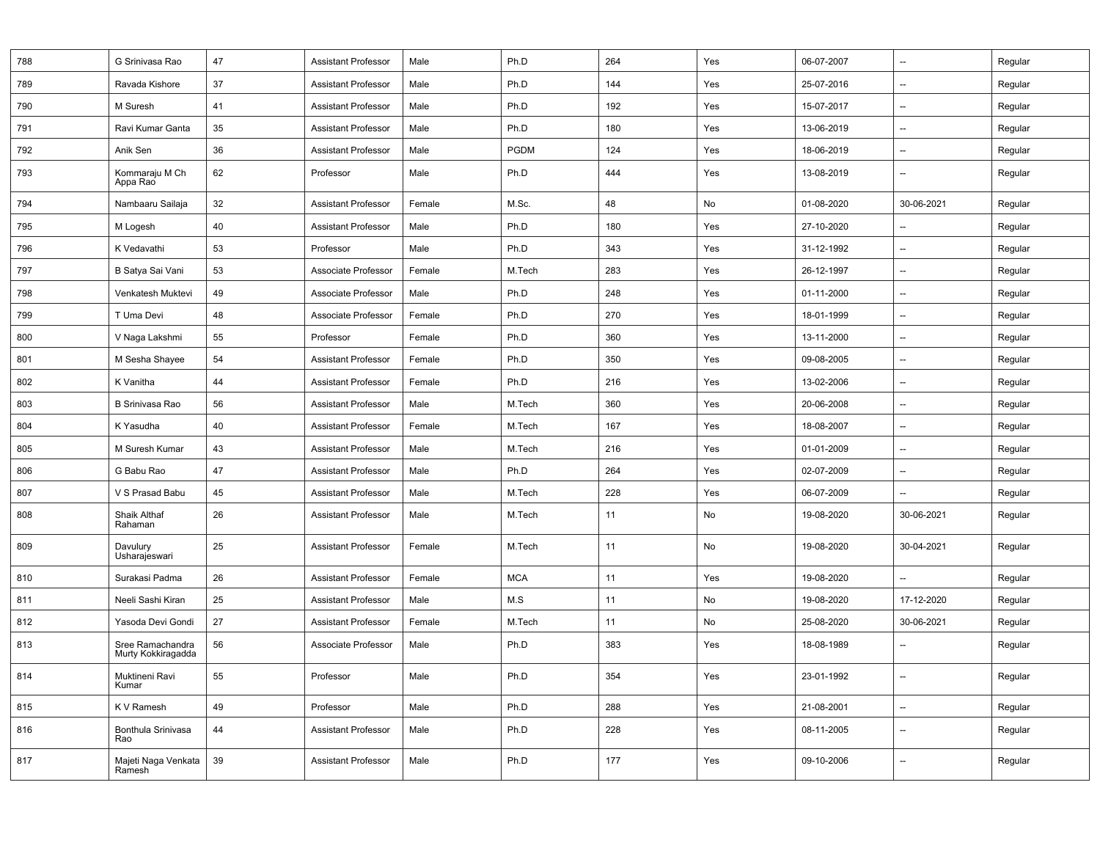| 788 | G Srinivasa Rao                        | 47 | <b>Assistant Professor</b> | Male   | Ph.D        | 264 | Yes | 06-07-2007 | $\overline{\phantom{a}}$ | Regular |
|-----|----------------------------------------|----|----------------------------|--------|-------------|-----|-----|------------|--------------------------|---------|
| 789 | Ravada Kishore                         | 37 | <b>Assistant Professor</b> | Male   | Ph.D        | 144 | Yes | 25-07-2016 | $\overline{\phantom{a}}$ | Regular |
| 790 | M Suresh                               | 41 | <b>Assistant Professor</b> | Male   | Ph.D        | 192 | Yes | 15-07-2017 | $\overline{\phantom{a}}$ | Regular |
| 791 | Ravi Kumar Ganta                       | 35 | <b>Assistant Professor</b> | Male   | Ph.D        | 180 | Yes | 13-06-2019 | $\overline{\phantom{a}}$ | Regular |
| 792 | Anik Sen                               | 36 | <b>Assistant Professor</b> | Male   | <b>PGDM</b> | 124 | Yes | 18-06-2019 | $\qquad \qquad \cdots$   | Regular |
| 793 | Kommaraju M Ch<br>Appa Rao             | 62 | Professor                  | Male   | Ph.D        | 444 | Yes | 13-08-2019 | $\overline{\phantom{a}}$ | Regular |
| 794 | Nambaaru Sailaja                       | 32 | <b>Assistant Professor</b> | Female | M.Sc.       | 48  | No  | 01-08-2020 | 30-06-2021               | Regular |
| 795 | M Logesh                               | 40 | <b>Assistant Professor</b> | Male   | Ph.D        | 180 | Yes | 27-10-2020 | $\overline{\phantom{a}}$ | Regular |
| 796 | K Vedavathi                            | 53 | Professor                  | Male   | Ph.D        | 343 | Yes | 31-12-1992 | $\overline{\phantom{a}}$ | Regular |
| 797 | B Satya Sai Vani                       | 53 | Associate Professor        | Female | M.Tech      | 283 | Yes | 26-12-1997 | $\overline{\phantom{a}}$ | Regular |
| 798 | Venkatesh Muktevi                      | 49 | Associate Professor        | Male   | Ph.D        | 248 | Yes | 01-11-2000 | --                       | Regular |
| 799 | T Uma Devi                             | 48 | Associate Professor        | Female | Ph.D        | 270 | Yes | 18-01-1999 | $\qquad \qquad \cdots$   | Regular |
| 800 | V Naga Lakshmi                         | 55 | Professor                  | Female | Ph.D        | 360 | Yes | 13-11-2000 | $\overline{\phantom{a}}$ | Regular |
| 801 | M Sesha Shayee                         | 54 | <b>Assistant Professor</b> | Female | Ph.D        | 350 | Yes | 09-08-2005 | $\qquad \qquad \cdots$   | Regular |
| 802 | K Vanitha                              | 44 | <b>Assistant Professor</b> | Female | Ph.D        | 216 | Yes | 13-02-2006 | $\overline{\phantom{a}}$ | Regular |
| 803 | <b>B Srinivasa Rao</b>                 | 56 | <b>Assistant Professor</b> | Male   | M.Tech      | 360 | Yes | 20-06-2008 | $\overline{\phantom{a}}$ | Regular |
| 804 | K Yasudha                              | 40 | <b>Assistant Professor</b> | Female | M.Tech      | 167 | Yes | 18-08-2007 | $\overline{\phantom{a}}$ | Regular |
| 805 | M Suresh Kumar                         | 43 | <b>Assistant Professor</b> | Male   | M.Tech      | 216 | Yes | 01-01-2009 | $\overline{\phantom{a}}$ | Regular |
| 806 | G Babu Rao                             | 47 | <b>Assistant Professor</b> | Male   | Ph.D        | 264 | Yes | 02-07-2009 | $\overline{\phantom{a}}$ | Regular |
| 807 | V S Prasad Babu                        | 45 | <b>Assistant Professor</b> | Male   | M.Tech      | 228 | Yes | 06-07-2009 | $\overline{\phantom{a}}$ | Regular |
| 808 | Shaik Althaf<br>Rahaman                | 26 | <b>Assistant Professor</b> | Male   | M.Tech      | 11  | No  | 19-08-2020 | 30-06-2021               | Regular |
| 809 | Davulury<br>Usharajeswari              | 25 | <b>Assistant Professor</b> | Female | M.Tech      | 11  | No  | 19-08-2020 | 30-04-2021               | Regular |
| 810 | Surakasi Padma                         | 26 | <b>Assistant Professor</b> | Female | <b>MCA</b>  | 11  | Yes | 19-08-2020 | $\overline{\phantom{a}}$ | Regular |
| 811 | Neeli Sashi Kiran                      | 25 | <b>Assistant Professor</b> | Male   | M.S         | 11  | No  | 19-08-2020 | 17-12-2020               | Regular |
| 812 | Yasoda Devi Gondi                      | 27 | <b>Assistant Professor</b> | Female | M.Tech      | 11  | No  | 25-08-2020 | 30-06-2021               | Regular |
| 813 | Sree Ramachandra<br>Murty Kokkiragadda | 56 | Associate Professor        | Male   | Ph.D        | 383 | Yes | 18-08-1989 | --                       | Regular |
| 814 | Muktineni Ravi<br>Kumar                | 55 | Professor                  | Male   | Ph.D        | 354 | Yes | 23-01-1992 | $\overline{\phantom{a}}$ | Regular |
| 815 | K V Ramesh                             | 49 | Professor                  | Male   | Ph.D        | 288 | Yes | 21-08-2001 | $\overline{\phantom{a}}$ | Regular |
| 816 | Bonthula Srinivasa<br>Rao              | 44 | <b>Assistant Professor</b> | Male   | Ph.D        | 228 | Yes | 08-11-2005 | $\overline{\phantom{a}}$ | Regular |
| 817 | Majeti Naga Venkata<br>Ramesh          | 39 | <b>Assistant Professor</b> | Male   | Ph.D        | 177 | Yes | 09-10-2006 | --                       | Regular |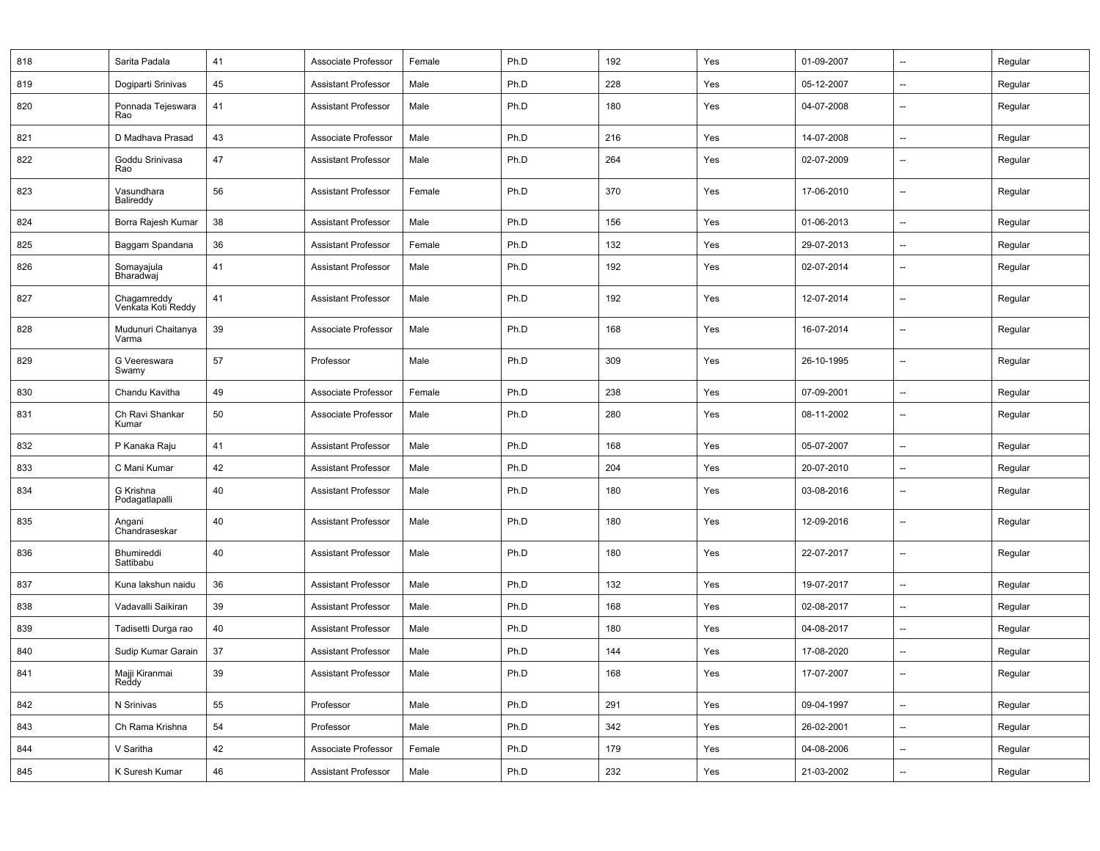| 818 | Sarita Padala                     | 41 | Associate Professor        | Female | Ph.D | 192 | Yes | 01-09-2007 | --                       | Regular |
|-----|-----------------------------------|----|----------------------------|--------|------|-----|-----|------------|--------------------------|---------|
| 819 | Dogiparti Srinivas                | 45 | <b>Assistant Professor</b> | Male   | Ph.D | 228 | Yes | 05-12-2007 | --                       | Regular |
| 820 | Ponnada Tejeswara<br>Rao          | 41 | <b>Assistant Professor</b> | Male   | Ph.D | 180 | Yes | 04-07-2008 | $\overline{\phantom{a}}$ | Regular |
| 821 | D Madhava Prasad                  | 43 | Associate Professor        | Male   | Ph.D | 216 | Yes | 14-07-2008 | $\qquad \qquad -$        | Regular |
| 822 | Goddu Srinivasa<br>Rao            | 47 | <b>Assistant Professor</b> | Male   | Ph.D | 264 | Yes | 02-07-2009 | $\overline{\phantom{a}}$ | Regular |
| 823 | Vasundhara<br>Balireddy           | 56 | <b>Assistant Professor</b> | Female | Ph.D | 370 | Yes | 17-06-2010 | --                       | Regular |
| 824 | Borra Rajesh Kumar                | 38 | <b>Assistant Professor</b> | Male   | Ph.D | 156 | Yes | 01-06-2013 | $\overline{\phantom{a}}$ | Regular |
| 825 | Baggam Spandana                   | 36 | <b>Assistant Professor</b> | Female | Ph.D | 132 | Yes | 29-07-2013 | $\overline{\phantom{a}}$ | Regular |
| 826 | Somayajula<br>Bharadwaj           | 41 | <b>Assistant Professor</b> | Male   | Ph.D | 192 | Yes | 02-07-2014 | $\overline{\phantom{a}}$ | Regular |
| 827 | Chagamreddy<br>Venkata Koti Reddy | 41 | <b>Assistant Professor</b> | Male   | Ph.D | 192 | Yes | 12-07-2014 | $\overline{\phantom{a}}$ | Regular |
| 828 | Mudunuri Chaitanya<br>Varma       | 39 | Associate Professor        | Male   | Ph.D | 168 | Yes | 16-07-2014 | $\overline{\phantom{a}}$ | Regular |
| 829 | G Veereswara<br>Swamy             | 57 | Professor                  | Male   | Ph.D | 309 | Yes | 26-10-1995 | --                       | Regular |
| 830 | Chandu Kavitha                    | 49 | Associate Professor        | Female | Ph.D | 238 | Yes | 07-09-2001 | $\overline{\phantom{a}}$ | Regular |
| 831 | Ch Ravi Shankar<br>Kumar          | 50 | Associate Professor        | Male   | Ph.D | 280 | Yes | 08-11-2002 | $\overline{\phantom{a}}$ | Regular |
| 832 | P Kanaka Raju                     | 41 | <b>Assistant Professor</b> | Male   | Ph.D | 168 | Yes | 05-07-2007 | --                       | Regular |
| 833 | C Mani Kumar                      | 42 | <b>Assistant Professor</b> | Male   | Ph.D | 204 | Yes | 20-07-2010 | $\overline{\phantom{a}}$ | Regular |
| 834 | G Krishna<br>Podagatlapalli       | 40 | Assistant Professor        | Male   | Ph.D | 180 | Yes | 03-08-2016 | $\overline{\phantom{a}}$ | Regular |
| 835 | Angani<br>Chandraseskar           | 40 | <b>Assistant Professor</b> | Male   | Ph.D | 180 | Yes | 12-09-2016 | $\overline{\phantom{a}}$ | Regular |
| 836 | Bhumireddi<br>Sattibabu           | 40 | <b>Assistant Professor</b> | Male   | Ph.D | 180 | Yes | 22-07-2017 | --                       | Regular |
| 837 | Kuna lakshun naidu                | 36 | <b>Assistant Professor</b> | Male   | Ph.D | 132 | Yes | 19-07-2017 | $\overline{\phantom{a}}$ | Regular |
| 838 | Vadavalli Saikiran                | 39 | <b>Assistant Professor</b> | Male   | Ph.D | 168 | Yes | 02-08-2017 | $\overline{\phantom{a}}$ | Regular |
| 839 | Tadisetti Durga rao               | 40 | <b>Assistant Professor</b> | Male   | Ph.D | 180 | Yes | 04-08-2017 | $\overline{\phantom{a}}$ | Regular |
| 840 | Sudip Kumar Garain                | 37 | <b>Assistant Professor</b> | Male   | Ph.D | 144 | Yes | 17-08-2020 | --                       | Regular |
| 841 | Majji Kiranmai<br>Reddy           | 39 | Assistant Professor        | Male   | Ph.D | 168 | Yes | 17-07-2007 |                          | Regular |
| 842 | N Srinivas                        | 55 | Professor                  | Male   | Ph.D | 291 | Yes | 09-04-1997 | $\overline{\phantom{a}}$ | Regular |
| 843 | Ch Rama Krishna                   | 54 | Professor                  | Male   | Ph.D | 342 | Yes | 26-02-2001 | --                       | Regular |
| 844 | V Saritha                         | 42 | Associate Professor        | Female | Ph.D | 179 | Yes | 04-08-2006 | --                       | Regular |
| 845 | K Suresh Kumar                    | 46 | <b>Assistant Professor</b> | Male   | Ph.D | 232 | Yes | 21-03-2002 | $\overline{\phantom{a}}$ | Regular |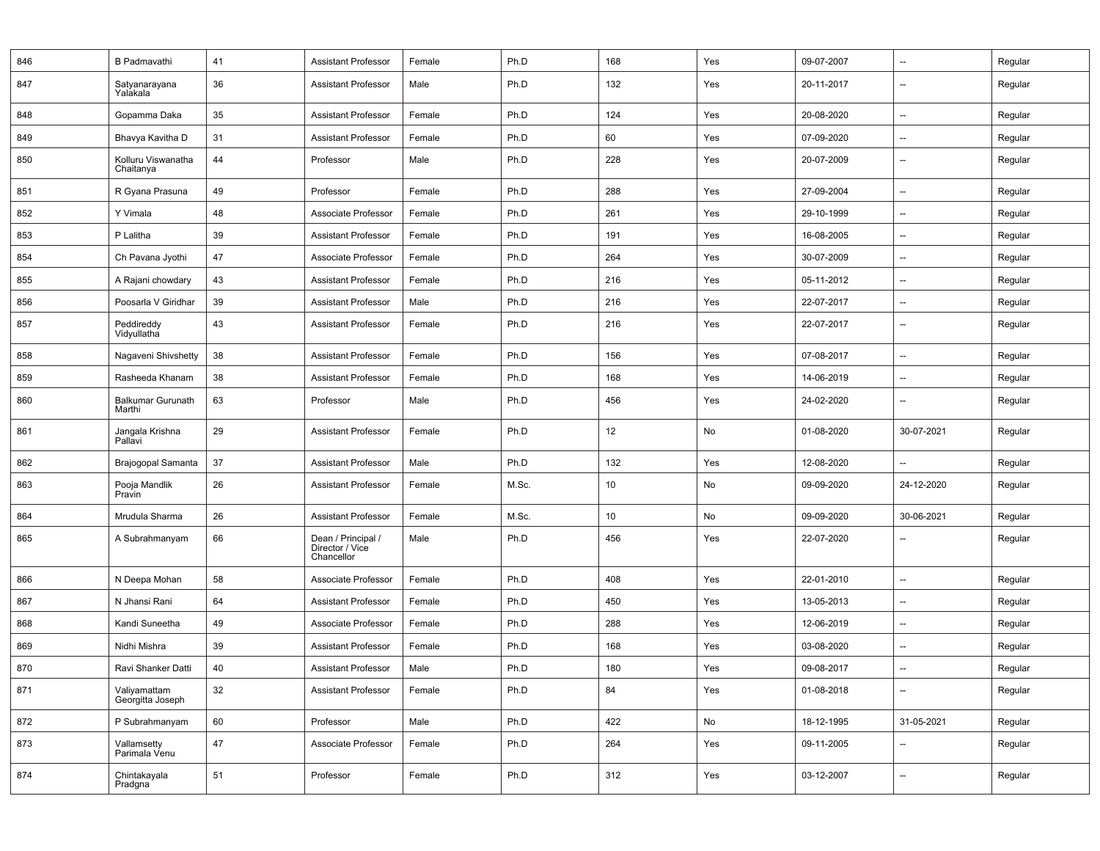| 846 | <b>B</b> Padmavathi                | 41     | <b>Assistant Professor</b>                          | Female | Ph.D  | 168             | Yes | 09-07-2007 | $\overline{\phantom{a}}$ | Regular |
|-----|------------------------------------|--------|-----------------------------------------------------|--------|-------|-----------------|-----|------------|--------------------------|---------|
| 847 | Satyanarayana<br>Yalakala          | 36     | <b>Assistant Professor</b>                          | Male   | Ph.D  | 132             | Yes | 20-11-2017 | $\overline{\phantom{a}}$ | Regular |
| 848 | Gopamma Daka                       | 35     | <b>Assistant Professor</b>                          | Female | Ph.D  | 124             | Yes | 20-08-2020 | --                       | Regular |
| 849 | Bhavya Kavitha D                   | 31     | <b>Assistant Professor</b>                          | Female | Ph.D  | 60              | Yes | 07-09-2020 | $\overline{\phantom{a}}$ | Regular |
| 850 | Kolluru Viswanatha<br>Chaitanya    | 44     | Professor                                           | Male   | Ph.D  | 228             | Yes | 20-07-2009 | --                       | Regular |
| 851 | R Gyana Prasuna                    | 49     | Professor                                           | Female | Ph.D  | 288             | Yes | 27-09-2004 | $\overline{\phantom{a}}$ | Regular |
| 852 | Y Vimala                           | 48     | Associate Professor                                 | Female | Ph.D  | 261             | Yes | 29-10-1999 | --                       | Regular |
| 853 | P Lalitha                          | 39     | <b>Assistant Professor</b>                          | Female | Ph.D  | 191             | Yes | 16-08-2005 | $\overline{\phantom{a}}$ | Regular |
| 854 | Ch Pavana Jyothi                   | 47     | Associate Professor                                 | Female | Ph.D  | 264             | Yes | 30-07-2009 | --                       | Regular |
| 855 | A Rajani chowdary                  | 43     | <b>Assistant Professor</b>                          | Female | Ph.D  | 216             | Yes | 05-11-2012 | $\qquad \qquad \cdots$   | Regular |
| 856 | Poosarla V Giridhar                | 39     | <b>Assistant Professor</b>                          | Male   | Ph.D  | 216             | Yes | 22-07-2017 | $\overline{\phantom{a}}$ | Regular |
| 857 | Peddireddy<br>Vidyullatha          | 43     | <b>Assistant Professor</b>                          | Female | Ph.D  | 216             | Yes | 22-07-2017 | $\overline{\phantom{a}}$ | Regular |
| 858 | Nagaveni Shivshetty                | 38     | <b>Assistant Professor</b>                          | Female | Ph.D  | 156             | Yes | 07-08-2017 | $\overline{\phantom{a}}$ | Regular |
| 859 | Rasheeda Khanam                    | 38     | <b>Assistant Professor</b>                          | Female | Ph.D  | 168             | Yes | 14-06-2019 | $\overline{\phantom{a}}$ | Regular |
| 860 | <b>Balkumar Gurunath</b><br>Marthi | 63     | Professor                                           | Male   | Ph.D  | 456             | Yes | 24-02-2020 | $\overline{\phantom{a}}$ | Regular |
| 861 | Jangala Krishna<br>Pallavi         | 29     | <b>Assistant Professor</b>                          | Female | Ph.D  | 12              | No  | 01-08-2020 | 30-07-2021               | Regular |
| 862 | Brajogopal Samanta                 | 37     | <b>Assistant Professor</b>                          | Male   | Ph.D  | 132             | Yes | 12-08-2020 | $\overline{\phantom{a}}$ | Regular |
| 863 | Pooja Mandlik<br>Pravin            | 26     | <b>Assistant Professor</b>                          | Female | M.Sc. | 10              | No  | 09-09-2020 | 24-12-2020               | Regular |
| 864 | Mrudula Sharma                     | 26     | <b>Assistant Professor</b>                          | Female | M.Sc. | 10 <sub>1</sub> | No  | 09-09-2020 | 30-06-2021               | Regular |
| 865 | A Subrahmanyam                     | 66     | Dean / Principal /<br>Director / Vice<br>Chancellor | Male   | Ph.D  | 456             | Yes | 22-07-2020 | $\overline{\phantom{a}}$ | Regular |
| 866 | N Deepa Mohan                      | 58     | Associate Professor                                 | Female | Ph.D  | 408             | Yes | 22-01-2010 | $\overline{\phantom{a}}$ | Regular |
| 867 | N Jhansi Rani                      | 64     | <b>Assistant Professor</b>                          | Female | Ph.D  | 450             | Yes | 13-05-2013 | --                       | Regular |
| 868 | Kandi Suneetha                     | 49     | Associate Professor                                 | Female | Ph.D  | 288             | Yes | 12-06-2019 | $\qquad \qquad \cdots$   | Regular |
| 869 | Nidhi Mishra                       | 39     | <b>Assistant Professor</b>                          | Female | Ph.D  | 168             | Yes | 03-08-2020 | $\overline{\phantom{a}}$ | Regular |
| 870 | Ravi Shanker Datti                 | 40     | <b>Assistant Professor</b>                          | Male   | Ph.D  | 180             | Yes | 09-08-2017 | $\qquad \qquad \cdots$   | Regular |
| 871 | Valiyamattam<br>Georgitta Joseph   | 32     | <b>Assistant Professor</b>                          | Female | Ph.D  | 84              | Yes | 01-08-2018 | $\overline{\phantom{a}}$ | Regular |
| 872 | P Subrahmanyam                     | 60     | Professor                                           | Male   | Ph.D  | 422             | No  | 18-12-1995 | 31-05-2021               | Regular |
| 873 | Vallamsetty<br>Parimala Venu       | $47\,$ | Associate Professor                                 | Female | Ph.D  | 264             | Yes | 09-11-2005 | $\overline{\phantom{a}}$ | Regular |
| 874 | Chintakayala<br>Pradgna            | 51     | Professor                                           | Female | Ph.D  | 312             | Yes | 03-12-2007 | $\overline{\phantom{a}}$ | Regular |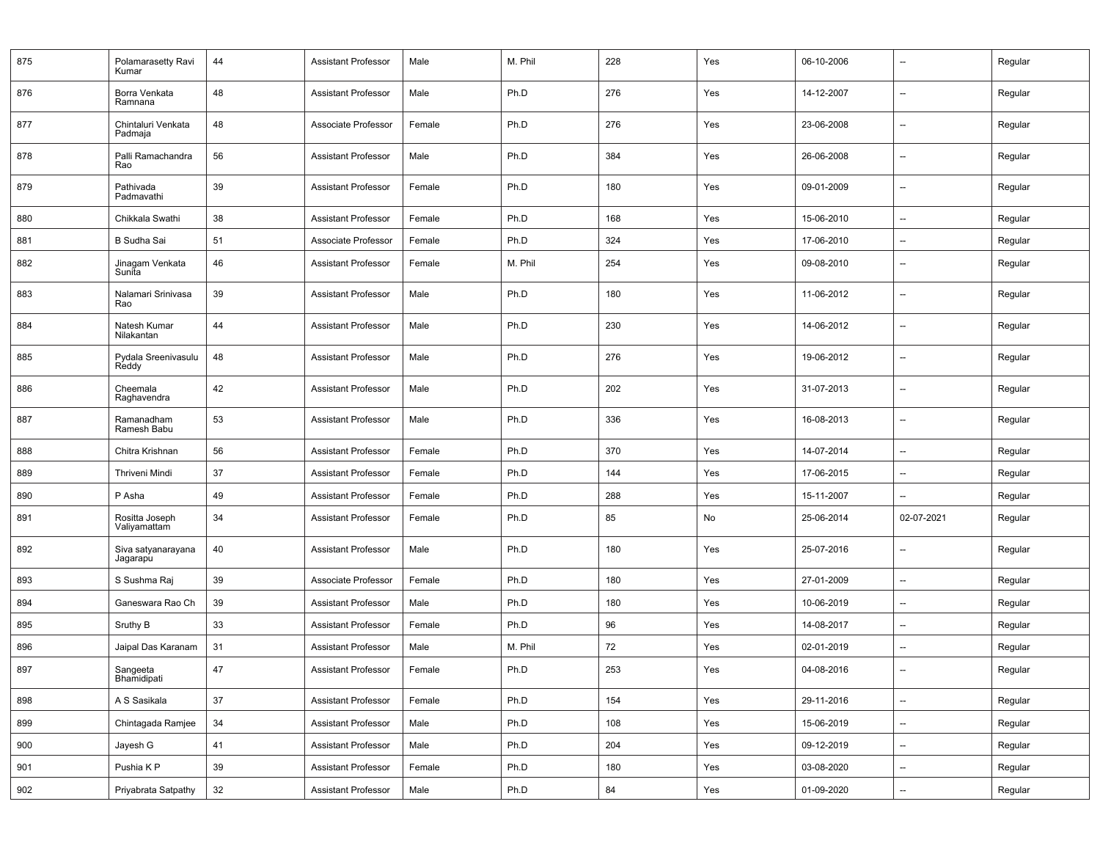| 875 | Polamarasetty Ravi<br>Kumar    | 44 | <b>Assistant Professor</b> | Male   | M. Phil | 228 | Yes | 06-10-2006 | $\overline{\phantom{a}}$ | Regular |
|-----|--------------------------------|----|----------------------------|--------|---------|-----|-----|------------|--------------------------|---------|
| 876 | Borra Venkata<br>Ramnana       | 48 | <b>Assistant Professor</b> | Male   | Ph.D    | 276 | Yes | 14-12-2007 | $\overline{\phantom{a}}$ | Regular |
| 877 | Chintaluri Venkata<br>Padmaja  | 48 | Associate Professor        | Female | Ph.D    | 276 | Yes | 23-06-2008 | --                       | Regular |
| 878 | Palli Ramachandra<br>Rao       | 56 | Assistant Professor        | Male   | Ph.D    | 384 | Yes | 26-06-2008 | -−                       | Regular |
| 879 | Pathivada<br>Padmavathi        | 39 | <b>Assistant Professor</b> | Female | Ph.D    | 180 | Yes | 09-01-2009 | $\overline{\phantom{a}}$ | Regular |
| 880 | Chikkala Swathi                | 38 | <b>Assistant Professor</b> | Female | Ph.D    | 168 | Yes | 15-06-2010 | --                       | Regular |
| 881 | <b>B</b> Sudha Sai             | 51 | Associate Professor        | Female | Ph.D    | 324 | Yes | 17-06-2010 | --                       | Regular |
| 882 | Jinagam Venkata<br>Sunita      | 46 | <b>Assistant Professor</b> | Female | M. Phil | 254 | Yes | 09-08-2010 | --                       | Regular |
| 883 | Nalamari Srinivasa<br>Rao      | 39 | <b>Assistant Professor</b> | Male   | Ph.D    | 180 | Yes | 11-06-2012 | --                       | Regular |
| 884 | Natesh Kumar<br>Nilakantan     | 44 | <b>Assistant Professor</b> | Male   | Ph.D    | 230 | Yes | 14-06-2012 | --                       | Regular |
| 885 | Pydala Sreenivasulu<br>Reddy   | 48 | <b>Assistant Professor</b> | Male   | Ph.D    | 276 | Yes | 19-06-2012 | --                       | Regular |
| 886 | Cheemala<br>Raghavendra        | 42 | <b>Assistant Professor</b> | Male   | Ph.D    | 202 | Yes | 31-07-2013 | --                       | Regular |
| 887 | Ramanadham<br>Ramesh Babu      | 53 | <b>Assistant Professor</b> | Male   | Ph.D    | 336 | Yes | 16-08-2013 | --                       | Regular |
| 888 | Chitra Krishnan                | 56 | <b>Assistant Professor</b> | Female | Ph.D    | 370 | Yes | 14-07-2014 | --                       | Regular |
| 889 | Thriveni Mindi                 | 37 | <b>Assistant Professor</b> | Female | Ph.D    | 144 | Yes | 17-06-2015 | --                       | Regular |
| 890 | P Asha                         | 49 | <b>Assistant Professor</b> | Female | Ph.D    | 288 | Yes | 15-11-2007 | --                       | Regular |
| 891 | Rositta Joseph<br>Valiyamattam | 34 | <b>Assistant Professor</b> | Female | Ph.D    | 85  | No  | 25-06-2014 | 02-07-2021               | Regular |
| 892 | Siva satyanarayana<br>Jagarapu | 40 | <b>Assistant Professor</b> | Male   | Ph.D    | 180 | Yes | 25-07-2016 | --                       | Regular |
| 893 | S Sushma Raj                   | 39 | Associate Professor        | Female | Ph.D    | 180 | Yes | 27-01-2009 | $\overline{\phantom{a}}$ | Regular |
| 894 | Ganeswara Rao Ch               | 39 | <b>Assistant Professor</b> | Male   | Ph.D    | 180 | Yes | 10-06-2019 | --                       | Regular |
| 895 | Sruthy B                       | 33 | <b>Assistant Professor</b> | Female | Ph.D    | 96  | Yes | 14-08-2017 | --                       | Regular |
| 896 | Jaipal Das Karanam             | 31 | <b>Assistant Professor</b> | Male   | M. Phil | 72  | Yes | 02-01-2019 | --                       | Regular |
| 897 | Sangeeta<br>Bhamidipati        | 47 | <b>Assistant Professor</b> | Female | Ph.D    | 253 | Yes | 04-08-2016 |                          | Regular |
| 898 | A S Sasikala                   | 37 | Assistant Professor        | Female | Ph.D    | 154 | Yes | 29-11-2016 | Щ.                       | Regular |
| 899 | Chintagada Ramjee              | 34 | <b>Assistant Professor</b> | Male   | Ph.D    | 108 | Yes | 15-06-2019 | --                       | Regular |
| 900 | Jayesh G                       | 41 | <b>Assistant Professor</b> | Male   | Ph.D    | 204 | Yes | 09-12-2019 | $\overline{\phantom{a}}$ | Regular |
| 901 | Pushia K P                     | 39 | <b>Assistant Professor</b> | Female | Ph.D    | 180 | Yes | 03-08-2020 | --                       | Regular |
| 902 | Priyabrata Satpathy            | 32 | <b>Assistant Professor</b> | Male   | Ph.D    | 84  | Yes | 01-09-2020 | --                       | Regular |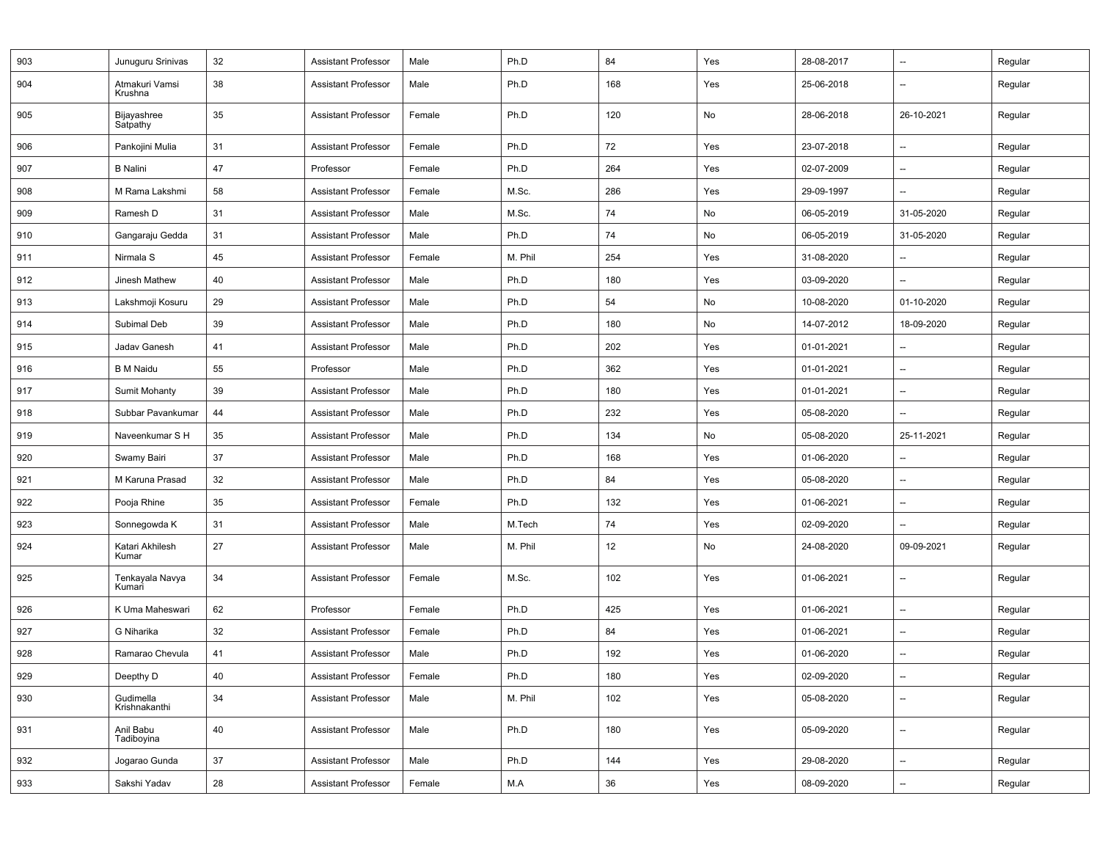| 903 | Junuguru Srinivas          | 32 | <b>Assistant Professor</b> | Male   | Ph.D    | 84  | Yes | 28-08-2017 | $\qquad \qquad \cdots$   | Regular |
|-----|----------------------------|----|----------------------------|--------|---------|-----|-----|------------|--------------------------|---------|
| 904 | Atmakuri Vamsi<br>Krushna  | 38 | <b>Assistant Professor</b> | Male   | Ph.D    | 168 | Yes | 25-06-2018 | $\overline{\phantom{a}}$ | Regular |
| 905 | Bijayashree<br>Satpathy    | 35 | <b>Assistant Professor</b> | Female | Ph.D    | 120 | No  | 28-06-2018 | 26-10-2021               | Regular |
| 906 | Pankojini Mulia            | 31 | <b>Assistant Professor</b> | Female | Ph.D    | 72  | Yes | 23-07-2018 | $\overline{\phantom{a}}$ | Regular |
| 907 | <b>B</b> Nalini            | 47 | Professor                  | Female | Ph.D    | 264 | Yes | 02-07-2009 | $\overline{\phantom{a}}$ | Regular |
| 908 | M Rama Lakshmi             | 58 | <b>Assistant Professor</b> | Female | M.Sc.   | 286 | Yes | 29-09-1997 | $\overline{\phantom{a}}$ | Regular |
| 909 | Ramesh D                   | 31 | <b>Assistant Professor</b> | Male   | M.Sc.   | 74  | No  | 06-05-2019 | 31-05-2020               | Regular |
| 910 | Gangaraju Gedda            | 31 | <b>Assistant Professor</b> | Male   | Ph.D    | 74  | No  | 06-05-2019 | 31-05-2020               | Regular |
| 911 | Nirmala S                  | 45 | <b>Assistant Professor</b> | Female | M. Phil | 254 | Yes | 31-08-2020 | $\overline{\phantom{a}}$ | Regular |
| 912 | Jinesh Mathew              | 40 | <b>Assistant Professor</b> | Male   | Ph.D    | 180 | Yes | 03-09-2020 | $\overline{\phantom{a}}$ | Regular |
| 913 | Lakshmoji Kosuru           | 29 | <b>Assistant Professor</b> | Male   | Ph.D    | 54  | No  | 10-08-2020 | 01-10-2020               | Regular |
| 914 | Subimal Deb                | 39 | <b>Assistant Professor</b> | Male   | Ph.D    | 180 | No  | 14-07-2012 | 18-09-2020               | Regular |
| 915 | Jadav Ganesh               | 41 | <b>Assistant Professor</b> | Male   | Ph.D    | 202 | Yes | 01-01-2021 | $\overline{\phantom{a}}$ | Regular |
| 916 | <b>B</b> M Naidu           | 55 | Professor                  | Male   | Ph.D    | 362 | Yes | 01-01-2021 | --                       | Regular |
| 917 | <b>Sumit Mohanty</b>       | 39 | <b>Assistant Professor</b> | Male   | Ph.D    | 180 | Yes | 01-01-2021 | --                       | Regular |
| 918 | Subbar Pavankumar          | 44 | <b>Assistant Professor</b> | Male   | Ph.D    | 232 | Yes | 05-08-2020 | $\overline{\phantom{a}}$ | Regular |
| 919 | Naveenkumar S H            | 35 | <b>Assistant Professor</b> | Male   | Ph.D    | 134 | No  | 05-08-2020 | 25-11-2021               | Regular |
| 920 | Swamy Bairi                | 37 | <b>Assistant Professor</b> | Male   | Ph.D    | 168 | Yes | 01-06-2020 | $\overline{\phantom{a}}$ | Regular |
| 921 | M Karuna Prasad            | 32 | <b>Assistant Professor</b> | Male   | Ph.D    | 84  | Yes | 05-08-2020 | $\overline{\phantom{a}}$ | Regular |
| 922 | Pooja Rhine                | 35 | <b>Assistant Professor</b> | Female | Ph.D    | 132 | Yes | 01-06-2021 | $\overline{\phantom{a}}$ | Regular |
| 923 | Sonnegowda K               | 31 | <b>Assistant Professor</b> | Male   | M.Tech  | 74  | Yes | 02-09-2020 | $\overline{\phantom{a}}$ | Regular |
| 924 | Katari Akhilesh<br>Kumar   | 27 | <b>Assistant Professor</b> | Male   | M. Phil | 12  | No  | 24-08-2020 | 09-09-2021               | Regular |
| 925 | Tenkayala Navya<br>Kumari  | 34 | <b>Assistant Professor</b> | Female | M.Sc.   | 102 | Yes | 01-06-2021 | $\overline{\phantom{a}}$ | Regular |
| 926 | K Uma Maheswari            | 62 | Professor                  | Female | Ph.D    | 425 | Yes | 01-06-2021 | $\overline{\phantom{a}}$ | Regular |
| 927 | G Niharika                 | 32 | <b>Assistant Professor</b> | Female | Ph.D    | 84  | Yes | 01-06-2021 | $\qquad \qquad \cdots$   | Regular |
| 928 | Ramarao Chevula            | 41 | <b>Assistant Professor</b> | Male   | Ph.D    | 192 | Yes | 01-06-2020 | $\overline{\phantom{a}}$ | Regular |
| 929 | Deepthy D                  | 40 | Assistant Professor        | Female | Ph.D    | 180 | Yes | 02-09-2020 | --                       | Regular |
| 930 | Gudimella<br>Krishnakanthi | 34 | <b>Assistant Professor</b> | Male   | M. Phil | 102 | Yes | 05-08-2020 | $\overline{\phantom{a}}$ | Regular |
| 931 | Anil Babu<br>Tadiboyina    | 40 | <b>Assistant Professor</b> | Male   | Ph.D    | 180 | Yes | 05-09-2020 | $\overline{\phantom{a}}$ | Regular |
| 932 | Jogarao Gunda              | 37 | <b>Assistant Professor</b> | Male   | Ph.D    | 144 | Yes | 29-08-2020 | --                       | Regular |
| 933 | Sakshi Yadav               | 28 | <b>Assistant Professor</b> | Female | M.A     | 36  | Yes | 08-09-2020 | $\overline{\phantom{a}}$ | Regular |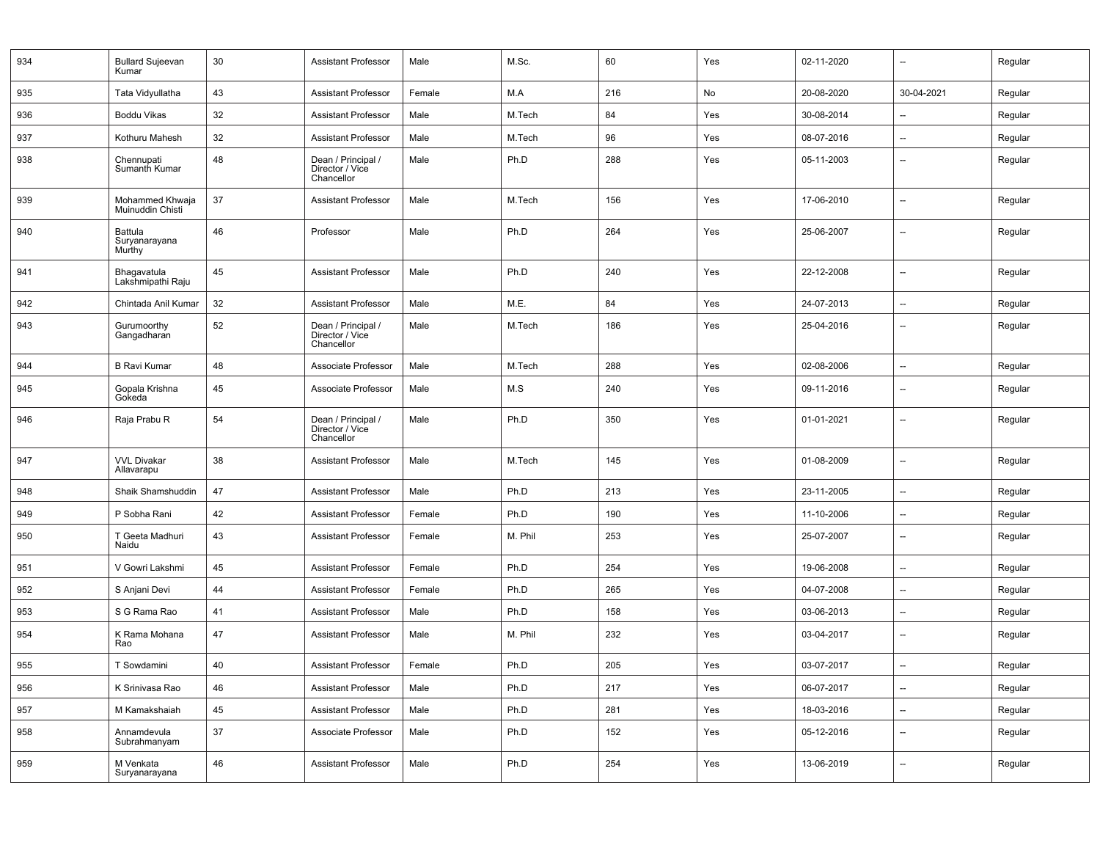| 934 | <b>Bullard Sujeevan</b><br>Kumar    | 30 | <b>Assistant Professor</b>                          | Male   | M.Sc.   | 60  | Yes | 02-11-2020 | $\overline{\phantom{a}}$ | Regular |
|-----|-------------------------------------|----|-----------------------------------------------------|--------|---------|-----|-----|------------|--------------------------|---------|
| 935 | Tata Vidyullatha                    | 43 | <b>Assistant Professor</b>                          | Female | M.A     | 216 | No  | 20-08-2020 | 30-04-2021               | Regular |
| 936 | Boddu Vikas                         | 32 | <b>Assistant Professor</b>                          | Male   | M.Tech  | 84  | Yes | 30-08-2014 | $\overline{\phantom{a}}$ | Regular |
| 937 | Kothuru Mahesh                      | 32 | <b>Assistant Professor</b>                          | Male   | M.Tech  | 96  | Yes | 08-07-2016 | $\overline{\phantom{a}}$ | Regular |
| 938 | Chennupati<br>Sumanth Kumar         | 48 | Dean / Principal /<br>Director / Vice<br>Chancellor | Male   | Ph.D    | 288 | Yes | 05-11-2003 | --                       | Regular |
| 939 | Mohammed Khwaja<br>Muinuddin Chisti | 37 | <b>Assistant Professor</b>                          | Male   | M.Tech  | 156 | Yes | 17-06-2010 | --                       | Regular |
| 940 | Battula<br>Suryanarayana<br>Murthy  | 46 | Professor                                           | Male   | Ph.D    | 264 | Yes | 25-06-2007 | $\overline{a}$           | Regular |
| 941 | Bhagavatula<br>Lakshmipathi Raju    | 45 | <b>Assistant Professor</b>                          | Male   | Ph.D    | 240 | Yes | 22-12-2008 | $\overline{a}$           | Regular |
| 942 | Chintada Anil Kumar                 | 32 | <b>Assistant Professor</b>                          | Male   | M.E.    | 84  | Yes | 24-07-2013 | $\overline{\phantom{a}}$ | Regular |
| 943 | Gurumoorthy<br>Gangadharan          | 52 | Dean / Principal /<br>Director / Vice<br>Chancellor | Male   | M.Tech  | 186 | Yes | 25-04-2016 | $\overline{\phantom{0}}$ | Regular |
| 944 | <b>B Ravi Kumar</b>                 | 48 | Associate Professor                                 | Male   | M.Tech  | 288 | Yes | 02-08-2006 | $\overline{a}$           | Regular |
| 945 | Gopala Krishna<br>Gokeda            | 45 | Associate Professor                                 | Male   | M.S     | 240 | Yes | 09-11-2016 | $\overline{\phantom{0}}$ | Regular |
| 946 | Raja Prabu R                        | 54 | Dean / Principal /<br>Director / Vice<br>Chancellor | Male   | Ph.D    | 350 | Yes | 01-01-2021 | $\overline{\phantom{a}}$ | Regular |
| 947 | <b>VVL Divakar</b><br>Allavarapu    | 38 | <b>Assistant Professor</b>                          | Male   | M.Tech  | 145 | Yes | 01-08-2009 | --                       | Regular |
| 948 | Shaik Shamshuddin                   | 47 | <b>Assistant Professor</b>                          | Male   | Ph.D    | 213 | Yes | 23-11-2005 | $\overline{\phantom{a}}$ | Regular |
| 949 | P Sobha Rani                        | 42 | <b>Assistant Professor</b>                          | Female | Ph.D    | 190 | Yes | 11-10-2006 | $\overline{\phantom{a}}$ | Regular |
| 950 | T Geeta Madhuri<br>Naidu            | 43 | <b>Assistant Professor</b>                          | Female | M. Phil | 253 | Yes | 25-07-2007 | --                       | Regular |
| 951 | V Gowri Lakshmi                     | 45 | <b>Assistant Professor</b>                          | Female | Ph.D    | 254 | Yes | 19-06-2008 | $\overline{\phantom{a}}$ | Regular |
| 952 | S Anjani Devi                       | 44 | <b>Assistant Professor</b>                          | Female | Ph.D    | 265 | Yes | 04-07-2008 | $\overline{\phantom{a}}$ | Regular |
| 953 | S G Rama Rao                        | 41 | <b>Assistant Professor</b>                          | Male   | Ph.D    | 158 | Yes | 03-06-2013 | $\overline{\phantom{a}}$ | Regular |
| 954 | K Rama Mohana<br>Rao                | 47 | <b>Assistant Professor</b>                          | Male   | M. Phil | 232 | Yes | 03-04-2017 | $\overline{\phantom{a}}$ | Regular |
| 955 | T Sowdamini                         | 40 | <b>Assistant Professor</b>                          | Female | Ph.D    | 205 | Yes | 03-07-2017 | $\overline{\phantom{a}}$ | Regular |
| 956 | K Srinivasa Rao                     | 46 | Assistant Professor                                 | Male   | Ph.D    | 217 | Yes | 06-07-2017 | $\overline{\phantom{a}}$ | Regular |
| 957 | M Kamakshaiah                       | 45 | Assistant Professor                                 | Male   | Ph.D    | 281 | Yes | 18-03-2016 | $\overline{\phantom{a}}$ | Regular |
| 958 | Annamdevula<br>Subrahmanyam         | 37 | Associate Professor                                 | Male   | Ph.D    | 152 | Yes | 05-12-2016 | $\overline{\phantom{a}}$ | Regular |
| 959 | M Venkata<br>Suryanarayana          | 46 | Assistant Professor                                 | Male   | Ph.D    | 254 | Yes | 13-06-2019 | $\overline{\phantom{a}}$ | Regular |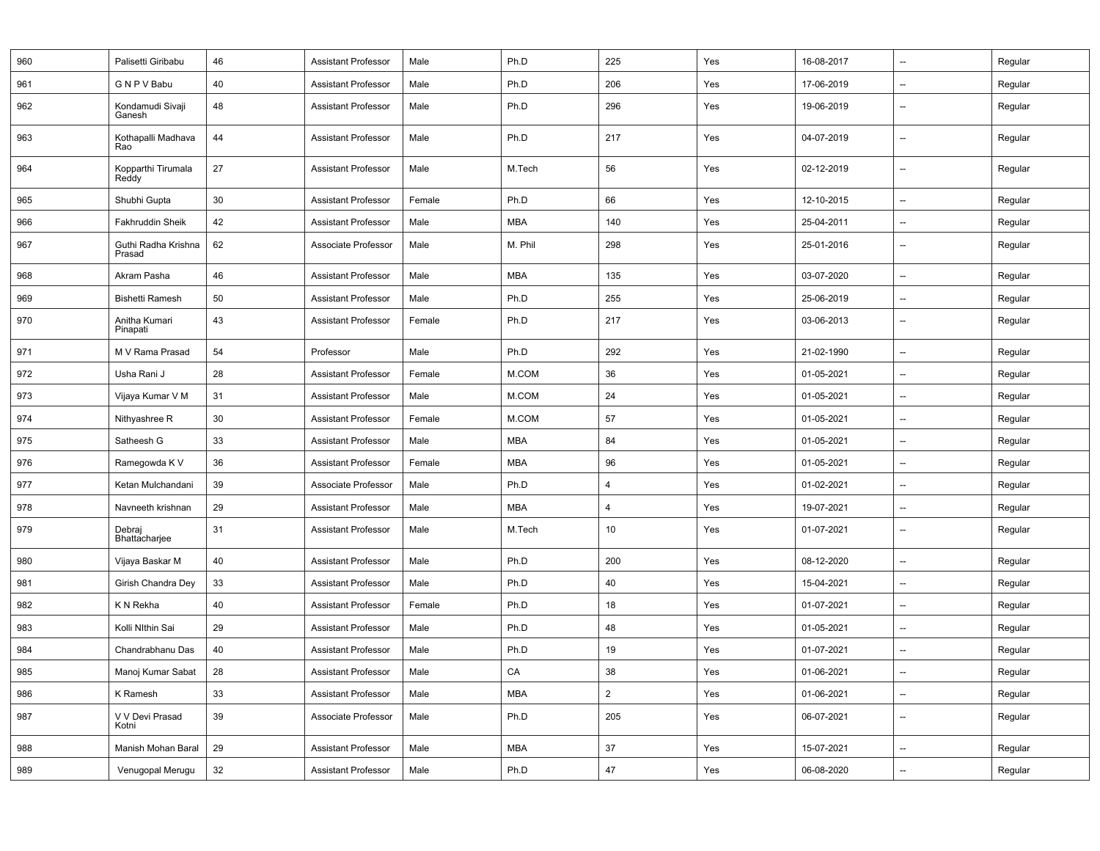| 960 | Palisetti Giribabu            | 46 | <b>Assistant Professor</b> | Male   | Ph.D       | 225            | Yes | 16-08-2017 | --                       | Regular |
|-----|-------------------------------|----|----------------------------|--------|------------|----------------|-----|------------|--------------------------|---------|
| 961 | G N P V Babu                  | 40 | <b>Assistant Professor</b> | Male   | Ph.D       | 206            | Yes | 17-06-2019 | --                       | Regular |
| 962 | Kondamudi Sivaji<br>Ganesh    | 48 | <b>Assistant Professor</b> | Male   | Ph.D       | 296            | Yes | 19-06-2019 | --                       | Regular |
| 963 | Kothapalli Madhava<br>Rao     | 44 | <b>Assistant Professor</b> | Male   | Ph.D       | 217            | Yes | 04-07-2019 | --                       | Regular |
| 964 | Kopparthi Tirumala<br>Reddy   | 27 | <b>Assistant Professor</b> | Male   | M.Tech     | 56             | Yes | 02-12-2019 | --                       | Regular |
| 965 | Shubhi Gupta                  | 30 | <b>Assistant Professor</b> | Female | Ph.D       | 66             | Yes | 12-10-2015 | --                       | Regular |
| 966 | Fakhruddin Sheik              | 42 | <b>Assistant Professor</b> | Male   | <b>MBA</b> | 140            | Yes | 25-04-2011 | --                       | Regular |
| 967 | Guthi Radha Krishna<br>Prasad | 62 | Associate Professor        | Male   | M. Phil    | 298            | Yes | 25-01-2016 | --                       | Regular |
| 968 | Akram Pasha                   | 46 | <b>Assistant Professor</b> | Male   | <b>MBA</b> | 135            | Yes | 03-07-2020 | $\overline{\phantom{a}}$ | Regular |
| 969 | <b>Bishetti Ramesh</b>        | 50 | <b>Assistant Professor</b> | Male   | Ph.D       | 255            | Yes | 25-06-2019 | --                       | Regular |
| 970 | Anitha Kumari<br>Pinapati     | 43 | <b>Assistant Professor</b> | Female | Ph.D       | 217            | Yes | 03-06-2013 | --                       | Regular |
| 971 | M V Rama Prasad               | 54 | Professor                  | Male   | Ph.D       | 292            | Yes | 21-02-1990 | --                       | Regular |
| 972 | Usha Rani J                   | 28 | <b>Assistant Professor</b> | Female | M.COM      | 36             | Yes | 01-05-2021 | --                       | Regular |
| 973 | Vijaya Kumar V M              | 31 | <b>Assistant Professor</b> | Male   | M.COM      | 24             | Yes | 01-05-2021 | --                       | Regular |
| 974 | Nithyashree R                 | 30 | <b>Assistant Professor</b> | Female | M.COM      | 57             | Yes | 01-05-2021 | --                       | Regular |
| 975 | Satheesh G                    | 33 | <b>Assistant Professor</b> | Male   | <b>MBA</b> | 84             | Yes | 01-05-2021 | --                       | Regular |
| 976 | Ramegowda K V                 | 36 | <b>Assistant Professor</b> | Female | <b>MBA</b> | 96             | Yes | 01-05-2021 | --                       | Regular |
| 977 | Ketan Mulchandani             | 39 | Associate Professor        | Male   | Ph.D       | $\overline{4}$ | Yes | 01-02-2021 | --                       | Regular |
| 978 | Navneeth krishnan             | 29 | <b>Assistant Professor</b> | Male   | <b>MBA</b> | $\overline{4}$ | Yes | 19-07-2021 | $\overline{\phantom{a}}$ | Regular |
| 979 | Debraj<br>Bhattacharjee       | 31 | <b>Assistant Professor</b> | Male   | M.Tech     | 10             | Yes | 01-07-2021 | --                       | Regular |
| 980 | Vijaya Baskar M               | 40 | <b>Assistant Professor</b> | Male   | Ph.D       | 200            | Yes | 08-12-2020 | --                       | Regular |
| 981 | Girish Chandra Dey            | 33 | <b>Assistant Professor</b> | Male   | Ph.D       | 40             | Yes | 15-04-2021 | --                       | Regular |
| 982 | K N Rekha                     | 40 | <b>Assistant Professor</b> | Female | Ph.D       | 18             | Yes | 01-07-2021 | $\overline{\phantom{a}}$ | Regular |
| 983 | Kolli Nithin Sai              | 29 | <b>Assistant Professor</b> | Male   | Ph.D       | 48             | Yes | 01-05-2021 | --                       | Regular |
| 984 | Chandrabhanu Das              | 40 | <b>Assistant Professor</b> | Male   | Ph.D       | 19             | Yes | 01-07-2021 | --                       | Regular |
| 985 | Manoj Kumar Sabat             | 28 | Assistant Professor        | Male   | CA         | 38             | Yes | 01-06-2021 |                          | Regular |
| 986 | K Ramesh                      | 33 | <b>Assistant Professor</b> | Male   | MBA        | $\overline{2}$ | Yes | 01-06-2021 | $\overline{\phantom{a}}$ | Regular |
| 987 | V V Devi Prasad<br>Kotni      | 39 | Associate Professor        | Male   | Ph.D       | 205            | Yes | 06-07-2021 | --                       | Regular |
| 988 | Manish Mohan Baral            | 29 | <b>Assistant Professor</b> | Male   | MBA        | 37             | Yes | 15-07-2021 | $\overline{\phantom{a}}$ | Regular |
| 989 | Venugopal Merugu              | 32 | <b>Assistant Professor</b> | Male   | Ph.D       | $47\,$         | Yes | 06-08-2020 | --                       | Regular |